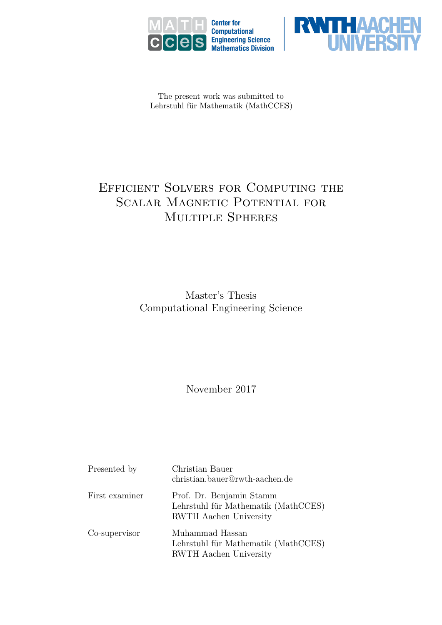



The present work was submitted to Lehrstuhl für Mathematik (MathCCES)

# Efficient Solvers for Computing the SCALAR MAGNETIC POTENTIAL FOR Multiple Spheres

Master's Thesis Computational Engineering Science

November 2017

| Presented by   | Christian Bauer<br>christian.bauer@rwth-aachen.de                                                |
|----------------|--------------------------------------------------------------------------------------------------|
| First examiner | Prof. Dr. Benjamin Stamm<br>Lehrstuhl für Mathematik (MathCCES)<br><b>RWTH</b> Aachen University |
| Co-supervisor  | Muhammad Hassan<br>Lehrstuhl für Mathematik (MathCCES)<br>RWTH Aachen University                 |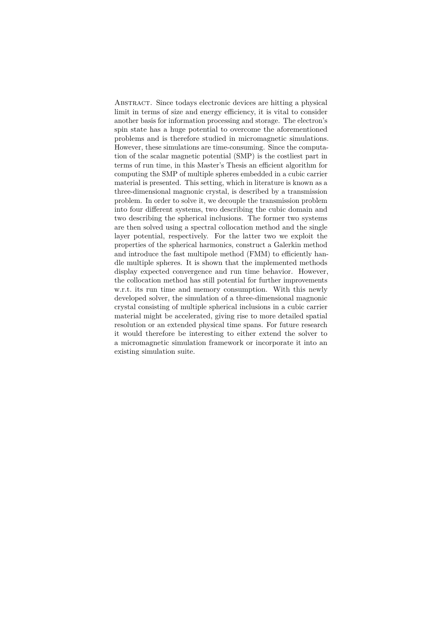Abstract. Since todays electronic devices are hitting a physical limit in terms of size and energy efficiency, it is vital to consider another basis for information processing and storage. The electron's spin state has a huge potential to overcome the aforementioned problems and is therefore studied in micromagnetic simulations. However, these simulations are time-consuming. Since the computation of the scalar magnetic potential (SMP) is the costliest part in terms of run time, in this Master's Thesis an efficient algorithm for computing the SMP of multiple spheres embedded in a cubic carrier material is presented. This setting, which in literature is known as a three-dimensional magnonic crystal, is described by a transmission problem. In order to solve it, we decouple the transmission problem into four different systems, two describing the cubic domain and two describing the spherical inclusions. The former two systems are then solved using a spectral collocation method and the single layer potential, respectively. For the latter two we exploit the properties of the spherical harmonics, construct a Galerkin method and introduce the fast multipole method (FMM) to efficiently handle multiple spheres. It is shown that the implemented methods display expected convergence and run time behavior. However, the collocation method has still potential for further improvements w.r.t. its run time and memory consumption. With this newly developed solver, the simulation of a three-dimensional magnonic crystal consisting of multiple spherical inclusions in a cubic carrier material might be accelerated, giving rise to more detailed spatial resolution or an extended physical time spans. For future research it would therefore be interesting to either extend the solver to a micromagnetic simulation framework or incorporate it into an existing simulation suite.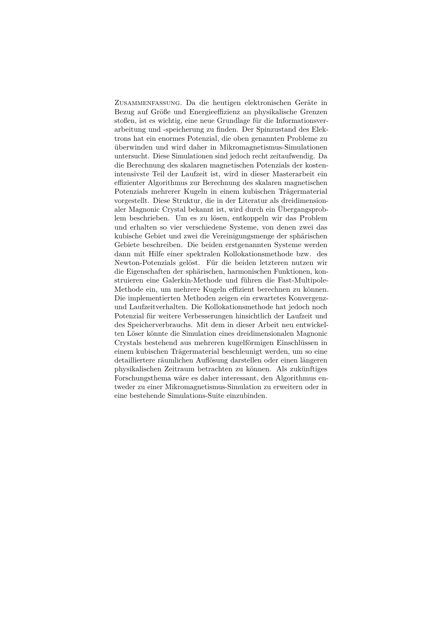Zusammenfassung. Da die heutigen elektronischen Geräte in Bezug auf Größe und Energieeffizienz an physikalische Grenzen stoßen, ist es wichtig, eine neue Grundlage für die Informationsverarbeitung und -speicherung zu finden. Der Spinzustand des Elektrons hat ein enormes Potenzial, die oben genannten Probleme zu überwinden und wird daher in Mikromagnetismus-Simulationen untersucht. Diese Simulationen sind jedoch recht zeitaufwendig. Da die Berechnung des skalaren magnetischen Potenzials der kostenintensivste Teil der Laufzeit ist, wird in dieser Masterarbeit ein effizienter Algorithmus zur Berechnung des skalaren magnetischen Potenzials mehrerer Kugeln in einem kubischen Trägermaterial vorgestellt. Diese Struktur, die in der Literatur als dreidimensionaler Magnonic Crystal bekannt ist, wird durch ein Übergangsproblem beschrieben. Um es zu lösen, entkoppeln wir das Problem und erhalten so vier verschiedene Systeme, von denen zwei das kubische Gebiet und zwei die Vereinigungsmenge der sphärischen Gebiete beschreiben. Die beiden erstgenannten Systeme werden dann mit Hilfe einer spektralen Kollokationsmethode bzw. des Newton-Potenzials gelöst. Für die beiden letzteren nutzen wir die Eigenschaften der sphärischen, harmonischen Funktionen, konstruieren eine Galerkin-Methode und führen die Fast-Multipole-Methode ein, um mehrere Kugeln effizient berechnen zu können. Die implementierten Methoden zeigen ein erwartetes Konvergenzund Laufzeitverhalten. Die Kollokationsmethode hat jedoch noch Potenzial für weitere Verbesserungen hinsichtlich der Laufzeit und des Speicherverbrauchs. Mit dem in dieser Arbeit neu entwickelten Löser könnte die Simulation eines dreidimensionalen Magnonic Crystals bestehend aus mehreren kugelförmigen Einschlüssen in einem kubischen Trägermaterial beschleunigt werden, um so eine detailliertere räumlichen Auflösung darstellen oder einen längeren physikalischen Zeitraum betrachten zu können. Als zukünftiges Forschungsthema wäre es daher interessant, den Algorithmus entweder zu einer Mikromagnetismus-Simulation zu erweitern oder in eine bestehende Simulations-Suite einzubinden.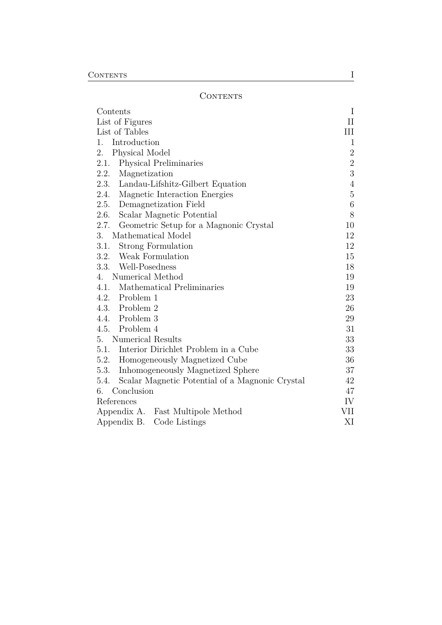### <span id="page-3-0"></span>**CONTENTS**

| Contents                                                | I              |
|---------------------------------------------------------|----------------|
| List of Figures                                         | $\rm II$       |
| List of Tables                                          | Ш              |
| Introduction<br>1.                                      | 1              |
| 2.<br>Physical Model                                    | $\sqrt{2}$     |
| 2.1.<br>Physical Preliminaries                          | $\sqrt{2}$     |
| 2.2.<br>Magnetization                                   | $\sqrt{3}$     |
| 2.3. Landau-Lifshitz-Gilbert Equation                   | $\overline{4}$ |
| 2.4.<br>Magnetic Interaction Energies                   | $\overline{5}$ |
| 2.5.<br>Demagnetization Field                           | 6              |
| Scalar Magnetic Potential<br>2.6.                       | 8              |
| 2.7.<br>Geometric Setup for a Magnonic Crystal          | 10             |
| 3.<br>Mathematical Model                                | 12             |
| 3.1.<br><b>Strong Formulation</b>                       | 12             |
| 3.2. Weak Formulation                                   | 15             |
| 3.3. Well-Posedness                                     | 18             |
| Numerical Method<br>4.                                  | 19             |
| 4.1.<br>Mathematical Preliminaries                      | 19             |
| 4.2. Problem 1                                          | 23             |
| 4.3. Problem 2                                          | 26             |
| 4.4. Problem 3                                          | 29             |
| 4.5. Problem 4                                          | 31             |
| <b>Numerical Results</b><br>5.                          | 33             |
| Interior Dirichlet Problem in a Cube<br>5.1.            | 33             |
| 5.2. Homogeneously Magnetized Cube                      | 36             |
| 5.3.<br>Inhomogeneously Magnetized Sphere               | 37             |
| Scalar Magnetic Potential of a Magnonic Crystal<br>5.4. | 42             |
| Conclusion<br>6.                                        | 47             |
| References                                              | IV             |
| Appendix A. Fast Multipole Method                       | VII            |
| Appendix B.<br>Code Listings                            | XI             |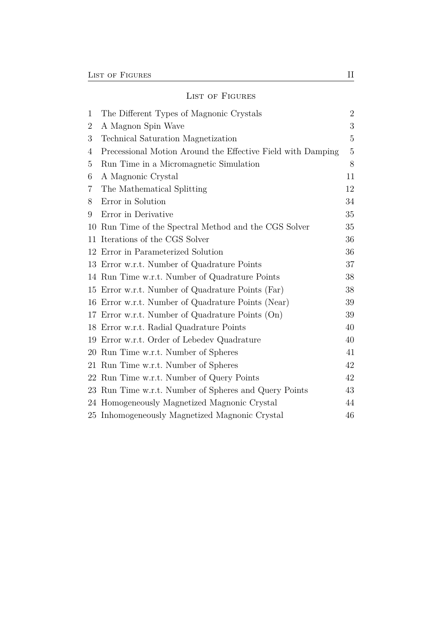### <span id="page-4-0"></span>LIST OF FIGURES

| 1              | The Different Types of Magnonic Crystals                    | $\overline{2}$ |
|----------------|-------------------------------------------------------------|----------------|
| $\overline{2}$ | A Magnon Spin Wave                                          | 3              |
| 3              | Technical Saturation Magnetization                          | $\overline{5}$ |
| 4              | Precessional Motion Around the Effective Field with Damping | $\overline{5}$ |
| 5              | Run Time in a Micromagnetic Simulation                      | 8              |
| 6              | A Magnonic Crystal                                          | 11             |
| 7              | The Mathematical Splitting                                  | 12             |
| 8              | Error in Solution                                           | 34             |
| 9              | Error in Derivative                                         | 35             |
| 10             | Run Time of the Spectral Method and the CGS Solver          | 35             |
| 11             | Iterations of the CGS Solver                                | 36             |
| 12             | Error in Parameterized Solution                             | 36             |
| 13             | Error w.r.t. Number of Quadrature Points                    | 37             |
|                | 14 Run Time w.r.t. Number of Quadrature Points              | 38             |
| 15             | Error w.r.t. Number of Quadrature Points (Far)              | 38             |
| 16             | Error w.r.t. Number of Quadrature Points (Near)             | 39             |
| 17             | Error w.r.t. Number of Quadrature Points (On)               | 39             |
| 18             | Error w.r.t. Radial Quadrature Points                       | 40             |
| 19             | Error w.r.t. Order of Lebedev Quadrature                    | 40             |
| 20             | Run Time w.r.t. Number of Spheres                           | 41             |
| 21             | Run Time w.r.t. Number of Spheres                           | 42             |
| 22             | Run Time w.r.t. Number of Query Points                      | 42             |
| 23             | Run Time w.r.t. Number of Spheres and Query Points          | 43             |
| 24             | Homogeneously Magnetized Magnonic Crystal                   | 44             |
|                | 25 Inhomogeneously Magnetized Magnonic Crystal              | 46             |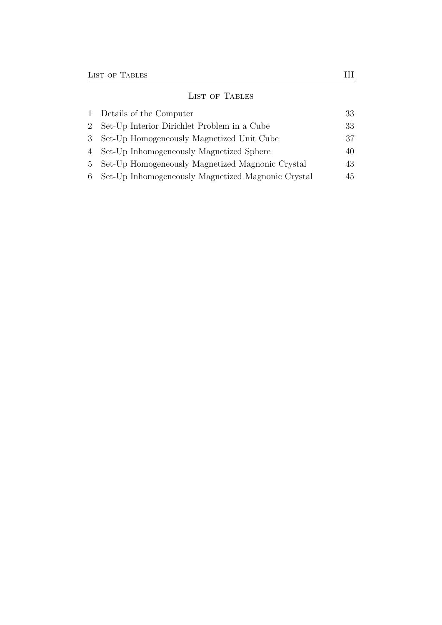## <span id="page-5-0"></span>LIST OF TABLES

| 1 Details of the Computer                            | 33 |
|------------------------------------------------------|----|
| 2 Set-Up Interior Dirichlet Problem in a Cube        | 33 |
| 3 Set-Up Homogeneously Magnetized Unit Cube          | 37 |
| 4 Set-Up Inhomogeneously Magnetized Sphere           | 40 |
| 5 Set-Up Homogeneously Magnetized Magnonic Crystal   | 43 |
| 6 Set-Up Inhomogeneously Magnetized Magnonic Crystal | 45 |
|                                                      |    |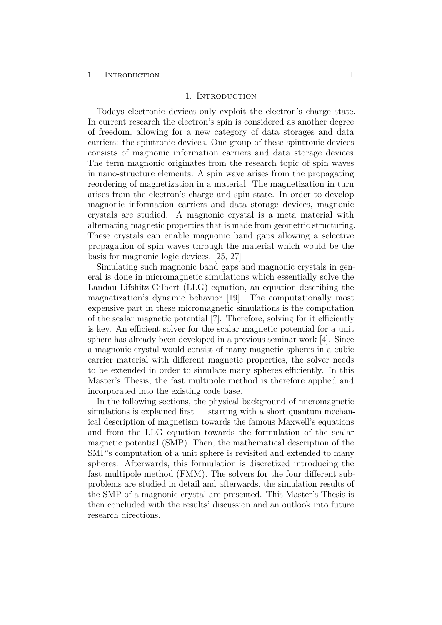#### 1. INTRODUCTION

<span id="page-6-1"></span><span id="page-6-0"></span>Todays electronic devices only exploit the electron's charge state. In current research the electron's spin is considered as another degree of freedom, allowing for a new category of data storages and data carriers: the spintronic devices. One group of these spintronic devices consists of magnonic information carriers and data storage devices. The term magnonic originates from the research topic of spin waves in nano-structure elements. A spin wave arises from the propagating reordering of magnetization in a material. The magnetization in turn arises from the electron's charge and spin state. In order to develop magnonic information carriers and data storage devices, magnonic crystals are studied. A magnonic crystal is a meta material with alternating magnetic properties that is made from geometric structuring. These crystals can enable magnonic band gaps allowing a selective propagation of spin waves through the material which would be the basis for magnonic logic devices. [\[25,](#page-55-0) [27\]](#page-55-1)

Simulating such magnonic band gaps and magnonic crystals in general is done in micromagnetic simulations which essentially solve the Landau-Lifshitz-Gilbert (LLG) equation, an equation describing the magnetization's dynamic behavior [\[19\]](#page-54-0). The computationally most expensive part in these micromagnetic simulations is the computation of the scalar magnetic potential [\[7\]](#page-53-1). Therefore, solving for it efficiently is key. An efficient solver for the scalar magnetic potential for a unit sphere has already been developed in a previous seminar work [\[4\]](#page-53-2). Since a magnonic crystal would consist of many magnetic spheres in a cubic carrier material with different magnetic properties, the solver needs to be extended in order to simulate many spheres efficiently. In this Master's Thesis, the fast multipole method is therefore applied and incorporated into the existing code base.

In the following sections, the physical background of micromagnetic simulations is explained first  $-$  starting with a short quantum mechanical description of magnetism towards the famous Maxwell's equations and from the LLG equation towards the formulation of the scalar magnetic potential (SMP). Then, the mathematical description of the SMP's computation of a unit sphere is revisited and extended to many spheres. Afterwards, this formulation is discretized introducing the fast multipole method (FMM). The solvers for the four different subproblems are studied in detail and afterwards, the simulation results of the SMP of a magnonic crystal are presented. This Master's Thesis is then concluded with the results' discussion and an outlook into future research directions.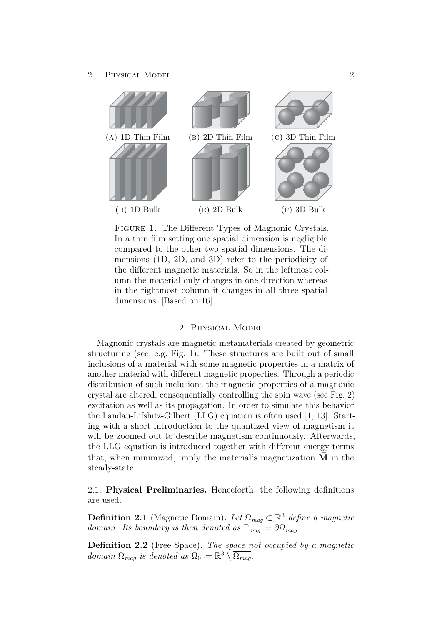<span id="page-7-3"></span><span id="page-7-2"></span>

FIGURE 1. The Different Types of Magnonic Crystals. In a thin film setting one spatial dimension is negligible compared to the other two spatial dimensions. The dimensions (1D, 2D, and 3D) refer to the periodicity of the different magnetic materials. So in the leftmost column the material only changes in one direction whereas in the rightmost column it changes in all three spatial dimensions. [Based on [16\]](#page-54-1)

#### 2. Physical Model

<span id="page-7-0"></span>Magnonic crystals are magnetic metamaterials created by geometric structuring (see, e.g. Fig. [1\)](#page-7-2). These structures are built out of small inclusions of a material with some magnetic properties in a matrix of another material with different magnetic properties. Through a periodic distribution of such inclusions the magnetic properties of a magnonic crystal are altered, consequentially controlling the spin wave (see Fig. [2\)](#page-8-1) excitation as well as its propagation. In order to simulate this behavior the Landau-Lifshitz-Gilbert (LLG) equation is often used [\[1,](#page-53-3) [13\]](#page-54-2). Starting with a short introduction to the quantized view of magnetism it will be zoomed out to describe magnetism continuously. Afterwards, the LLG equation is introduced together with different energy terms that, when minimized, imply the material's magnetization  $\vec{M}$  in the steady-state.

<span id="page-7-1"></span>2.1. **Physical Preliminaries.** Henceforth, the following definitions are used.

**Definition 2.1** (Magnetic Domain). Let  $\Omega_{mag} \subset \mathbb{R}^3$  define a magnetic *domain. Its boundary is then denoted as*  $\Gamma_{mag} := \partial \Omega_{mag}$ *.* 

**Definition 2.2** (Free Space)**.** *The space not occupied by a magnetic domain*  $\Omega_{mag}$  *is denoted as*  $\Omega_0 := \mathbb{R}^3 \setminus \overline{\Omega_{mag}}$ *.*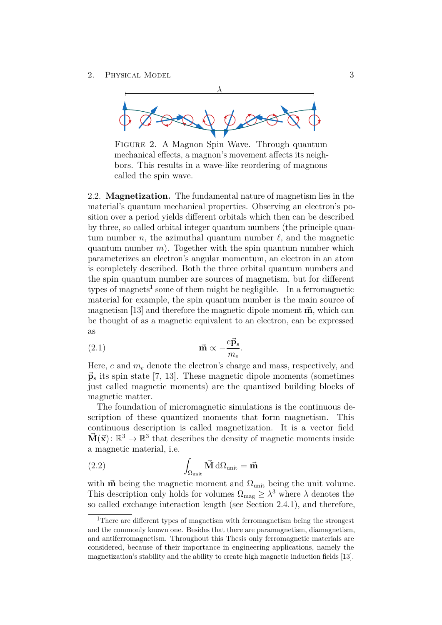<span id="page-8-3"></span><span id="page-8-1"></span>

Figure 2. A Magnon Spin Wave. Through quantum mechanical effects, a magnon's movement affects its neighbors. This results in a wave-like reordering of magnons called the spin wave.

<span id="page-8-0"></span>2.2. **Magnetization.** The fundamental nature of magnetism lies in the material's quantum mechanical properties. Observing an electron's position over a period yields different orbitals which then can be described by three, so called orbital integer quantum numbers (the principle quantum number *n*, the azimuthal quantum number  $\ell$ , and the magnetic quantum number  $m$ ). Together with the spin quantum number which parameterizes an electron's angular momentum, an electron in an atom is completely described. Both the three orbital quantum numbers and the spin quantum number are sources of magnetism, but for different types of magnets<sup>[1](#page-8-2)</sup> some of them might be negligible. In a ferromagnetic material for example, the spin quantum number is the main source of magnetism  $[13]$  and therefore the magnetic dipole moment  $\vec{m}$ , which can be thought of as a magnetic equivalent to an electron, can be expressed as

(2.1) 
$$
\vec{\mathbf{m}} \propto -\frac{e\vec{\mathbf{p}}_s}{m_e}.
$$

Here, *e* and *m<sup>e</sup>* denote the electron's charge and mass, respectively, and  $\vec{p}_s$  its spin state [\[7,](#page-53-1) [13\]](#page-54-2). These magnetic dipole moments (sometimes just called magnetic moments) are the quantized building blocks of magnetic matter.

The foundation of micromagnetic simulations is the continuous description of these quantized moments that form magnetism. This continuous description is called magnetization. It is a vector field  $\vec{M}(\vec{x})$ :  $\mathbb{R}^3 \to \mathbb{R}^3$  that describes the density of magnetic moments inside a magnetic material, i.e.

(2.2) 
$$
\int_{\Omega_{\text{unit}}} \vec{M} d\Omega_{\text{unit}} = \vec{m}
$$

with  $\vec{m}$  being the magnetic moment and  $\Omega_{\text{unit}}$  being the unit volume. This description only holds for volumes  $\Omega_{\text{mag}} \geq \lambda^3$  where  $\lambda$  denotes the so called exchange interaction length (see Section [2.4.1\)](#page-10-3), and therefore,

<span id="page-8-2"></span><sup>&</sup>lt;sup>1</sup>There are different types of magnetism with ferromagnetism being the strongest and the commonly known one. Besides that there are paramagnetism, diamagnetism, and antiferromagnetism. Throughout this Thesis only ferromagnetic materials are considered, because of their importance in engineering applications, namely the magnetization's stability and the ability to create high magnetic induction fields [\[13\]](#page-54-2).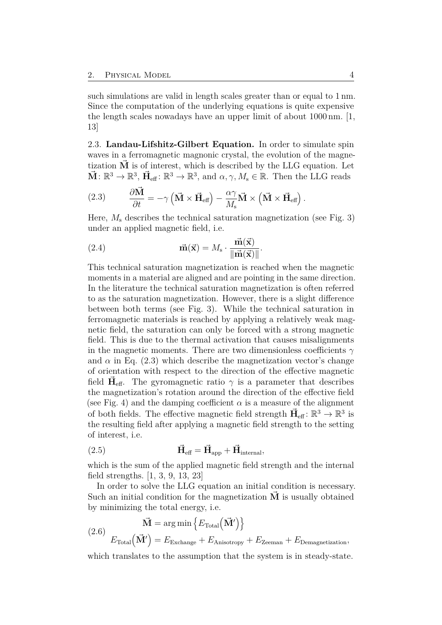<span id="page-9-3"></span>such simulations are valid in length scales greater than or equal to 1 nm. Since the computation of the underlying equations is quite expensive the length scales nowadays have an upper limit of about 1000 nm. [\[1,](#page-53-3) [13\]](#page-54-2)

<span id="page-9-0"></span>2.3. **Landau-Lifshitz-Gilbert Equation.** In order to simulate spin waves in a ferromagnetic magnonic crystal, the evolution of the magnetization  $\dot{M}$  is of interest, which is described by the LLG equation. Let  $\vec{M} : \mathbb{R}^3 \to \mathbb{R}^3$ ,  $\vec{H}_{\text{eff}} : \mathbb{R}^3 \to \mathbb{R}^3$ , and  $\alpha, \gamma, M_s \in \mathbb{R}$ . Then the LLG reads

<span id="page-9-1"></span>(2.3) 
$$
\frac{\partial \vec{M}}{\partial t} = -\gamma \left( \vec{M} \times \vec{H}_{\text{eff}} \right) - \frac{\alpha \gamma}{M_s} \vec{M} \times \left( \vec{M} \times \vec{H}_{\text{eff}} \right).
$$

Here, *M*<sup>s</sup> describes the technical saturation magnetization (see Fig. [3\)](#page-10-1) under an applied magnetic field, i.e.

(2.4) 
$$
\vec{\mathbf{m}}(\vec{\mathbf{x}}) = M_s \cdot \frac{\vec{\mathbf{m}}(\vec{\mathbf{x}})}{\|\vec{\mathbf{m}}(\vec{\mathbf{x}})\|}.
$$

This technical saturation magnetization is reached when the magnetic moments in a material are aligned and are pointing in the same direction. In the literature the technical saturation magnetization is often referred to as the saturation magnetization. However, there is a slight difference between both terms (see Fig. [3\)](#page-10-1). While the technical saturation in ferromagnetic materials is reached by applying a relatively weak magnetic field, the saturation can only be forced with a strong magnetic field. This is due to the thermal activation that causes misalignments in the magnetic moments. There are two dimensionless coefficients  $\gamma$ and  $\alpha$  in Eq. [\(2.3\)](#page-9-1) which describe the magnetization vector's change of orientation with respect to the direction of the effective magnetic field  $\vec{H}_{\text{eff}}$ . The gyromagnetic ratio  $\gamma$  is a parameter that describes the magnetization's rotation around the direction of the effective field (see Fig. [4\)](#page-10-2) and the damping coefficient  $\alpha$  is a measure of the alignment of both fields. The effective magnetic field strength  $\vec{H}_{\text{eff}}$ :  $\mathbb{R}^3 \to \mathbb{R}^3$  is the resulting field after applying a magnetic field strength to the setting of interest, i.e.

(2.5) 
$$
\vec{H}_{\text{eff}} = \vec{H}_{\text{app}} + \vec{H}_{\text{internal}},
$$

which is the sum of the applied magnetic field strength and the internal field strengths. [\[1,](#page-53-3) [3,](#page-53-4) [9,](#page-53-5) [13,](#page-54-2) [23\]](#page-55-2)

In order to solve the LLG equation an initial condition is necessary. Such an initial condition for the magnetization  $\dot{M}$  is usually obtained by minimizing the total energy, i.e.

<span id="page-9-2"></span>
$$
\vec{\mathbf{M}} = \arg\min \left\{ E_{\text{Total}} \left( \vec{\mathbf{M}}' \right) \right\}
$$
\n
$$
(2.6) \quad E_{\text{Total}} \left( \vec{\mathbf{M}}' \right) = E_{\text{Exchange}} + E_{\text{Anisotropy}} + E_{\text{Zeeman}} + E_{\text{Demagnetization}},
$$

which translates to the assumption that the system is in steady-state.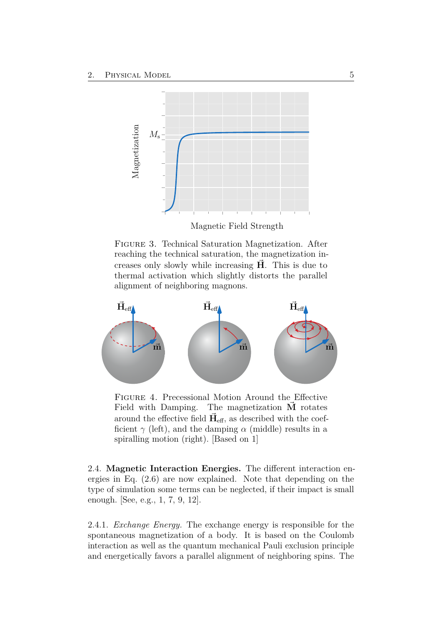<span id="page-10-4"></span><span id="page-10-1"></span>

Magnetic Field Strength

Figure 3. Technical Saturation Magnetization. After reaching the technical saturation, the magnetization increases only slowly while increasing **H***~* . This is due to thermal activation which slightly distorts the parallel alignment of neighboring magnons.

<span id="page-10-2"></span>

Figure 4. Precessional Motion Around the Effective Field with Damping. The magnetization  $\vec{M}$  rotates around the effective field  $\vec{H}_{\text{eff}}$ , as described with the coefficient  $\gamma$  (left), and the damping  $\alpha$  (middle) results in a spiralling motion (right). [Based on [1\]](#page-53-3)

<span id="page-10-0"></span>2.4. **Magnetic Interaction Energies.** The different interaction energies in Eq. [\(2.6\)](#page-9-2) are now explained. Note that depending on the type of simulation some terms can be neglected, if their impact is small enough. [See, e.g., [1,](#page-53-3) [7,](#page-53-1) [9,](#page-53-5) [12\]](#page-54-3).

<span id="page-10-3"></span>2.4.1. *Exchange Energy.* The exchange energy is responsible for the spontaneous magnetization of a body. It is based on the Coulomb interaction as well as the quantum mechanical Pauli exclusion principle and energetically favors a parallel alignment of neighboring spins. The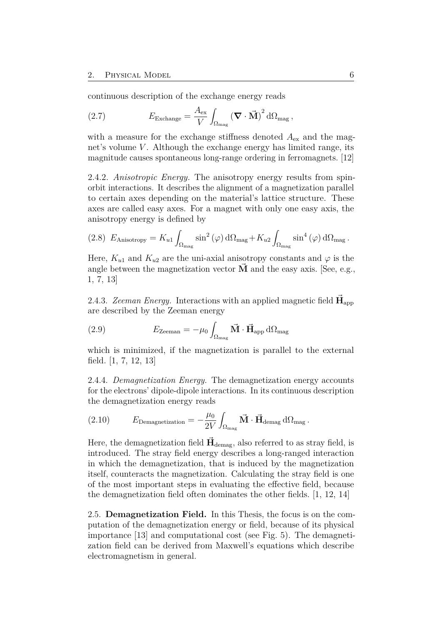<span id="page-11-1"></span>continuous description of the exchange energy reads

(2.7) 
$$
E_{\text{Exchange}} = \frac{A_{\text{ex}}}{V} \int_{\Omega_{\text{mag}}} (\mathbf{\nabla} \cdot \mathbf{\vec{M}})^2 d\Omega_{\text{mag}},
$$

with a measure for the exchange stiffness denoted  $A_{\text{ex}}$  and the magnet's volume *V*. Although the exchange energy has limited range, its magnitude causes spontaneous long-range ordering in ferromagnets. [\[12\]](#page-54-3)

2.4.2. *Anisotropic Energy.* The anisotropy energy results from spinorbit interactions. It describes the alignment of a magnetization parallel to certain axes depending on the material's lattice structure. These axes are called easy axes. For a magnet with only one easy axis, the anisotropy energy is defined by

(2.8) 
$$
E_{\text{Anisotropy}} = K_{u1} \int_{\Omega_{\text{mag}}} \sin^2(\varphi) d\Omega_{\text{mag}} + K_{u2} \int_{\Omega_{\text{mag}}} \sin^4(\varphi) d\Omega_{\text{mag}}.
$$

Here,  $K_{u1}$  and  $K_{u2}$  are the uni-axial anisotropy constants and  $\varphi$  is the angle between the magnetization vector **M** and the easy axis. [See, e.g., [1,](#page-53-3) [7,](#page-53-1) [13\]](#page-54-2)

2.4.3. *Zeeman Energy.* Interactions with an applied magnetic field  $\vec{H}_{app}$ are described by the Zeeman energy

(2.9) 
$$
E_{\text{Zeeman}} = -\mu_0 \int_{\Omega_{\text{mag}}} \vec{\mathbf{M}} \cdot \vec{\mathbf{H}}_{\text{app}} d\Omega_{\text{mag}}
$$

which is minimized, if the magnetization is parallel to the external field. [\[1,](#page-53-3) [7,](#page-53-1) [12,](#page-54-3) [13\]](#page-54-2)

2.4.4. *Demagnetization Energy.* The demagnetization energy accounts for the electrons' dipole-dipole interactions. In its continuous description the demagnetization energy reads

(2.10) 
$$
E_{\text{Demagnetization}} = -\frac{\mu_0}{2V} \int_{\Omega_{\text{mag}}} \vec{\mathbf{M}} \cdot \vec{\mathbf{H}}_{\text{demag}} d\Omega_{\text{mag}}.
$$

Here, the demagnetization field  $\vec{H}_{\text{demag}}$ , also referred to as stray field, is introduced. The stray field energy describes a long-ranged interaction in which the demagnetization, that is induced by the magnetization itself, counteracts the magnetization. Calculating the stray field is one of the most important steps in evaluating the effective field, because the demagnetization field often dominates the other fields. [\[1,](#page-53-3) [12,](#page-54-3) [14\]](#page-54-4)

<span id="page-11-0"></span>2.5. **Demagnetization Field.** In this Thesis, the focus is on the computation of the demagnetization energy or field, because of its physical importance [\[13\]](#page-54-2) and computational cost (see Fig. [5\)](#page-13-1). The demagnetization field can be derived from Maxwell's equations which describe electromagnetism in general.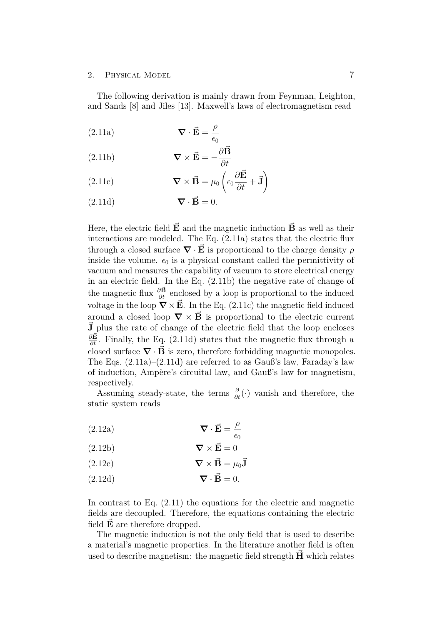<span id="page-12-5"></span><span id="page-12-4"></span>The following derivation is mainly drawn from Feynman, Leighton, and Sands [\[8\]](#page-53-6) and Jiles [\[13\]](#page-54-2). Maxwell's laws of electromagnetism read

<span id="page-12-0"></span> $\nabla \cdot \vec{E} = \frac{\rho}{\rho}$  $\epsilon_0$ (2.11a)

<span id="page-12-1"></span>(2.11b) 
$$
\nabla \times \vec{\mathbf{E}} = -\frac{\partial \vec{\mathbf{B}}}{\partial t}
$$

<span id="page-12-2"></span>(2.11c) 
$$
\nabla \times \vec{\mathbf{B}} = \mu_0 \left( \epsilon_0 \frac{\partial \vec{\mathbf{E}}}{\partial t} + \vec{\mathbf{J}} \right)
$$

<span id="page-12-3"></span> $(2.11d)$   $\qquad \nabla \cdot \vec{B} = 0.$ 

Here, the electric field  $\vec{E}$  and the magnetic induction  $\vec{B}$  as well as their interactions are modeled. The Eq. [\(2.11a\)](#page-12-0) states that the electric flux through a closed surface  $\nabla \cdot \vec{E}$  is proportional to the charge density  $\rho$ inside the volume.  $\epsilon_0$  is a physical constant called the permittivity of vacuum and measures the capability of vacuum to store electrical energy in an electric field. In the Eq. [\(2.11b\)](#page-12-1) the negative rate of change of the magnetic flux  $\frac{\partial \vec{B}}{\partial t}$  enclosed by a loop is proportional to the induced voltage in the loop  $\nabla \times \vec{E}$ . In the Eq. [\(2.11c\)](#page-12-2) the magnetic field induced around a closed loop  $\nabla \times \vec{B}$  is proportional to the electric current  $\vec{J}$  plus the rate of change of the electric field that the loop encloses  $\frac{\partial \vec{E}}{\partial t}$ . Finally, the Eq. [\(2.11d\)](#page-12-3) states that the magnetic flux through a closed surface  $\nabla \cdot \vec{B}$  is zero, therefore forbidding magnetic monopoles. The Eqs. [\(2.11a\)](#page-12-0)–[\(2.11d\)](#page-12-3) are referred to as Gauß's law, Faraday's law of induction, Ampère's circuital law, and Gauß's law for magnetism, respectively.

Assuming steady-state, the terms  $\frac{\partial}{\partial t}(\cdot)$  vanish and therefore, the static system reads

(2.12a) 
$$
\nabla \cdot \vec{\mathbf{E}} = \frac{\rho}{\epsilon_0}
$$

$$
(2.12b) \t\t \nabla \times \vec{E} = 0
$$

$$
(2.12c) \t\t \nabla \times \vec{B} = \mu_0 \vec{J}
$$

 $(2.12d)$   $\qquad \qquad \nabla \cdot \vec{B} = 0.$ 

In contrast to Eq.  $(2.11)$  the equations for the electric and magnetic fields are decoupled. Therefore, the equations containing the electric field  $\vec{E}$  are therefore dropped.

The magnetic induction is not the only field that is used to describe a material's magnetic properties. In the literature another field is often used to describe magnetism: the magnetic field strength **H***~* which relates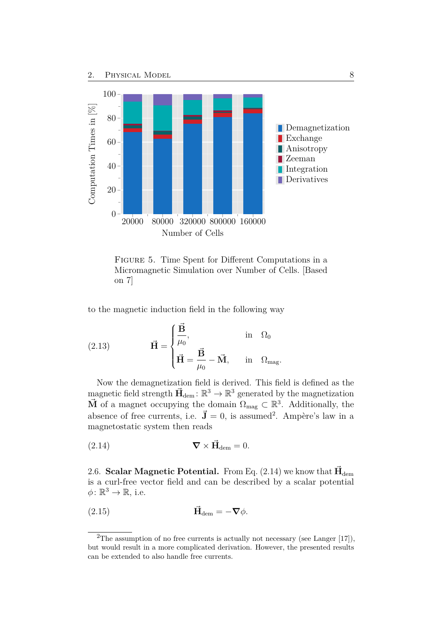<span id="page-13-5"></span><span id="page-13-1"></span>

<span id="page-13-4"></span>Figure 5. Time Spent for Different Computations in a Micromagnetic Simulation over Number of Cells. [Based on [7\]](#page-53-1)

to the magnetic induction field in the following way

(2.13) 
$$
\vec{H} = \begin{cases} \frac{\vec{B}}{\mu_0}, & \text{in } \Omega_0 \\ \vec{H} = \frac{\vec{B}}{\mu_0} - \vec{M}, & \text{in } \Omega_{\text{mag}}. \end{cases}
$$

Now the demagnetization field is derived. This field is defined as the magnetic field strength  $\vec{H}_{\text{dem}}$ :  $\mathbb{R}^3 \to \mathbb{R}^3$  generated by the magnetization **M** of a magnet occupying the domain  $\Omega_{\text{mag}} \subset \mathbb{R}^3$ . Additionally, the absence of free currents, i.e.  $\vec{J} = 0$ , is assumed<sup>[2](#page-13-2)</sup>. Ampère's law in a magnetostatic system then reads

<span id="page-13-3"></span>
$$
(2.14) \t\t \nabla \times \vec{H}_{dem} = 0.
$$

<span id="page-13-0"></span>2.6. **Scalar Magnetic Potential.** From Eq. [\(2.14\)](#page-13-3) we know that  $\vec{H}_{\text{dem}}$ is a curl-free vector field and can be described by a scalar potential  $\phi \colon \mathbb{R}^3 \to \mathbb{R}$ , i.e.

$$
\vec{\mathbf{H}}_{\text{dem}} = -\nabla \phi.
$$

<span id="page-13-2"></span><sup>&</sup>lt;sup>2</sup>The assumption of no free currents is actually not necessary (see Langer  $[17]$ ), but would result in a more complicated derivation. However, the presented results can be extended to also handle free currents.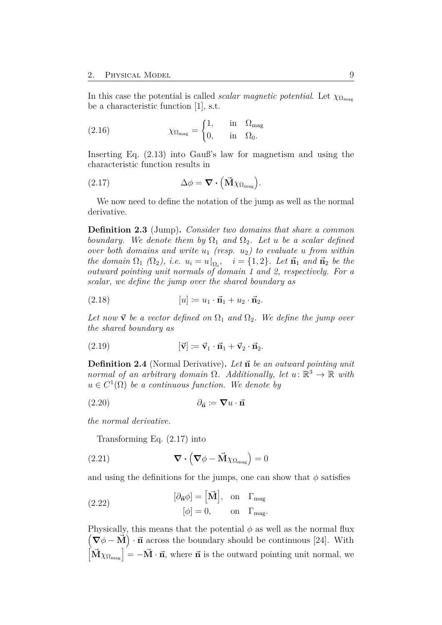<span id="page-14-1"></span>In this case the potential is called *scalar magnetic potential*. Let  $\chi_{\Omega_{\text{max}}}$ be a characteristic function [\[1\]](#page-53-3), s.t.

(2.16) 
$$
\chi_{\Omega_{\text{mag}}} = \begin{cases} 1, & \text{in } \Omega_{\text{mag}} \\ 0, & \text{in } \Omega_0. \end{cases}
$$

<span id="page-14-0"></span>Inserting Eq. [\(2.13\)](#page-13-4) into Gauß's law for magnetism and using the characteristic function results in

(2.17) 
$$
\Delta \phi = \mathbf{\nabla} \cdot (\mathbf{\vec{M}} \chi_{\Omega_{\text{mag}}}).
$$

We now need to define the notation of the jump as well as the normal derivative.

**Definition 2.3** (Jump)**.** *Consider two domains that share a common boundary.* We denote them by  $\Omega_1$  *and*  $\Omega_2$ . Let *u be a scalar defined over both domains and write*  $u_1$  *(resp.*  $u_2$ *) to evaluate u from within the domain*  $\Omega_1$   $(\Omega_2)$ , *i.e.*  $u_i = u|_{\Omega_i}$ ,  $i = \{1, 2\}$ *. Let*  $\vec{n}_1$  *and*  $\vec{n}_2$  *be the outward pointing unit normals of domain 1 and 2, respectively. For a scalar, we define the jump over the shared boundary as*

$$
(2.18) \t\t [u] \coloneqq u_1 \cdot \vec{\mathbf{n}}_1 + u_2 \cdot \vec{\mathbf{n}}_2.
$$

Let now  $\vec{v}$  be a vector defined on  $\Omega_1$  and  $\Omega_2$ . We define the jump over *the shared boundary as*

$$
(2.19) \qquad \qquad [\vec{v}] \coloneqq \vec{v}_1 \cdot \vec{n}_1 + \vec{v}_2 \cdot \vec{n}_2.
$$

**Definition 2.4** (Normal Derivative)**.** *Let ~***n** *be an outward pointing unit normal of an arbitrary domain*  $\Omega$ . Additionally, let  $u: \mathbb{R}^3 \to \mathbb{R}$  with  $u \in C^1(\Omega)$  *be a continuous function. We denote by* 

$$
(2.20) \t\t\t \partial_{\vec{n}} := \nabla u \cdot \vec{n}
$$

*the normal derivative.*

Transforming Eq. [\(2.17\)](#page-14-0) into

(2.21) 
$$
\nabla \cdot (\nabla \phi - \vec{M} \chi_{\Omega_{\text{mag}}}) = 0
$$

and using the definitions for the jumps, one can show that  $\phi$  satisfies

(2.22) 
$$
[\partial_{\vec{n}} \phi] = [\vec{M}], \text{ on } \Gamma_{\text{mag}}
$$

$$
[\phi] = 0, \text{ on } \Gamma_{\text{mag}}.
$$

Physically, this means that the potential  $\phi$  as well as the normal flux  $(\nabla \phi - \vec{M}) \cdot \vec{n}$  across the boundary should be continuous [\[24\]](#page-55-3). With  $\left[\vec{M}\chi_{\Omega_{\text{mag}}}\right] = -\vec{M} \cdot \vec{n}$ , where  $\vec{n}$  is the outward pointing unit normal, we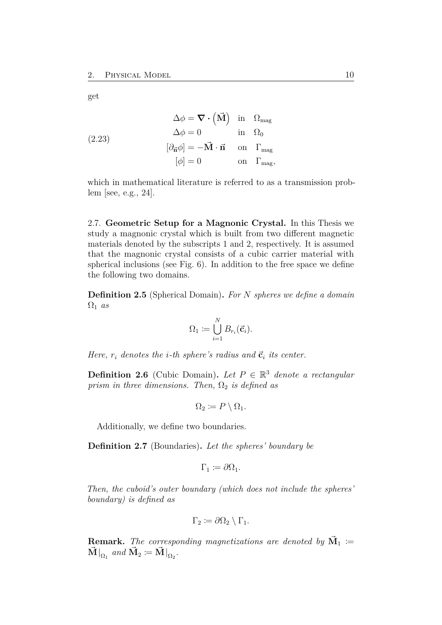<span id="page-15-1"></span>get

(2.23)  
\n
$$
\Delta \phi = \nabla \cdot (\vec{M}) \text{ in } \Omega_{\text{mag}}
$$
\n
$$
\Delta \phi = 0 \text{ in } \Omega_{0}
$$
\n
$$
[\partial_{\vec{n}} \phi] = -\vec{M} \cdot \vec{n} \text{ on } \Gamma_{\text{mag}}
$$
\n
$$
[\phi] = 0 \text{ on } \Gamma_{\text{mag}},
$$

which in mathematical literature is referred to as a transmission problem [see, e.g., [24\]](#page-55-3).

<span id="page-15-0"></span>2.7. **Geometric Setup for a Magnonic Crystal.** In this Thesis we study a magnonic crystal which is built from two different magnetic materials denoted by the subscripts 1 and 2, respectively. It is assumed that the magnonic crystal consists of a cubic carrier material with spherical inclusions (see Fig. [6\)](#page-16-0). In addition to the free space we define the following two domains.

**Definition 2.5** (Spherical Domain)**.** *For N spheres we define a domain*  $\Omega_1$  *as* 

$$
\Omega_1 \coloneqq \bigcup_{i=1}^N B_{r_i}(\vec{c}_i).
$$

*Here,*  $r_i$  *denotes the i*-th *sphere's radius and*  $\vec{c}_i$  *its center.* 

**Definition 2.6** (Cubic Domain). Let  $P \in \mathbb{R}^3$  denote a rectangular *prism in three dimensions. Then,*  $\Omega_2$  *is defined as* 

$$
\Omega_2 := P \setminus \Omega_1.
$$

Additionally, we define two boundaries.

**Definition 2.7** (Boundaries)**.** *Let the spheres' boundary be*

$$
\Gamma_1 \coloneqq \partial \Omega_1.
$$

*Then, the cuboid's outer boundary (which does not include the spheres' boundary) is defined as*

$$
\Gamma_2 \coloneqq \partial \Omega_2 \setminus \Gamma_1.
$$

**Remark.** The corresponding magnetizations are denoted by  $\vec{M}_1$  :=  $\vec{\mathbf{M}}|_{\Omega_1}$  and  $\vec{\mathbf{M}}_2 \coloneqq \vec{\mathbf{M}}|_{\Omega_2}$ .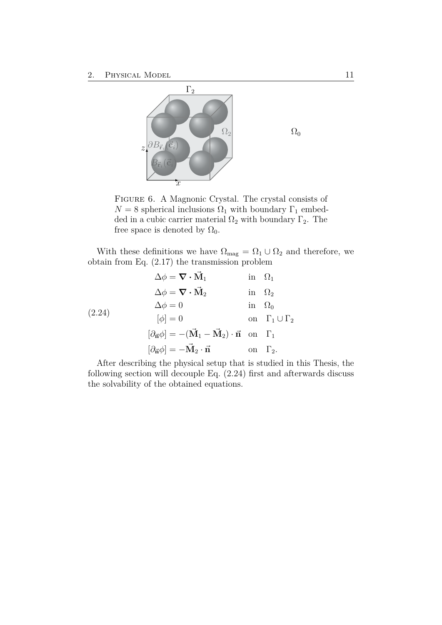<span id="page-16-0"></span>

Figure 6. A Magnonic Crystal. The crystal consists of  $N = 8$  spherical inclusions  $\Omega_1$  with boundary  $\Gamma_1$  embedded in a cubic carrier material  $\Omega_2$  with boundary  $\Gamma_2$ . The free space is denoted by  $\Omega_0$ .

With these definitions we have  $\Omega_{\text{mag}} = \Omega_1 \cup \Omega_2$  and therefore, we obtain from Eq. [\(2.17\)](#page-14-0) the transmission problem

$$
\Delta \phi = \nabla \cdot \vec{M}_1 \quad \text{in } \Omega_1
$$
  
\n
$$
\Delta \phi = \nabla \cdot \vec{M}_2 \quad \text{in } \Omega_2
$$
  
\n
$$
\Delta \phi = 0 \quad \text{in } \Omega_0
$$
  
\n
$$
[\phi] = 0 \quad \text{on } \Gamma_1 \cup \Gamma_2
$$
  
\n
$$
[\partial_{\vec{n}} \phi] = -(\vec{M}_1 - \vec{M}_2) \cdot \vec{n} \quad \text{on } \Gamma_1
$$
  
\n
$$
[\partial_{\vec{n}} \phi] = -\vec{M}_2 \cdot \vec{n} \quad \text{on } \Gamma_2.
$$

After describing the physical setup that is studied in this Thesis, the following section will decouple Eq. [\(2.24\)](#page-16-1) first and afterwards discuss the solvability of the obtained equations.

<span id="page-16-1"></span> $\Omega_0$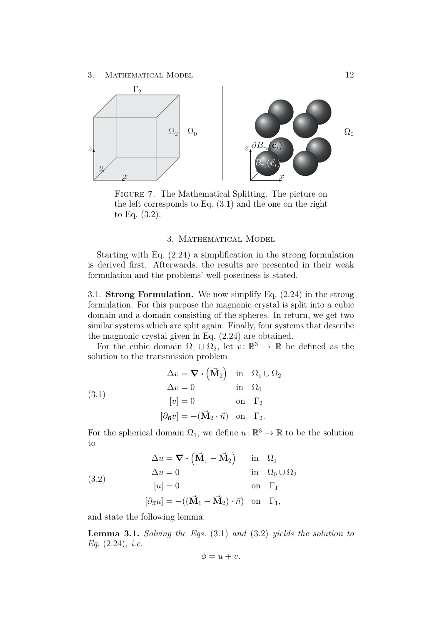<span id="page-17-2"></span>

Figure 7. The Mathematical Splitting. The picture on the left corresponds to Eq. [\(3.1\)](#page-17-3) and the one on the right to Eq. [\(3.2\)](#page-17-4).

#### <span id="page-17-3"></span>3. Mathematical Model

<span id="page-17-0"></span>Starting with Eq. [\(2.24\)](#page-16-1) a simplification in the strong formulation is derived first. Afterwards, the results are presented in their weak formulation and the problems' well-posedness is stated.

<span id="page-17-1"></span>3.1. **Strong Formulation.** We now simplify Eq. [\(2.24\)](#page-16-1) in the strong formulation. For this purpose the magnonic crystal is split into a cubic domain and a domain consisting of the spheres. In return, we get two similar systems which are split again. Finally, four systems that describe the magnonic crystal given in Eq. [\(2.24\)](#page-16-1) are obtained.

For the cubic domain  $\Omega_1 \cup \overline{\Omega}_2$ , let  $v: \mathbb{R}^3 \to \mathbb{R}$  be defined as the solution to the transmission problem

|       | $\Delta v = \nabla \cdot (\vec{M}_2)$ in $\Omega_1 \cup \Omega_2$    |               |               |
|-------|----------------------------------------------------------------------|---------------|---------------|
|       | $\Delta v = 0$                                                       |               | in $\Omega_0$ |
| (3.1) | $[v] = 0$                                                            | on $\Gamma_2$ |               |
|       | $[\partial_{\vec{n}}v] = -(\vec{M}_2 \cdot \vec{n})$ on $\Gamma_2$ . |               |               |

<span id="page-17-4"></span>For the spherical domain  $\Omega_1$ , we define  $u: \mathbb{R}^3 \to \mathbb{R}$  to be the solution to

(3.2)  
\n
$$
\Delta u = \nabla \cdot (\vec{M}_1 - \vec{M}_2) \quad \text{in} \quad \Omega_1
$$
\n
$$
\Delta u = 0 \quad \text{in} \quad \Omega_0 \cup \Omega_2
$$
\n
$$
[u] = 0 \quad \text{on} \quad \Gamma_1
$$
\n
$$
[\partial_{\vec{n}} u] = -((\vec{M}_1 - \vec{M}_2) \cdot \vec{n}) \quad \text{on} \quad \Gamma_1,
$$

and state the following lemma.

**Lemma 3.1.** *Solving the Eqs.* [\(3.1\)](#page-17-3) *and* [\(3.2\)](#page-17-4) *yields the solution to Eq.* [\(2.24\)](#page-16-1)*, i.e.*

$$
\phi = u + v.
$$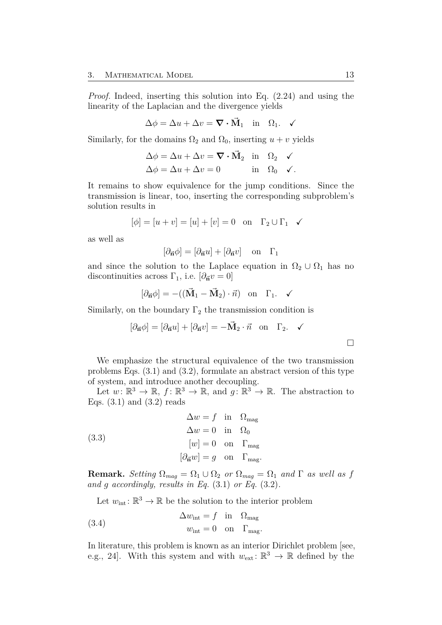<span id="page-18-2"></span>*Proof.* Indeed, inserting this solution into Eq. [\(2.24\)](#page-16-1) and using the linearity of the Laplacian and the divergence yields

$$
\Delta \phi = \Delta u + \Delta v = \nabla \cdot \vec{\mathbf{M}}_1 \quad \text{in} \quad \Omega_1. \quad \checkmark
$$

Similarly, for the domains  $\Omega_2$  and  $\Omega_0$ , inserting  $u + v$  yields

$$
\Delta \phi = \Delta u + \Delta v = \nabla \cdot \vec{M}_2 \quad \text{in} \quad \Omega_2 \quad \checkmark
$$
  

$$
\Delta \phi = \Delta u + \Delta v = 0 \quad \text{in} \quad \Omega_0 \quad \checkmark.
$$

It remains to show equivalence for the jump conditions. Since the transmission is linear, too, inserting the corresponding subproblem's solution results in

$$
[\phi] = [u + v] = [u] + [v] = 0 \quad \text{on} \quad \Gamma_2 \cup \Gamma_1 \quad \checkmark
$$

as well as

$$
[\partial_{\vec{n}}\phi] = [\partial_{\vec{n}}u] + [\partial_{\vec{n}}v] \text{ on } \Gamma_1
$$

and since the solution to the Laplace equation in  $\Omega_2 \cup \Omega_1$  has no discontinuities across  $\Gamma_1$ , i.e.  $[\partial_{\vec{n}}v = 0]$ 

$$
[\partial_{\vec{n}}\phi] = -((\vec{M}_1 - \vec{M}_2) \cdot \vec{n}) \text{ on } \Gamma_1. \quad \checkmark
$$

Similarly, on the boundary  $\Gamma_2$  the transmission condition is

<span id="page-18-1"></span>
$$
[\partial_{\vec{n}}\phi] = [\partial_{\vec{n}}u] + [\partial_{\vec{n}}v] = -\vec{M}_2 \cdot \vec{n} \text{ on } \Gamma_2. \quad \checkmark
$$

We emphasize the structural equivalence of the two transmission problems Eqs. [\(3.1\)](#page-17-3) and [\(3.2\)](#page-17-4), formulate an abstract version of this type of system, and introduce another decoupling.

Let  $w: \mathbb{R}^3 \to \mathbb{R}, f: \mathbb{R}^3 \to \mathbb{R}, \text{ and } g: \mathbb{R}^3 \to \mathbb{R}.$  The abstraction to Eqs.  $(3.1)$  and  $(3.2)$  reads

(3.3)  
\n
$$
\Delta w = f \text{ in } \Omega_{\text{mag}}
$$
\n
$$
\Delta w = 0 \text{ in } \Omega_{0}
$$
\n
$$
[w] = 0 \text{ on } \Gamma_{\text{mag}}
$$
\n
$$
[\partial_{\vec{n}}w] = g \text{ on } \Gamma_{\text{mag}}.
$$

**Remark.** *Setting*  $\Omega_{mag} = \Omega_1 \cup \Omega_2$  *or*  $\Omega_{mag} = \Omega_1$  *and*  $\Gamma$  *as well as f and g accordingly, results in Eq.* [\(3.1\)](#page-17-3) *or Eq.* [\(3.2\)](#page-17-4)*.*

<span id="page-18-0"></span>Let  $w_{\text{int}}: \mathbb{R}^3 \to \mathbb{R}$  be the solution to the interior problem

(3.4) 
$$
\Delta w_{\text{int}} = f \text{ in } \Omega_{\text{mag}}
$$

$$
w_{\text{int}} = 0 \text{ on } \Gamma_{\text{mag}}
$$

In literature, this problem is known as an interior Dirichlet problem [see, e.g., [24\]](#page-55-3). With this system and with  $w_{\text{ext}}: \mathbb{R}^3 \to \mathbb{R}$  defined by the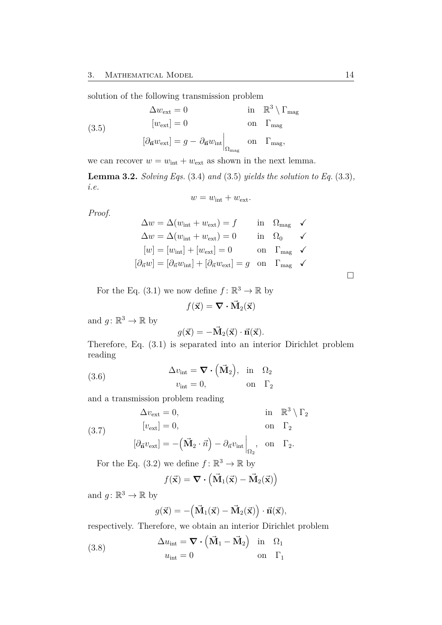solution of the following transmission problem

(3.5) 
$$
\Delta w_{\text{ext}} = 0 \quad \text{in} \quad \mathbb{R}^3 \setminus \Gamma_{\text{mag}}
$$

$$
[w_{\text{ext}}] = 0 \quad \text{on} \quad \Gamma_{\text{mag}}
$$

$$
[\partial_{\vec{n}} w_{\text{ext}}] = g - \partial_{\vec{n}} w_{\text{int}} \Big|_{\Omega_{\text{mag}}} \quad \text{on} \quad \Gamma_{\text{mag}},
$$

we can recover  $w = w_{int} + w_{ext}$  as shown in the next lemma.

**Lemma 3.2.** *Solving Eqs.* [\(3.4\)](#page-18-0) *and* [\(3.5\)](#page-19-0) *yields the solution to Eq.* [\(3.3\)](#page-18-1)*, i.e.*

<span id="page-19-0"></span>
$$
w = w_{\text{int}} + w_{\text{ext}}.
$$

*Proof.*

$$
\Delta w = \Delta (w_{\text{int}} + w_{\text{ext}}) = f \qquad \text{in} \quad \Omega_{\text{mag}} \quad \checkmark
$$
  
\n
$$
\Delta w = \Delta (w_{\text{int}} + w_{\text{ext}}) = 0 \qquad \text{in} \quad \Omega_0 \quad \checkmark
$$
  
\n
$$
[w] = [w_{\text{int}}] + [w_{\text{ext}}] = 0 \qquad \text{on} \quad \Gamma_{\text{mag}} \quad \checkmark
$$
  
\n
$$
[\partial_{\vec{n}} w] = [\partial_{\vec{n}} w_{\text{int}}] + [\partial_{\vec{n}} w_{\text{ext}}] = g \quad \text{on} \quad \Gamma_{\text{mag}} \quad \checkmark
$$

For the Eq.  $(3.1)$  we now define  $f: \mathbb{R}^3 \to \mathbb{R}$  by

$$
f(\vec{\mathbf{x}}) = \nabla \cdot \vec{\mathbf{M}}_2(\vec{\mathbf{x}})
$$

and  $g: \mathbb{R}^3 \to \mathbb{R}$  by

<span id="page-19-3"></span>
$$
g(\vec{\mathbf{x}}) = -\vec{\mathbf{M}}_2(\vec{\mathbf{x}}) \cdot \vec{\mathbf{n}}(\vec{\mathbf{x}}).
$$

<span id="page-19-1"></span>Therefore, Eq. [\(3.1\)](#page-17-3) is separated into an interior Dirichlet problem reading

(3.6) 
$$
\Delta v_{\text{int}} = \nabla \cdot (\vec{M}_2), \text{ in } \Omega_2
$$

$$
v_{\text{int}} = 0, \text{ on } \Gamma_2
$$

and a transmission problem reading

(3.7) 
$$
\Delta v_{\text{ext}} = 0, \qquad \text{in } \mathbb{R}^3 \setminus \Gamma_2
$$

$$
[v_{\text{ext}}] = 0, \qquad \text{on } \Gamma_2
$$

$$
[\partial_{\vec{n}}v_{\text{ext}}] = -(\vec{M}_2 \cdot \vec{n}) - \partial_{\vec{n}}v_{\text{int}}\Big|_{\Omega_2}, \text{ on } \Gamma_2.
$$

For the Eq.  $(3.2)$  we define  $f: \mathbb{R}^3 \to \mathbb{R}$  by

<span id="page-19-2"></span>
$$
f(\vec{\mathbf{x}}) = \nabla \cdot (\vec{\mathbf{M}}_1(\vec{\mathbf{x}}) - \vec{\mathbf{M}}_2(\vec{\mathbf{x}}))
$$

and  $g: \mathbb{R}^3 \to \mathbb{R}$  by

$$
g(\vec{\mathbf{x}}) = -(\vec{\mathbf{M}}_1(\vec{\mathbf{x}}) - \vec{\mathbf{M}}_2(\vec{\mathbf{x}})) \cdot \vec{\mathbf{n}}(\vec{\mathbf{x}}),
$$

respectively. Therefore, we obtain an interior Dirichlet problem

(3.8) 
$$
\Delta u_{\text{int}} = \nabla \cdot (\vec{M}_1 - \vec{M}_2) \text{ in } \Omega_1
$$

$$
u_{\text{int}} = 0 \text{ on } \Gamma_1
$$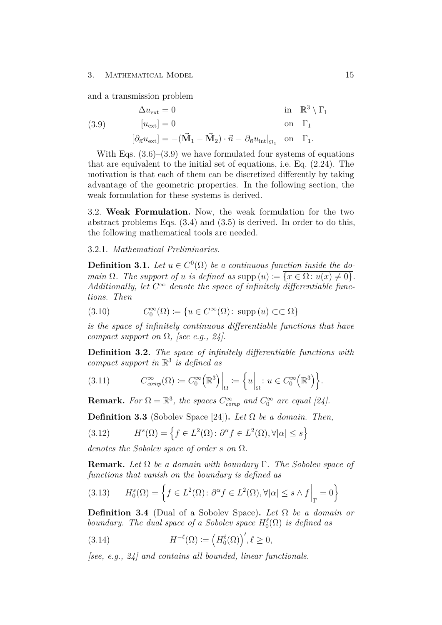<span id="page-20-2"></span><span id="page-20-1"></span>and a transmission problem

(3.9) 
$$
\Delta u_{\text{ext}} = 0 \quad \text{in } \mathbb{R}^3 \setminus \Gamma_1
$$

$$
[u_{\text{ext}}] = 0 \quad \text{on } \Gamma_1
$$

$$
[\partial_{\vec{n}} u_{\text{ext}}] = -(\vec{M}_1 - \vec{M}_2) \cdot \vec{n} - \partial_{\vec{n}} u_{\text{int}}|_{\Omega_1} \text{ on } \Gamma_1.
$$

With Eqs.  $(3.6)$ – $(3.9)$  we have formulated four systems of equations that are equivalent to the initial set of equations, i.e. Eq. [\(2.24\)](#page-16-1). The motivation is that each of them can be discretized differently by taking advantage of the geometric properties. In the following section, the weak formulation for these systems is derived.

<span id="page-20-0"></span>3.2. **Weak Formulation.** Now, the weak formulation for the two abstract problems Eqs. [\(3.4\)](#page-18-0) and [\(3.5\)](#page-19-0) is derived. In order to do this, the following mathematical tools are needed.

#### 3.2.1. *Mathematical Preliminaries.*

**Definition 3.1.** *Let*  $u \in C^0(\Omega)$  *be a continuous function inside the domain*  $\Omega$ *. The support of u is defined as* supp  $(u) := \{x \in \Omega : u(x) \neq 0\}.$ Additionally, let  $C^{\infty}$  denote the space of infinitely differentiable func*tions. Then*

(3.10) 
$$
C_0^{\infty}(\Omega) \coloneqq \{ u \in C^{\infty}(\Omega) \colon \operatorname{supp}(u) \subset\subset \Omega \}
$$

*is the space of infinitely continuous differentiable functions that have compact support on* Ω*, [see e.g., [24\]](#page-55-3).*

**Definition 3.2.** *The space of infinitely differentiable functions with compact support in* R 3 *is defined as*

(3.11) 
$$
C_{comp}^{\infty}(\Omega) := C_0^{\infty}(\mathbb{R}^3) \Big|_{\Omega} := \left\{ u \Big|_{\Omega} : u \in C_0^{\infty}(\mathbb{R}^3) \right\}.
$$

**Remark.** For  $\Omega = \mathbb{R}^3$ , the spaces  $C_{comp}^{\infty}$  and  $C_0^{\infty}$  are equal [\[24\]](#page-55-3).

**Definition 3.3** (Sobolev Space [\[24\]](#page-55-3))**.** *Let* Ω *be a domain. Then,*

(3.12) 
$$
H^{s}(\Omega) = \left\{ f \in L^{2}(\Omega) : \partial^{\alpha} f \in L^{2}(\Omega), \forall |\alpha| \leq s \right\}
$$

*denotes the Sobolev space of order s on* Ω*.*

**Remark.** *Let* Ω *be a domain with boundary* Γ*. The Sobolev space of functions that vanish on the boundary is defined as*

(3.13) 
$$
H_0^s(\Omega) = \left\{ f \in L^2(\Omega) : \partial^{\alpha} f \in L^2(\Omega), \forall |\alpha| \le s \wedge f \Big|_{\Gamma} = 0 \right\}
$$

**Definition 3.4** (Dual of a Sobolev Space)**.** *Let* Ω *be a domain or boundary. The dual space of a Sobolev space*  $H_0^{\ell}(\Omega)$  *is defined as* 

(3.14) 
$$
H^{-\ell}(\Omega) := \left(H_0^{\ell}(\Omega)\right)', \ell \geq 0,
$$

*[see, e.g., [24\]](#page-55-3) and contains all bounded, linear functionals.*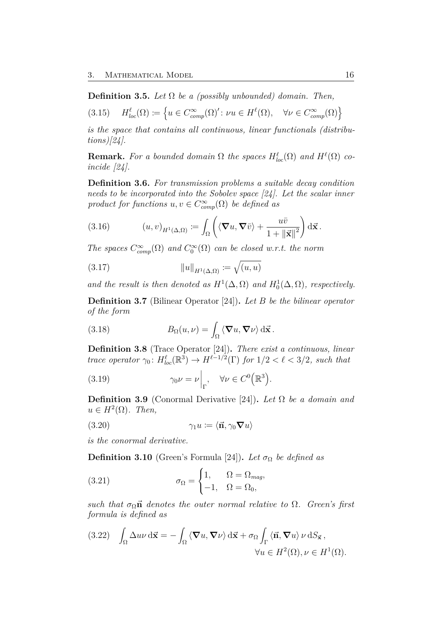**Definition 3.5.** *Let*  $\Omega$  *be a (possibly unbounded) domain. Then,* 

$$
(3.15) \quad H_{loc}^{\ell}(\Omega) \coloneqq \left\{ u \in C_{comp}^{\infty}(\Omega)' : \nu u \in H^{\ell}(\Omega), \quad \forall \nu \in C_{comp}^{\infty}(\Omega) \right\}
$$

*is the space that contains all continuous, linear functionals (distributions)[\[24\]](#page-55-3).*

**Remark.** For a bounded domain  $\Omega$  the spaces  $H^{\ell}_{loc}(\Omega)$  and  $H^{\ell}(\Omega)$  co*incide [\[24\]](#page-55-3).*

**Definition 3.6.** *For transmission problems a suitable decay condition needs to be incorporated into the Sobolev space [\[24\]](#page-55-3). Let the scalar inner product for functions*  $u, v \in C^{\infty}_{comp}(\Omega)$  *be defined as* 

(3.16) 
$$
(u,v)_{H^1(\Delta,\Omega)} := \int_{\Omega} \left( \langle \mathbf{\nabla} u, \mathbf{\nabla} \bar{v} \rangle + \frac{u\bar{v}}{1 + ||\vec{\mathbf{x}}||^2} \right) d\vec{\mathbf{x}}.
$$

*The spaces*  $C_{comp}^{\infty}(\Omega)$  *and*  $C_0^{\infty}(\Omega)$  *can be closed w.r.t. the norm* 

(3.17) 
$$
||u||_{H^1(\Delta,\Omega)} := \sqrt{(u,u)}
$$

*and the result is then denoted as*  $H^1(\Delta, \Omega)$  *and*  $H_0^1(\Delta, \Omega)$ *, respectively.* 

**Definition 3.7** (Bilinear Operator [\[24\]](#page-55-3))**.** *Let B be the bilinear operator of the form*

(3.18) 
$$
B_{\Omega}(u,\nu) = \int_{\Omega} \langle \mathbf{\nabla} u, \mathbf{\nabla} \nu \rangle d\vec{\mathbf{x}}.
$$

**Definition 3.8** (Trace Operator [\[24\]](#page-55-3))**.** *There exist a continuous, linear trace operator*  $\gamma_0$ :  $H_{loc}^{\ell}(\mathbb{R}^3) \to H^{\ell-1/2}(\Gamma)$  *for*  $1/2 < \ell < 3/2$ *, such that* 

(3.19) 
$$
\gamma_0 \nu = \nu \Big|_{\Gamma}, \quad \forall \nu \in C^0 \big( \mathbb{R}^3 \big).
$$

**Definition 3.9** (Conormal Derivative [\[24\]](#page-55-3))**.** *Let* Ω *be a domain and*  $u \in H^2(\Omega)$ *. Then,* 

$$
(3.20) \qquad \qquad \gamma_1 u := \langle \vec{\mathbf{n}}, \gamma_0 \nabla u \rangle
$$

*is the conormal derivative.*

**Definition 3.10** (Green's Formula [\[24\]](#page-55-3)). Let  $\sigma_{\Omega}$  be defined as

(3.21) 
$$
\sigma_{\Omega} = \begin{cases} 1, & \Omega = \Omega_{mag}, \\ -1, & \Omega = \Omega_0, \end{cases}
$$

*such that*  $\sigma_{\Omega} \vec{n}$  *denotes the outer normal relative to*  $\Omega$ *. Green's first formula is defined as*

(3.22) 
$$
\int_{\Omega} \Delta u \nu \, d\vec{x} = - \int_{\Omega} \langle \nabla u, \nabla \nu \rangle \, d\vec{x} + \sigma_{\Omega} \int_{\Gamma} \langle \vec{n}, \nabla u \rangle \nu \, dS_{\vec{x}},
$$

$$
\forall u \in H^{2}(\Omega), \nu \in H^{1}(\Omega).
$$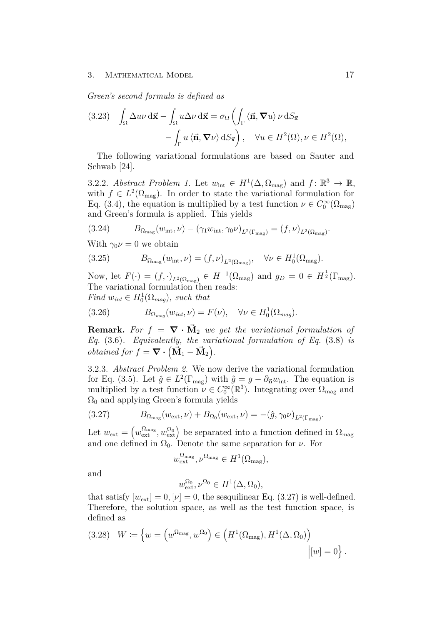*Green's second formula is defined as*

(3.23) 
$$
\int_{\Omega} \Delta u \nu \, d\vec{x} - \int_{\Omega} u \Delta \nu \, d\vec{x} = \sigma_{\Omega} \left( \int_{\Gamma} \langle \vec{n}, \nabla u \rangle \nu \, dS_{\vec{x}} - \int_{\Gamma} u \langle \vec{n}, \nabla \nu \rangle \, dS_{\vec{x}} \right), \quad \forall u \in H^{2}(\Omega), \nu \in H^{2}(\Omega),
$$

The following variational formulations are based on Sauter and Schwab [\[24\]](#page-55-3).

<span id="page-22-1"></span>3.2.2. *Abstract Problem 1.* Let  $w_{\text{int}} \in H^1(\Delta, \Omega_{\text{mag}})$  and  $f: \mathbb{R}^3 \to \mathbb{R}$ , with  $f \in L^2(\Omega_{\text{mag}})$ . In order to state the variational formulation for Eq. [\(3.4\)](#page-18-0), the equation is multiplied by a test function  $\nu \in C_0^{\infty}(\Omega_{\text{mag}})$ and Green's formula is applied. This yields

(3.24) 
$$
B_{\Omega_{\text{mag}}}(w_{\text{int}}, \nu) - (\gamma_1 w_{\text{int}}, \gamma_0 \nu)_{L^2(\Gamma_{\text{mag}})} = (f, \nu)_{L^2(\Omega_{\text{mag}})}.
$$

With  $\gamma_0 \nu = 0$  we obtain

(3.25) 
$$
B_{\Omega_{\text{mag}}}(w_{\text{int}}, \nu) = (f, \nu)_{L^2(\Omega_{\text{mag}})}, \quad \forall \nu \in H_0^1(\Omega_{\text{mag}}).
$$

Now, let  $F(\cdot) = (f, \cdot)_{L^2(\Omega_{\text{mag}})} \in H^{-1}(\Omega_{\text{mag}})$  and  $g_D = 0 \in H^{\frac{1}{2}}(\Gamma_{\text{mag}})$ . The variational formulation then reads: *Find*  $w_{int} \in H_0^1(\Omega_{mag})$ *, such that* 

<span id="page-22-3"></span>(3.26) 
$$
B_{\Omega_{mag}}(w_{int}, \nu) = F(\nu), \quad \forall \nu \in H_0^1(\Omega_{mag}).
$$

**Remark.** For  $f = \nabla \cdot \vec{M}_2$  we get the variational formulation of *Eq.* [\(3.6\)](#page-19-1)*. Equivalently, the variational formulation of Eq.* [\(3.8\)](#page-19-2) *is obtained for*  $f = \nabla \cdot (\vec{M}_1 - \vec{M}_2).$ 

<span id="page-22-2"></span>3.2.3. *Abstract Problem 2.* We now derive the variational formulation for Eq. [\(3.5\)](#page-19-0). Let  $\hat{g} \in L^2(\Gamma_{\text{mag}})$  with  $\hat{g} = g - \partial_{\vec{n}}w_{\text{int}}$ . The equation is multiplied by a test function  $\nu \in C_0^{\infty}(\mathbb{R}^3)$ . Integrating over  $\Omega_{\text{mag}}$  and  $\Omega_0$  and applying Green's formula yields

(3.27) 
$$
B_{\Omega_{\text{mag}}}(w_{\text{ext}}, \nu) + B_{\Omega_0}(w_{\text{ext}}, \nu) = -(\hat{g}, \gamma_0 \nu)_{L^2(\Gamma_{\text{mag}})}.
$$

Let  $w_{\text{ext}} = (w_{\text{ext}}^{\Omega_{\text{mag}}}, w_{\text{ext}}^{\Omega_0})$  be separated into a function defined in  $\Omega_{\text{mag}}$ and one defined in  $\Omega_0$ . Denote the same separation for *ν*. For

<span id="page-22-0"></span>
$$
w_{\text{ext}}^{\Omega_{\text{mag}}}, \nu^{\Omega_{\text{mag}}} \in H^1(\Omega_{\text{mag}}),
$$

and

$$
w_{\text{ext}}^{\Omega_0}, \nu^{\Omega_0} \in H^1(\Delta, \Omega_0),
$$

that satisfy  $[w_{\text{ext}}] = 0$ ,  $[\nu] = 0$ , the sesquilinear Eq. [\(3.27\)](#page-22-0) is well-defined. Therefore, the solution space, as well as the test function space, is defined as

(3.28) 
$$
W := \left\{ w = \left( w^{\Omega_{\text{mag}}}, w^{\Omega_0} \right) \in \left( H^1(\Omega_{\text{mag}}), H^1(\Delta, \Omega_0) \right) \middle| [w] = 0 \right\}.
$$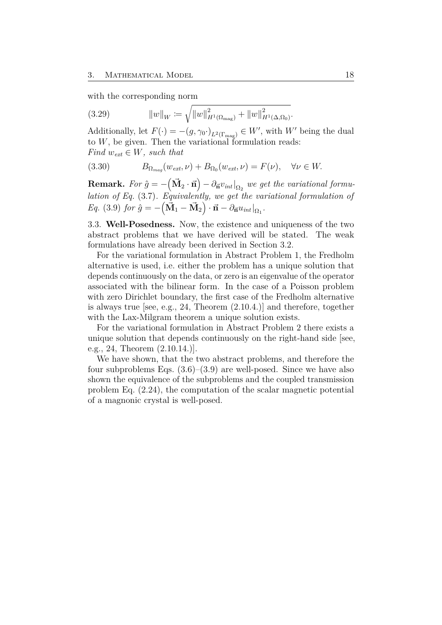<span id="page-23-1"></span>with the corresponding norm

(3.29) 
$$
||w||_W := \sqrt{||w||_{H^1(\Omega_{\text{mag}})}^2 + ||w||_{H^1(\Delta,\Omega_0)}^2}.
$$

Additionally, let  $F(\cdot) = -(g, \gamma_0 \cdot)_{L^2(\Gamma_{\text{mag}})} \in W'$ , with  $W'$  being the dual to  $W$ , be given. Then the variational formulation reads: *Find*  $w_{ext} \in W$ *, such that* 

(3.30) 
$$
B_{\Omega_{mag}}(w_{ext}, \nu) + B_{\Omega_0}(w_{ext}, \nu) = F(\nu), \quad \forall \nu \in W.
$$

 ${\bf Remark.}~~ For~ \hat{g}=-\left(\vec{{\bf M}}_{2}\cdot \vec{{\bf n}}\right)-\partial_{\vec{{\bf n}}}v_{int}|_{\Omega_2}~~we~ get~ the~ variational~formu$ *lation of Eq.* [\(3.7\)](#page-19-3)*. Equivalently, we get the variational formulation of*  $Eq. (3.9)$  $Eq. (3.9)$  *for*  $\hat{g} = -(\vec{M}_1 - \vec{M}_2) \cdot \vec{n} - \partial_{\vec{n}} u_{int}|_{\Omega_1}$ .

<span id="page-23-0"></span>3.3. **Well-Posedness.** Now, the existence and uniqueness of the two abstract problems that we have derived will be stated. The weak formulations have already been derived in Section [3.2.](#page-20-0)

For the variational formulation in [Abstract Problem 1,](#page-22-1) the Fredholm alternative is used, i.e. either the problem has a unique solution that depends continuously on the data, or zero is an eigenvalue of the operator associated with the bilinear form. In the case of a Poisson problem with zero Dirichlet boundary, the first case of the Fredholm alternative is always true [see, e.g., [24,](#page-55-3) Theorem (2.10.4.)] and therefore, together with the Lax-Milgram theorem a unique solution exists.

For the variational formulation in [Abstract Problem 2](#page-22-2) there exists a unique solution that depends continuously on the right-hand side [see, e.g., [24,](#page-55-3) Theorem (2.10.14.)].

We have shown, that the two abstract problems, and therefore the four subproblems Eqs.  $(3.6)$ – $(3.9)$  are well-posed. Since we have also shown the equivalence of the subproblems and the coupled transmission problem Eq. [\(2.24\)](#page-16-1), the computation of the scalar magnetic potential of a magnonic crystal is well-posed.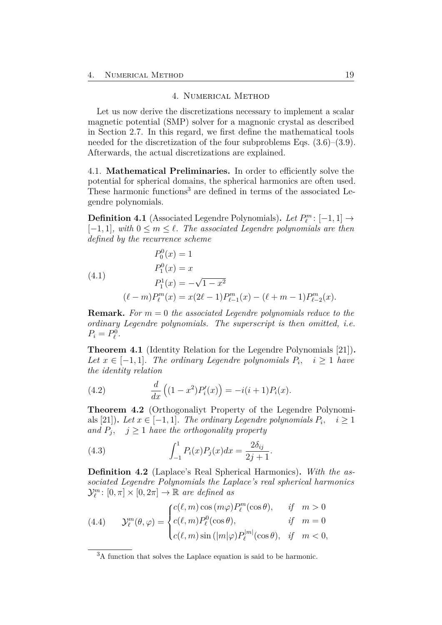#### 4. Numerical Method

<span id="page-24-5"></span><span id="page-24-0"></span>Let us now derive the discretizations necessary to implement a scalar magnetic potential (SMP) solver for a magnonic crystal as described in Section [2.7.](#page-15-0) In this regard, we first define the mathematical tools needed for the discretization of the four subproblems Eqs. [\(3.6\)](#page-19-1)–[\(3.9\)](#page-20-1). Afterwards, the actual discretizations are explained.

<span id="page-24-1"></span>4.1. **Mathematical Preliminaries.** In order to efficiently solve the potential for spherical domains, the spherical harmonics are often used. These harmonic functions<sup>[3](#page-24-2)</sup> are defined in terms of the associated Legendre polynomials.

**Definition 4.1** (Associated Legendre Polynomials). *Let*  $P_{\ell}^{m}$ : [-1, 1]  $\rightarrow$  $[-1, 1]$ *, with*  $0 \leq m \leq \ell$ *. The associated Legendre polynomials are then defined by the recurrence scheme*

(4.1)  
\n
$$
P_0^0(x) = 1
$$
\n
$$
P_1^0(x) = x
$$
\n
$$
P_1^1(x) = -\sqrt{1 - x^2}
$$
\n
$$
(\ell - m)P_\ell^m(x) = x(2\ell - 1)P_{\ell-1}^m(x) - (\ell + m - 1)P_{\ell-2}^m(x).
$$

**Remark.** *For m* = 0 *the associated Legendre polynomials reduce to the ordinary Legendre polynomials. The superscript is then omitted, i.e.*  $P_i = P_{\ell}^0$ .

<span id="page-24-3"></span>**Theorem 4.1** (Identity Relation for the Legendre Polynomials [\[21\]](#page-55-4))**.** *Let*  $x \in [-1, 1]$ *. The ordinary Legendre polynomials*  $P_i$ ,  $i \geq 1$  *have the identity relation*

(4.2) 
$$
\frac{d}{dx}\left((1-x^2)P'_i(x)\right) = -i(i+1)P_i(x).
$$

<span id="page-24-4"></span>**Theorem 4.2** (Orthogonaliyt Property of the Legendre Polynomi-als [\[21\]](#page-55-4)). Let  $x \in [-1, 1]$ . The ordinary Legendre polynomials  $P_i$ ,  $i \ge 1$ *and*  $P_j$ ,  $j \geq 1$  *have the orthogonality property* 

(4.3) 
$$
\int_{-1}^{1} P_i(x) P_j(x) dx = \frac{2\delta_{ij}}{2j+1}.
$$

**Definition 4.2** (Laplace's Real Spherical Harmonics)**.** *With the associated Legendre Polynomials the Laplace's real spherical harmonics*  $\mathcal{Y}_{\ell}^{m}$ :  $[0, \pi] \times [0, 2\pi] \rightarrow \mathbb{R}$  *are defined as* 

(4.4) 
$$
\mathcal{Y}_{\ell}^{m}(\theta,\varphi) = \begin{cases} c(\ell,m)\cos{(m\varphi)}P_{\ell}^{m}(\cos\theta), & \text{if } m > 0\\ c(\ell,m)P_{\ell}^{0}(\cos\theta), & \text{if } m = 0\\ c(\ell,m)\sin{(|m|\varphi)}P_{\ell}^{|m|}(\cos\theta), & \text{if } m < 0, \end{cases}
$$

<span id="page-24-2"></span><sup>3</sup>A function that solves the Laplace equation is said to be harmonic.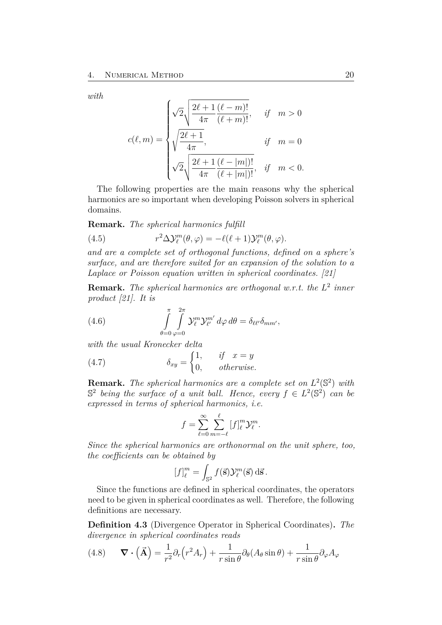<span id="page-25-2"></span>*with*

$$
c(\ell,m) = \begin{cases} \sqrt{2} \sqrt{\frac{2\ell+1}{4\pi} \frac{(\ell-m)!}{(\ell+m)!}}, & \text{if} \quad m > 0 \\ \sqrt{\frac{2\ell+1}{4\pi}}, & \text{if} \quad m = 0 \\ \sqrt{2} \sqrt{\frac{2\ell+1}{4\pi} \frac{(\ell-|m|)!}{(\ell+|m|)!}}, & \text{if} \quad m < 0. \end{cases}
$$

The following properties are the main reasons why the spherical harmonics are so important when developing Poisson solvers in spherical domains.

<span id="page-25-1"></span>**Remark.** *The spherical harmonics fulfill*

(4.5) 
$$
r^2 \Delta \mathcal{Y}_\ell^m(\theta, \varphi) = -\ell(\ell+1) \mathcal{Y}_\ell^m(\theta, \varphi).
$$

*and are a complete set of orthogonal functions, defined on a sphere's surface, and are therefore suited for an expansion of the solution to a Laplace or Poisson equation written in spherical coordinates. [\[21\]](#page-55-4)*

<span id="page-25-0"></span>**Remark.** *The spherical harmonics are orthogonal w.r.t. the L* 2 *inner product [\[21\]](#page-55-4). It is*

(4.6) 
$$
\int_{\theta=0}^{\pi} \int_{\varphi=0}^{2\pi} \mathcal{Y}_{\ell}^{m} \mathcal{Y}_{\ell'}^{m'} d\varphi d\theta = \delta_{\ell\ell'} \delta_{mm'},
$$

*with the usual Kronecker delta*

(4.7) 
$$
\delta_{xy} = \begin{cases} 1, & \text{if } x = y \\ 0, & \text{otherwise.} \end{cases}
$$

**Remark.** The spherical harmonics are a complete set on  $L^2(\mathbb{S}^2)$  with  $\mathbb{S}^2$  *being the surface of a unit ball. Hence, every*  $f \in L^2(\mathbb{S}^2)$  *can be expressed in terms of spherical harmonics, i.e.*

$$
f = \sum_{\ell=0}^{\infty} \sum_{m=-\ell}^{\ell} [f]_{\ell}^{m} \mathcal{Y}_{\ell}^{m}.
$$

*Since the spherical harmonics are orthonormal on the unit sphere, too, the coefficients can be obtained by*

$$
[f]_{\ell}^{m} = \int_{\mathbb{S}^2} f(\vec{\mathbf{s}}) \mathcal{Y}_{\ell}^{m}(\vec{\mathbf{s}}) \, d\vec{\mathbf{s}}.
$$

Since the functions are defined in spherical coordinates, the operators need to be given in spherical coordinates as well. Therefore, the following definitions are necessary.

**Definition 4.3** (Divergence Operator in Spherical Coordinates)**.** *The divergence in spherical coordinates reads*

(4.8) 
$$
\mathbf{\nabla} \cdot (\mathbf{\vec{A}}) = \frac{1}{r^2} \partial_r (r^2 A_r) + \frac{1}{r \sin \theta} \partial_\theta (A_\theta \sin \theta) + \frac{1}{r \sin \theta} \partial_\varphi A_\varphi
$$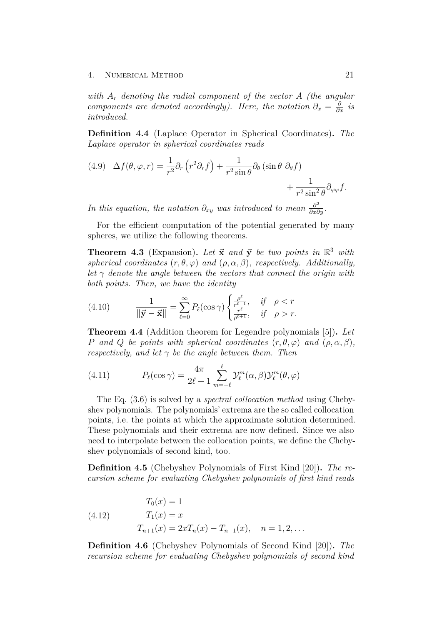<span id="page-26-2"></span>*with A<sup>r</sup> denoting the radial component of the vector A (the angular components are denoted accordingly). Here, the notation*  $\partial_x = \frac{\partial}{\partial x}$  *is introduced.*

**Definition 4.4** (Laplace Operator in Spherical Coordinates)**.** *The Laplace operator in spherical coordinates reads*

(4.9) 
$$
\Delta f(\theta, \varphi, r) = \frac{1}{r^2} \partial_r (r^2 \partial_r f) + \frac{1}{r^2 \sin \theta} \partial_\theta (\sin \theta \partial_\theta f) + \frac{1}{r^2 \sin^2 \theta} \partial_\varphi \varphi f.
$$

*In this equation, the notation*  $\partial_{xy}$  *was introduced to mean*  $\frac{\partial^2}{\partial x \partial y}$ *.* 

For the efficient computation of the potential generated by many spheres, we utilize the following theorems.

<span id="page-26-0"></span>**Theorem 4.3** (Expansion). Let  $\vec{x}$  and  $\vec{y}$  be two points in  $\mathbb{R}^3$  with *spherical coordinates*  $(r, \theta, \varphi)$  *and*  $(\rho, \alpha, \beta)$ *, respectively. Additionally, let*  $\gamma$  *denote the angle between the vectors that connect the origin with both points. Then, we have the identity*

(4.10) 
$$
\frac{1}{\|\vec{y} - \vec{x}\|} = \sum_{\ell=0}^{\infty} P_{\ell}(\cos \gamma) \begin{cases} \frac{\rho^{\ell}}{r^{\ell+1}}, & \text{if } \rho < r \\ \frac{r^{\ell}}{\rho^{\ell+1}}, & \text{if } \rho > r. \end{cases}
$$

<span id="page-26-1"></span>**Theorem 4.4** (Addition theorem for Legendre polynomials [\[5\]](#page-53-7))**.** *Let P* and *Q be points with spherical coordinates*  $(r, \theta, \varphi)$  *and*  $(\rho, \alpha, \beta)$ *, respectively, and let*  $\gamma$  *be the angle between them. Then* 

(4.11) 
$$
P_{\ell}(\cos \gamma) = \frac{4\pi}{2\ell + 1} \sum_{m=-\ell}^{\ell} \mathcal{Y}_{\ell}^{m}(\alpha, \beta) \mathcal{Y}_{\ell}^{m}(\theta, \varphi)
$$

The Eq. [\(3.6\)](#page-19-1) is solved by a *spectral collocation method* using Chebyshev polynomials. The polynomials' extrema are the so called collocation points, i.e. the points at which the approximate solution determined. These polynomials and their extrema are now defined. Since we also need to interpolate between the collocation points, we define the Chebyshev polynomials of second kind, too.

**Definition 4.5** (Chebyshev Polynomials of First Kind [\[20\]](#page-55-5))**.** *The recursion scheme for evaluating Chebyshev polynomials of first kind reads*

(4.12) 
$$
T_0(x) = 1
$$

$$
T_1(x) = x
$$

$$
T_{n+1}(x) = 2xT_n(x) - T_{n-1}(x), \quad n = 1, 2, ...
$$

**Definition 4.6** (Chebyshev Polynomials of Second Kind [\[20\]](#page-55-5))**.** *The recursion scheme for evaluating Chebyshev polynomials of second kind*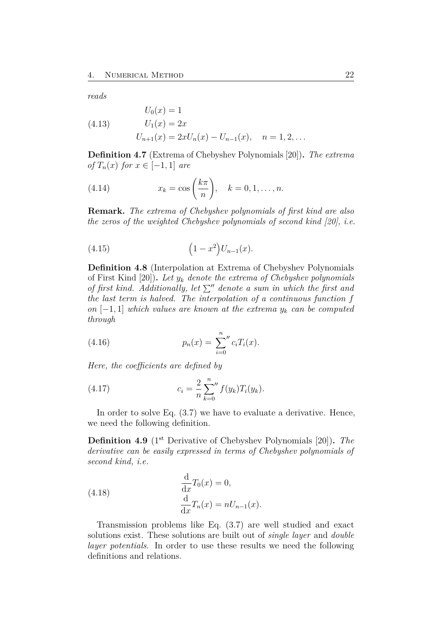<span id="page-27-2"></span>*reads*

(4.13) 
$$
U_0(x) = 1
$$

$$
U_1(x) = 2x
$$

$$
U_{n+1}(x) = 2xU_n(x) - U_{n-1}(x), \quad n = 1, 2, ...
$$

**Definition 4.7** (Extrema of Chebyshev Polynomials [\[20\]](#page-55-5))**.** *The extrema of*  $T_n(x)$  *for*  $x \in [-1, 1]$  *are* 

(4.14) 
$$
x_k = \cos\left(\frac{k\pi}{n}\right), \quad k = 0, 1, \dots, n.
$$

**Remark.** *The extrema of Chebyshev polynomials of first kind are also the zeros of the weighted Chebyshev polynomials of second kind [\[20\]](#page-55-5), i.e.*

(4.15) 
$$
(1-x^2)U_{n-1}(x).
$$

<span id="page-27-0"></span>**Definition 4.8** (Interpolation at Extrema of Chebyshev Polynomials of First Kind [\[20\]](#page-55-5))**.** *Let y<sup>k</sup> denote the extrema of Chebyshev polynomials of first kind.* Additionally, let  $\Sigma$ <sup>*n*</sup> denote a sum in which the first and *the last term is halved. The interpolation of a continuous function f on*  $[-1, 1]$  *which values are known at the extrema*  $y_k$  *can be computed through*

(4.16) 
$$
p_n(x) = \sum_{i=0}^n c_i T_i(x).
$$

*Here, the coefficients are defined by*

(4.17) 
$$
c_i = \frac{2}{n} \sum_{k=0}^{n} f(y_k) T_i(y_k).
$$

In order to solve Eq.  $(3.7)$  we have to evaluate a derivative. Hence, we need the following definition.

<span id="page-27-1"></span>Definition 4.9 (1<sup>st</sup> Derivative of Chebyshev Polynomials [\[20\]](#page-55-5)). *The derivative can be easily expressed in terms of Chebyshev polynomials of second kind, i.e.*

(4.18) 
$$
\frac{\mathrm{d}}{\mathrm{d}x}T_0(x) = 0,
$$

$$
\frac{\mathrm{d}}{\mathrm{d}x}T_n(x) = nU_{n-1}(x).
$$

Transmission problems like Eq. [\(3.7\)](#page-19-3) are well studied and exact solutions exist. These solutions are built out of *single layer* and *double layer potentials*. In order to use these results we need the following definitions and relations.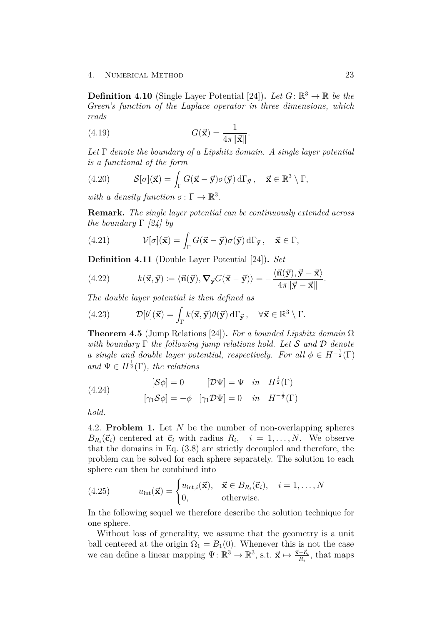<span id="page-28-1"></span>**Definition 4.10** (Single Layer Potential [\[24\]](#page-55-3)). Let  $G: \mathbb{R}^3 \to \mathbb{R}$  be the *Green's function of the Laplace operator in three dimensions, which reads*

(4.19) 
$$
G(\vec{\mathbf{x}}) = \frac{1}{4\pi \|\vec{\mathbf{x}}\|}.
$$

*Let* Γ *denote the boundary of a Lipshitz domain. A single layer potential is a functional of the form*

(4.20) 
$$
\mathcal{S}[\sigma](\vec{\mathbf{x}}) = \int_{\Gamma} G(\vec{\mathbf{x}} - \vec{\mathbf{y}}) \sigma(\vec{\mathbf{y}}) d\Gamma_{\vec{\mathbf{y}}}, \quad \vec{\mathbf{x}} \in \mathbb{R}^3 \setminus \Gamma,
$$

*with a density function*  $\sigma \colon \Gamma \to \mathbb{R}^3$ .

**Remark.** *The single layer potential can be continuously extended across the boundary* Γ *[\[24\]](#page-55-3) by*

(4.21) 
$$
\mathcal{V}[\sigma](\vec{\mathbf{x}}) = \int_{\Gamma} G(\vec{\mathbf{x}} - \vec{\mathbf{y}}) \sigma(\vec{\mathbf{y}}) d\Gamma_{\vec{\mathbf{y}}}, \quad \vec{\mathbf{x}} \in \Gamma,
$$

**Definition 4.11** (Double Layer Potential [\[24\]](#page-55-3))**.** *Set*

(4.22) 
$$
k(\vec{\mathbf{x}}, \vec{\mathbf{y}}) := \langle \vec{\mathbf{n}}(\vec{\mathbf{y}}), \nabla_{\vec{\mathbf{y}}} G(\vec{\mathbf{x}} - \vec{\mathbf{y}}) \rangle = -\frac{\langle \vec{\mathbf{n}}(\vec{\mathbf{y}}), \vec{\mathbf{y}} - \vec{\mathbf{x}} \rangle}{4\pi \|\vec{\mathbf{y}} - \vec{\mathbf{x}}\|}.
$$

*The double layer potential is then defined as*

(4.23) 
$$
\mathcal{D}[\theta](\vec{\mathbf{x}}) = \int_{\Gamma} k(\vec{\mathbf{x}}, \vec{\mathbf{y}}) \theta(\vec{\mathbf{y}}) d\Gamma_{\vec{\mathbf{y}}}, \quad \forall \vec{\mathbf{x}} \in \mathbb{R}^3 \setminus \Gamma.
$$

**Theorem 4.5** (Jump Relations [\[24\]](#page-55-3))**.** *For a bounded Lipshitz domain* Ω *with boundary* Γ *the following jump relations hold. Let* S *and* D *denote a single and double layer potential, respectively. For all*  $\phi \in H^{-\frac{1}{2}}(\Gamma)$  $and \Psi \in H^{\frac{1}{2}}(\Gamma)$ *, the relations* 

(4.24) 
$$
[\mathcal{S}\phi] = 0 \qquad [\mathcal{D}\Psi] = \Psi \quad in \quad H^{\frac{1}{2}}(\Gamma)
$$

$$
[\gamma_1 \mathcal{S}\phi] = -\phi \quad [\gamma_1 \mathcal{D}\Psi] = 0 \quad in \quad H^{-\frac{1}{2}}(\Gamma)
$$

*hold.*

<span id="page-28-0"></span>4.2. **Problem 1.** Let *N* be the number of non-overlapping spheres  $B_{R_i}(\vec{c}_i)$  centered at  $\vec{c}_i$  with radius  $R_i$ ,  $i = 1, \ldots, N$ . We observe that the domains in Eq. [\(3.8\)](#page-19-2) are strictly decoupled and therefore, the problem can be solved for each sphere separately. The solution to each sphere can then be combined into

(4.25) 
$$
u_{\text{int}}(\vec{\mathbf{x}}) = \begin{cases} u_{\text{int},i}(\vec{\mathbf{x}}), & \vec{\mathbf{x}} \in B_{R_i}(\vec{\mathbf{c}}_i), & i = 1, \dots, N \\ 0, & \text{otherwise.} \end{cases}
$$

In the following sequel we therefore describe the solution technique for one sphere.

Without loss of generality, we assume that the geometry is a unit ball centered at the origin  $\Omega_1 = B_1(0)$ . Whenever this is not the case we can define a linear mapping  $\Psi: \mathbb{R}^3 \to \mathbb{R}^3$ , s.t.  $\vec{\mathbf{x}} \mapsto \frac{\vec{\mathbf{x}} - \vec{\mathbf{c}}_i}{R_i}$ , that maps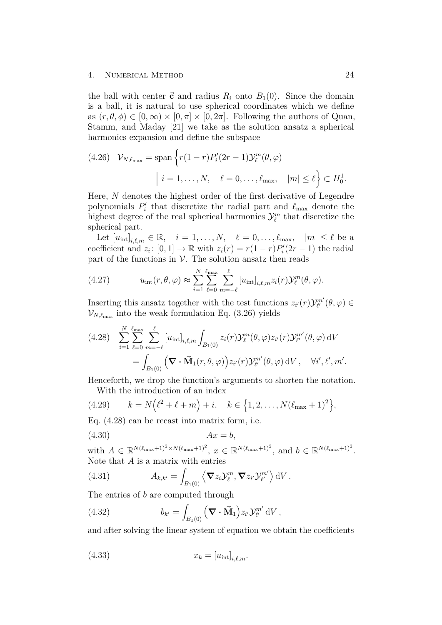<span id="page-29-4"></span>the ball with center  $\vec{c}$  and radius  $R_i$  onto  $B_1(0)$ . Since the domain is a ball, it is natural to use spherical coordinates which we define as  $(r, \theta, \phi) \in [0, \infty) \times [0, \pi] \times [0, 2\pi]$ . Following the authors of Quan, Stamm, and Maday [\[21\]](#page-55-4) we take as the solution ansatz a spherical harmonics expansion and define the subspace

(4.26) 
$$
\mathcal{V}_{N,\ell_{\max}} = \text{span}\left\{r(1-r)P_i'(2r-1)\mathcal{Y}_\ell^m(\theta,\varphi)\Big| i=1,\ldots,N,\quad \ell=0,\ldots,\ell_{\max},\quad |m|\leq \ell\right\} \subset H_0^1.
$$

Here, *N* denotes the highest order of the first derivative of Legendre polynomials  $P'_i$  that discretize the radial part and  $\ell_{\text{max}}$  denote the highest degree of the real spherical harmonics  $\mathcal{Y}_{\ell}^m$  that discretize the spherical part.

Let  $[u_{\text{int}}]_{i,\ell,m} \in \mathbb{R}, \quad i = 1, \ldots, N, \quad \ell = 0, \ldots, \ell_{\text{max}}, \quad |m| \leq \ell$  be a coefficient and  $z_i$ :  $[0, 1] \to \mathbb{R}$  with  $z_i(r) = r(1 - r)P'_i(2r - 1)$  the radial part of the functions in  $\mathcal V$ . The solution ansatz then reads

(4.27) 
$$
u_{\text{int}}(r,\theta,\varphi) \approx \sum_{i=1}^{N} \sum_{\ell=0}^{\ell_{\text{max}}} \sum_{m=-\ell}^{\ell} [u_{\text{int}}]_{i,\ell,m} z_i(r) \mathcal{Y}_{\ell}^{m}(\theta,\varphi).
$$

Inserting this ansatz together with the test functions  $z_{i'}(r)\mathcal{Y}_{\ell'}^{m'}(\theta,\varphi) \in$  $\mathcal{V}_{N,\ell_{\text{max}}}$  into the weak formulation Eq. [\(3.26\)](#page-22-3) yields

<span id="page-29-0"></span>
$$
(4.28) \sum_{i=1}^{N} \sum_{\ell=0}^{\ell_{\text{max}}} \sum_{m=-\ell}^{\ell} [u_{\text{int}}]_{i,\ell,m} \int_{B_1(0)} z_i(r) \mathcal{Y}_{\ell}^m(\theta,\varphi) z_{i'}(r) \mathcal{Y}_{\ell'}^{m'}(\theta,\varphi) dV
$$
  

$$
= \int_{B_1(0)} \left( \nabla \cdot \vec{M}_1(r,\theta,\varphi) \right) z_{i'}(r) \mathcal{Y}_{\ell'}^{m'}(\theta,\varphi) dV, \quad \forall i',\ell',m'.
$$

Henceforth, we drop the function's arguments to shorten the notation. With the introduction of an index

(4.29) 
$$
k = N(\ell^2 + \ell + m) + i, \quad k \in \{1, 2, ..., N(\ell_{\max} + 1)^2\},\
$$

<span id="page-29-3"></span>Eq. [\(4.28\)](#page-29-0) can be recast into matrix form, i.e.

$$
(4.30) \t\t Ax = b,
$$

<span id="page-29-1"></span>with  $A \in \mathbb{R}^{N(\ell_{\max}+1)^2 \times N(\ell_{\max}+1)^2}, x \in \mathbb{R}^{N(\ell_{\max}+1)^2}, \text{ and } b \in \mathbb{R}^{N(\ell_{\max}+1)^2}.$ Note that *A* is a matrix with entries

(4.31) 
$$
A_{k,k'} = \int_{B_1(0)} \left\langle \mathbf{\nabla} z_i \mathcal{Y}_\ell^m, \mathbf{\nabla} z_{i'} \mathcal{Y}_{\ell'}^{m'} \right\rangle dV.
$$

<span id="page-29-2"></span>The entries of *b* are computed through

(4.32) 
$$
b_{k'} = \int_{B_1(0)} \left( \mathbf{\nabla} \cdot \mathbf{\vec{M}}_1 \right) z_{i'} \mathcal{Y}_{\ell'}^{m'} dV,
$$

and after solving the linear system of equation we obtain the coefficients

$$
(4.33) \t\t x_k = [u_{int}]_{i,\ell,m}.
$$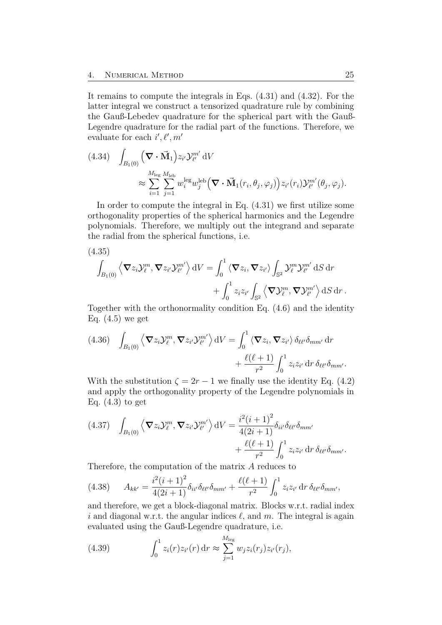It remains to compute the integrals in Eqs. [\(4.31\)](#page-29-1) and [\(4.32\)](#page-29-2). For the latter integral we construct a tensorized quadrature rule by combining the Gauß-Lebedev quadrature for the spherical part with the Gauß-Legendre quadrature for the radial part of the functions. Therefore, we evaluate for each  $i', \ell', m'$ 

(4.34) 
$$
\int_{B_1(0)} (\nabla \cdot \vec{M}_1) z_{i'} \mathcal{Y}_{\ell'}^{m'} dV
$$
  

$$
\approx \sum_{i=1}^{M_{\text{leg}}} \sum_{j=1}^{M_{\text{leb}}} w_i^{\text{leg}} w_j^{\text{leb}} (\nabla \cdot \vec{M}_1(r_i, \theta_j, \varphi_j)) z_{i'}(r_i) \mathcal{Y}_{\ell'}^{m'}(\theta_j, \varphi_j).
$$

In order to compute the integral in Eq. [\(4.31\)](#page-29-1) we first utilize some orthogonality properties of the spherical harmonics and the Legendre polynomials. Therefore, we multiply out the integrand and separate the radial from the spherical functions, i.e.

(4.35)  
\n
$$
\int_{B_1(0)} \left\langle \nabla z_i \mathcal{Y}_\ell^m, \nabla z_{i'} \mathcal{Y}_{\ell'}^{m'} \right\rangle dV = \int_0^1 \left\langle \nabla z_i, \nabla z_{i'} \right\rangle \int_{\mathbb{S}^2} \mathcal{Y}_\ell^m \mathcal{Y}_{\ell'}^{m'} dS dr \n+ \int_0^1 z_i z_{i'} \int_{\mathbb{S}^2} \left\langle \nabla \mathcal{Y}_\ell^m, \nabla \mathcal{Y}_{\ell'}^{m'} \right\rangle dS dr.
$$

Together with the orthonormality condition Eq. [\(4.6\)](#page-25-0) and the identity Eq.  $(4.5)$  we get

(4.36) 
$$
\int_{B_1(0)} \left\langle \nabla z_i \mathcal{Y}_\ell^m, \nabla z_{i'} \mathcal{Y}_{\ell'}^{m'} \right\rangle dV = \int_0^1 \left\langle \nabla z_i, \nabla z_{i'} \right\rangle \delta_{\ell \ell'} \delta_{mm'} d\mathbf{r} + \frac{\ell(\ell+1)}{r^2} \int_0^1 z_i z_{i'} d\mathbf{r} \, \delta_{\ell \ell'} \delta_{mm'}.
$$

With the substitution  $\zeta = 2r - 1$  we finally use the identity Eq. [\(4.2\)](#page-24-3) and apply the orthogonality property of the Legendre polynomials in Eq.  $(4.3)$  to get

$$
(4.37) \quad \int_{B_1(0)} \left\langle \mathbf{\nabla} z_i \mathcal{Y}_{\ell}^m, \mathbf{\nabla} z_{i'} \mathcal{Y}_{\ell'}^{m'} \right\rangle dV = \frac{i^2 (i+1)^2}{4(2i+1)} \delta_{ii'} \delta_{\ell \ell'} \delta_{mm'} + \frac{\ell(\ell+1)}{r^2} \int_0^1 z_i z_{i'} \, dr \, \delta_{\ell \ell'} \delta_{mm'}.
$$

Therefore, the computation of the matrix *A* reduces to

$$
(4.38) \qquad A_{kk'} = \frac{i^2(i+1)^2}{4(2i+1)} \delta_{ii'} \delta_{\ell\ell'} \delta_{mm'} + \frac{\ell(\ell+1)}{r^2} \int_0^1 z_i z_{i'} \, dr \, \delta_{\ell\ell'} \delta_{mm'},
$$

and therefore, we get a block-diagonal matrix. Blocks w.r.t. radial index i and diagonal w.r.t. the angular indices  $\ell$ , and  $m$ . The integral is again evaluated using the Gauß-Legendre quadrature, i.e.

(4.39) 
$$
\int_0^1 z_i(r) z_{i'}(r) dr \approx \sum_{j=1}^{M_{\text{leg}}} w_j z_i(r_j) z_{i'}(r_j),
$$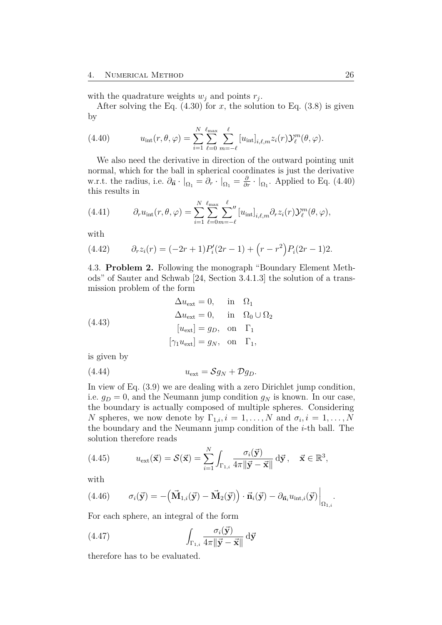<span id="page-31-2"></span>with the quadrature weights  $w_j$  and points  $r_j$ .

<span id="page-31-1"></span>After solving the Eq.  $(4.30)$  for *x*, the solution to Eq.  $(3.8)$  is given by

(4.40) 
$$
u_{\text{int}}(r,\theta,\varphi) = \sum_{i=1}^{N} \sum_{\ell=0}^{\ell_{\text{max}}} \sum_{m=-\ell}^{\ell} [u_{\text{int}}]_{i,\ell,m} z_i(r) \mathcal{Y}_{\ell}^{m}(\theta,\varphi).
$$

We also need the derivative in direction of the outward pointing unit normal, which for the ball in spherical coordinates is just the derivative w.r.t. the radius, i.e.  $\partial_{\vec{n}} \cdot |_{\Omega_1} = \partial_r \cdot |_{\Omega_1} = \frac{\partial}{\partial r} \cdot |_{\Omega_1}$ . Applied to Eq. [\(4.40\)](#page-31-1) this results in

(4.41) 
$$
\partial_r u_{\text{int}}(r,\theta,\varphi) = \sum_{i=1}^N \sum_{\ell=0}^{\ell_{\text{max}}} \sum_{m=-\ell}^{\ell} [u_{\text{int}}]_{i,\ell,m} \partial_r z_i(r) \mathcal{Y}_\ell^m(\theta,\varphi),
$$

with

(4.42) 
$$
\partial_r z_i(r) = (-2r+1)P'_i(2r-1) + (r-r^2)P_i(2r-1)2.
$$

<span id="page-31-0"></span>4.3. **Problem 2.** Following the monograph "Boundary Element Methods" of Sauter and Schwab [\[24,](#page-55-3) Section 3.4.1.3] the solution of a transmission problem of the form

(4.43) 
$$
\Delta u_{\text{ext}} = 0, \text{ in } \Omega_1
$$

$$
\Delta u_{\text{ext}} = 0, \text{ in } \Omega_0 \cup \Omega_2
$$

$$
[u_{\text{ext}}] = g_D, \text{ on } \Gamma_1
$$

$$
[\gamma_1 u_{\text{ext}}] = g_N, \text{ on } \Gamma_1,
$$

is given by

$$
(4.44) \t\t uext = SgN + DgD.
$$

In view of Eq. [\(3.9\)](#page-20-1) we are dealing with a zero Dirichlet jump condition, i.e.  $g_D = 0$ , and the Neumann jump condition  $g_N$  is known. In our case, the boundary is actually composed of multiple spheres. Considering *N* spheres, we now denote by  $\Gamma_{1,i}, i = 1, \ldots, N$  and  $\sigma_i, i = 1, \ldots, N$ the boundary and the Neumann jump condition of the *i*-th ball. The solution therefore reads

(4.45) 
$$
u_{\text{ext}}(\vec{\mathbf{x}}) = \mathcal{S}(\vec{\mathbf{x}}) = \sum_{i=1}^{N} \int_{\Gamma_{1,i}} \frac{\sigma_i(\vec{\mathbf{y}})}{4\pi \|\vec{\mathbf{y}} - \vec{\mathbf{x}}\|} d\vec{\mathbf{y}}, \quad \vec{\mathbf{x}} \in \mathbb{R}^3,
$$

with

(4.46) 
$$
\sigma_i(\vec{\mathbf{y}}) = -(\vec{\mathbf{M}}_{1,i}(\vec{\mathbf{y}}) - \vec{\mathbf{M}}_2(\vec{\mathbf{y}})) \cdot \vec{\mathbf{n}}_i(\vec{\mathbf{y}}) - \partial_{\vec{\mathbf{n}}_i} u_{\text{int},i}(\vec{\mathbf{y}})\Big|_{\Omega_{1,i}}.
$$

For each sphere, an integral of the form

(4.47) 
$$
\int_{\Gamma_{1,i}} \frac{\sigma_i(\vec{\mathbf{y}})}{4\pi \|\vec{\mathbf{y}} - \vec{\mathbf{x}}\|} d\vec{\mathbf{y}}
$$

therefore has to be evaluated.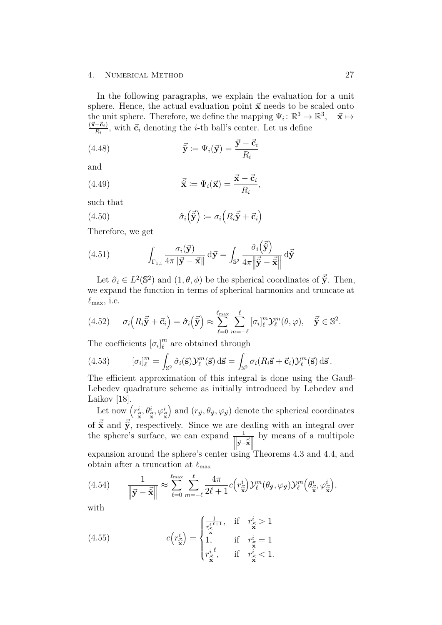<span id="page-32-3"></span>In the following paragraphs, we explain the evaluation for a unit sphere. Hence, the actual evaluation point  $\vec{x}$  needs to be scaled onto the unit sphere. Therefore, we define the mapping  $\Psi_i: \mathbb{R}^3 \to \mathbb{R}^3$ ,  $\vec{x} \mapsto$  $(\vec{x}-\vec{c}_i)$  $\frac{-\mathbf{c}_i}{R_i}$ , with  $\vec{\mathbf{c}}_i$  denoting the *i*-th ball's center. Let us define

(4.48) 
$$
\vec{\hat{\mathbf{y}}} := \Psi_i(\vec{\mathbf{y}}) = \frac{\vec{\mathbf{y}} - \vec{\mathbf{c}}_i}{R_i}
$$

and

(4.49) 
$$
\vec{\mathbf{x}} := \Psi_i(\vec{\mathbf{x}}) = \frac{\vec{\mathbf{x}} - \vec{\mathbf{c}}_i}{R_i},
$$

such that

(4.50) 
$$
\hat{\sigma}_i\left(\vec{\hat{\mathbf{y}}}\right) := \sigma_i\left(R_i\vec{\hat{\mathbf{y}}} + \vec{\mathbf{c}}_i\right)
$$

<span id="page-32-2"></span>Therefore, we get

(4.51) 
$$
\int_{\Gamma_{1,i}} \frac{\sigma_i(\vec{\mathbf{y}})}{4\pi \|\vec{\mathbf{y}} - \vec{\mathbf{x}}\|} d\vec{\mathbf{y}} = \int_{\mathbb{S}^2} \frac{\hat{\sigma}_i(\vec{\hat{\mathbf{y}}})}{4\pi \|\vec{\hat{\mathbf{y}}} - \vec{\hat{\mathbf{x}}}\|} d\vec{\hat{\mathbf{y}}}
$$

Let  $\hat{\sigma}_i \in L^2(\mathbb{S}^2)$  and  $(1, \theta, \phi)$  be the spherical coordinates of  $\vec{\hat{y}}$ . Then, we expand the function in terms of spherical harmonics and truncate at  $\ell_{\text{max}}$ , i.e.

<span id="page-32-0"></span>
$$
(4.52) \qquad \sigma_i\left(R_i\vec{\hat{\mathbf{y}}}+\vec{\mathbf{c}}_i\right)=\hat{\sigma}_i\left(\vec{\hat{\mathbf{y}}}\right) \approx \sum_{\ell=0}^{\ell_{\max}}\sum_{m=-\ell}^{\ell} \left[\sigma_i\right]_{\ell}^m \mathcal{Y}_{\ell}^m(\theta,\varphi), \quad \vec{\hat{\mathbf{y}}} \in \mathbb{S}^2.
$$

The coefficients  $[\sigma_i]_{\ell}^m$  $\binom{m}{\ell}$  are obtained through

(4.53) 
$$
[\sigma_i]_{\ell}^m = \int_{\mathbb{S}^2} \hat{\sigma}_i(\vec{s}) \mathcal{Y}_{\ell}^m(\vec{s}) \, d\vec{s} = \int_{\mathbb{S}^2} \sigma_i (R_i \vec{s} + \vec{c}_i) \mathcal{Y}_{\ell}^m(\vec{s}) \, d\vec{s}.
$$

The efficient approximation of this integral is done using the Gauß-Lebedev quadrature scheme as initially introduced by Lebedev and Laikov [\[18\]](#page-54-6).

Let now  $(r_{\vec{s}}^i, \theta_{\vec{s}}^i, \varphi_{\vec{s}}^i)$  and  $(r_{\vec{y}}, \theta_{\vec{y}}, \varphi_{\vec{y}})$  denote the spherical coordinates of  $\vec{\hat{\mathbf{x}}}$  and  $\vec{\hat{\mathbf{y}}}$ , respectively. Since we are dealing with an integral over the sphere's surface, we can expand  $\frac{1}{\|\mathbf{v}\|}$  $\left\| \vec{y} - \vec{\hat{x}} \right\|_2^{\dot{ }}$ expansion around the sphere's center using Theorems [4.3](#page-26-0) and [4.4,](#page-26-1) and by means of a multipole obtain after a truncation at  $\ell_{\text{max}}$ 

<span id="page-32-1"></span>(4.54) 
$$
\frac{1}{\left\|\vec{y} - \vec{\hat{\mathbf{x}}}\right\|} \approx \sum_{\ell=0}^{\ell_{\text{max}}} \sum_{m=-\ell}^{\ell} \frac{4\pi}{2\ell+1} c(r_{\vec{\mathbf{x}}}^{i}) \mathcal{Y}_{\ell}^{m}(\theta_{\vec{\mathbf{y}}}, \varphi_{\vec{\mathbf{y}}}) \mathcal{Y}_{\ell}^{m}(\theta_{\vec{\mathbf{x}}}^{i}, \varphi_{\vec{\mathbf{x}}}^{i}),
$$

with

(4.55) 
$$
c\left(r_{\tilde{\mathbf{x}}}^{i}\right) = \begin{cases} \frac{1}{r_{\tilde{\mathbf{x}}}^{i\ell+1}}, & \text{if } r_{\tilde{\mathbf{x}}}^{i} > 1\\ 1, & \text{if } r_{\tilde{\mathbf{x}}}^{i} = 1\\ r_{\tilde{\mathbf{x}}}^{i\ell}, & \text{if } r_{\tilde{\mathbf{x}}}^{i} < 1. \end{cases}
$$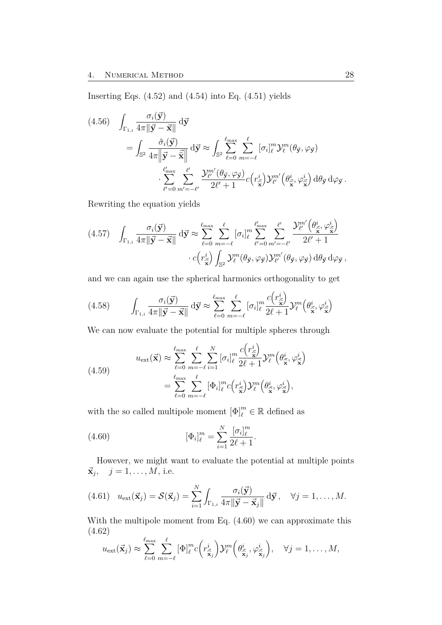Inserting Eqs.  $(4.52)$  and  $(4.54)$  into Eq.  $(4.51)$  yields

(4.56) 
$$
\int_{\Gamma_{1,i}} \frac{\sigma_i(\vec{y})}{4\pi \|\vec{y} - \vec{x}\|} d\vec{y} \n= \int_{\mathbb{S}^2} \frac{\hat{\sigma}_i(\vec{y})}{4\pi \|\vec{y} - \vec{\hat{x}}\|} d\vec{y} \approx \int_{\mathbb{S}^2} \sum_{\ell=0}^{\ell_{\text{max}}} \sum_{m=-\ell}^{\ell} [\sigma_i]_{\ell}^m \mathcal{Y}_{\ell}^m(\theta_{\vec{y}}, \varphi_{\vec{y}}) \n\cdot \sum_{\ell'=0}^{\ell'_{\text{max}}} \sum_{m'=-\ell'}^{\ell'} \frac{\mathcal{Y}_{\ell'}^m(\theta_{\vec{y}}, \varphi_{\vec{y}})}{2\ell' + 1} c(r_{\vec{x}}^i) \mathcal{Y}_{\ell'}^{m'}(\theta_{\vec{x}}^i, \varphi_{\vec{x}}^i) d\theta_{\vec{y}} d\varphi_{\vec{y}}.
$$

Rewriting the equation yields

$$
(4.57) \quad \int_{\Gamma_{1,i}} \frac{\sigma_i(\vec{\mathbf{y}})}{4\pi \|\vec{\mathbf{y}} - \vec{\mathbf{x}}\|} d\vec{\mathbf{y}} \approx \sum_{\ell=0}^{\ell_{\text{max}}} \sum_{m=-\ell}^{\ell} [\sigma_i]_{\ell}^m \sum_{\ell'=0}^{\ell'_{\text{max}}} \sum_{m'=-\ell'}^{\ell'} \frac{\mathcal{Y}_{\ell'}^{m'} \left(\theta_{\vec{\mathbf{x}}}^i, \varphi_{\vec{\mathbf{x}}}^i\right)}{2\ell' + 1} \\ \cdot c \left(r_{\vec{\mathbf{x}}}^i\right) \int_{\mathbb{S}^2} \mathcal{Y}_{\ell}^m (\theta_{\vec{\mathbf{y}}}, \varphi_{\vec{\mathbf{y}}}) \mathcal{Y}_{\ell'}^{m'} (\theta_{\vec{\mathbf{y}}}, \varphi_{\vec{\mathbf{y}}}) d\theta_{\vec{\mathbf{y}}} d\varphi_{\vec{\mathbf{y}}},
$$

and we can again use the spherical harmonics orthogonality to get

$$
(4.58) \qquad \int_{\Gamma_{1,i}} \frac{\sigma_i(\vec{\mathbf{y}})}{4\pi \|\vec{\mathbf{y}} - \vec{\mathbf{x}}\|} d\vec{\mathbf{y}} \approx \sum_{\ell=0}^{\ell_{\text{max}}} \sum_{m=-\ell}^{\ell} [\sigma_i]_{\ell}^m \frac{c(r_{\vec{\mathbf{x}}}^i)}{2\ell+1} \mathcal{Y}_{\ell}^m(\theta_{\vec{\mathbf{x}}}^i, \varphi_{\vec{\mathbf{x}}}^i)
$$

We can now evaluate the potential for multiple spheres through

<span id="page-33-0"></span> $\mathcal{L}$ 

(4.59)  

$$
u_{\text{ext}}(\vec{\mathbf{x}}) \approx \sum_{\ell=0}^{\ell_{\text{max}}} \sum_{m=-\ell}^{\ell} \sum_{i=1}^{N} [\sigma_i]_{\ell}^{m} \frac{c(r_{\vec{\mathbf{x}}}^{i})}{2\ell+1} \mathcal{Y}_{\ell}^{m}(\theta_{\vec{\mathbf{x}}}^{i}, \varphi_{\vec{\mathbf{x}}}^{i})
$$

$$
= \sum_{\ell=0}^{\ell_{\text{max}}} \sum_{m=-\ell}^{\ell} [\Phi_i]_{\ell}^{m} c(r_{\vec{\mathbf{x}}}^{i}) \mathcal{Y}_{\ell}^{m}(\theta_{\vec{\mathbf{x}}}^{i}, \varphi_{\vec{\mathbf{x}}}^{i}),
$$

with the so called multipole moment  $[\Phi]_{\ell}^m \in \mathbb{R}$  defined as

(4.60) 
$$
[\Phi_i]_{\ell}^m = \sum_{i=1}^N \frac{[\sigma_i]_{\ell}^m}{2\ell + 1}.
$$

However, we might want to evaluate the potential at multiple points  $\vec{\mathbf{x}}_j, \quad j = 1, \dots, M$ , i.e.

(4.61) 
$$
u_{\text{ext}}(\vec{\mathbf{x}}_j) = \mathcal{S}(\vec{\mathbf{x}}_j) = \sum_{i=1}^N \int_{\Gamma_{1,i}} \frac{\sigma_i(\vec{\mathbf{y}})}{4\pi \|\vec{\mathbf{y}} - \vec{\mathbf{x}}_j\|} d\vec{\mathbf{y}}, \quad \forall j = 1, ..., M.
$$

With the multipole moment from Eq. [\(4.60\)](#page-33-0) we can approximate this (4.62) *` `*

$$
u_{\text{ext}}(\vec{\mathbf{x}}_j) \approx \sum_{\ell=0}^{\ell_{\text{max}}}\sum_{m=-\ell}^{\ell} [\Phi]_{\ell}^m c\left(r_{\vec{\mathbf{x}}_j}^i\right) \mathcal{Y}_{\ell}^m\left(\theta_{\vec{\mathbf{x}}_j}^i, \varphi_{\vec{\mathbf{x}}_j}^i\right), \quad \forall j=1,\ldots,M,
$$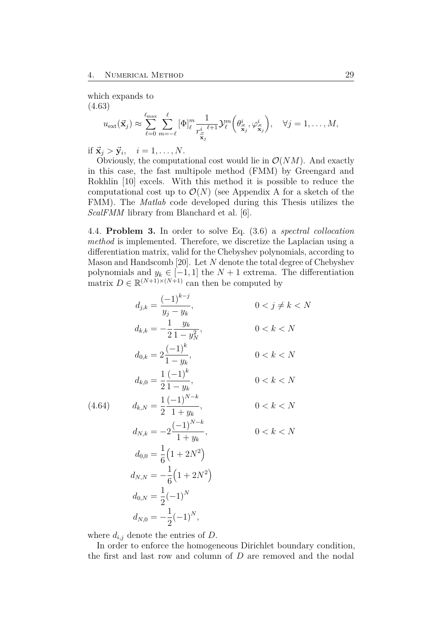<span id="page-34-1"></span>which expands to (4.63)

$$
u_{\text{ext}}(\vec{\mathbf{x}}_j) \approx \sum_{\ell=0}^{\ell_{\text{max}}} \sum_{m=-\ell}^{\ell} [\Phi]_{\ell}^m \frac{1}{r_{\vec{\mathbf{x}}_j}^i \ell+1} \mathcal{Y}_{\ell}^m(\theta_{\vec{\mathbf{x}}_j}^i, \varphi_{\vec{\mathbf{x}}_j}^i), \quad \forall j=1,\ldots,M,
$$

if  $\vec{\mathbf{x}}_j > \vec{\mathbf{y}}_i$ ,  $i = 1, \ldots, N$ .

Obviously, the computational cost would lie in  $\mathcal{O}(NM)$ . And exactly in this case, the fast multipole method (FMM) by Greengard and Rokhlin [\[10\]](#page-53-8) excels. With this method it is possible to reduce the computational cost up to  $\mathcal{O}(N)$  (see [A](#page-56-0)ppendix A for a sketch of the FMM). The *Matlab* code developed during this Thesis utilizes the *ScalFMM* library from Blanchard et al. [\[6\]](#page-53-9).

<span id="page-34-0"></span>4.4. **Problem 3.** In order to solve Eq. [\(3.6\)](#page-19-1) a *spectral collocation method* is implemented. Therefore, we discretize the Laplacian using a differentiation matrix, valid for the Chebyshev polynomials, according to Mason and Handscomb [\[20\]](#page-55-5). Let *N* denote the total degree of Chebyshev polynomials and  $y_k \in [-1, 1]$  the  $N + 1$  extrema. The differentiation matrix  $D \in \mathbb{R}^{(N+1)\times(N+1)}$  can then be computed by

$$
d_{j,k} = \frac{(-1)^{k-j}}{y_j - y_k}, \qquad 0 < j \neq k < N
$$
  
\n
$$
d_{k,k} = -\frac{1}{2} \frac{y_k}{1 - y_N^2}, \qquad 0 < k < N
$$
  
\n
$$
d_{0,k} = 2 \frac{(-1)^k}{1 - y_k}, \qquad 0 < k < N
$$
  
\n
$$
d_{k,0} = \frac{1}{2} \frac{(-1)^k}{1 - y_k}, \qquad 0 < k < N
$$
  
\n
$$
d_{k,N} = \frac{1}{2} \frac{(-1)^{N-k}}{1 + y_k}, \qquad 0 < k < N
$$
  
\n
$$
d_{N,k} = -2 \frac{(-1)^{N-k}}{1 + y_k}, \qquad 0 < k < N
$$
  
\n
$$
d_{0,0} = \frac{1}{6} \left(1 + 2N^2\right)
$$
  
\n
$$
d_{N,N} = -\frac{1}{6} \left(1 + 2N^2\right)
$$
  
\n
$$
d_{0,N} = \frac{1}{2} (-1)^N
$$
  
\n
$$
d_{N,0} = -\frac{1}{2} (-1)^N,
$$

where  $d_{i,j}$  denote the entries of  $D$ .

In order to enforce the homogeneous Dirichlet boundary condition, the first and last row and column of *D* are removed and the nodal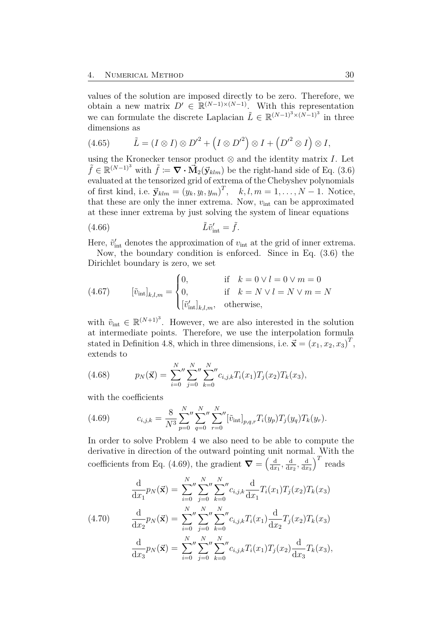values of the solution are imposed directly to be zero. Therefore, we obtain a new matrix  $D' \in \mathbb{R}^{(N-1)\times(N-1)}$ . With this representation we can formulate the discrete Laplacian  $\tilde{L} \in \mathbb{R}^{(N-1)^3 \times (N-1)^3}$  in three dimensions as

(4.65) 
$$
\tilde{L} = (I \otimes I) \otimes D'^2 + (I \otimes D'^2) \otimes I + (D'^2 \otimes I) \otimes I,
$$

using the Kronecker tensor product  $\otimes$  and the identity matrix *I*. Let  $\tilde{f} \in \mathbb{R}^{(N-1)^3}$  with  $\tilde{f} := \nabla \cdot \vec{M}_2(\vec{y}_{klm})$  be the right-hand side of Eq. [\(3.6\)](#page-19-1) evaluated at the tensorized grid of extrema of the Chebyshev polynomials of first kind, i.e.  $\vec{y}_{klm} = (y_k, y_l, y_m)^T$ ,  $k, l, m = 1, ..., N - 1$ . Notice, that these are only the inner extrema. Now,  $v_{\text{int}}$  can be approximated at these inner extrema by just solving the system of linear equations

$$
(4.66)\qquad \qquad \tilde{L}\tilde{v}'_{\rm int} = \tilde{f}.
$$

Here,  $\tilde{v}'_{\text{int}}$  denotes the approximation of  $v_{\text{int}}$  at the grid of inner extrema.

Now, the boundary condition is enforced. Since in Eq. [\(3.6\)](#page-19-1) the Dirichlet boundary is zero, we set

(4.67) 
$$
\left[\tilde{v}_{\text{int}}\right]_{k,l,m} = \begin{cases} 0, & \text{if } k = 0 \vee l = 0 \vee m = 0 \\ 0, & \text{if } k = N \vee l = N \vee m = N \\ \left[\tilde{v}_{\text{int}}'\right]_{k,l,m}, & \text{otherwise,} \end{cases}
$$

with  $\tilde{v}_{\text{int}} \in \mathbb{R}^{(N+1)^3}$ . However, we are also interested in the solution at intermediate points. Therefore, we use the interpolation formula stated in Definition [4.8,](#page-27-0) which in three dimensions, i.e.  $\vec{\mathbf{x}} = (x_1, x_2, x_3)^T$ , extends to

(4.68) 
$$
p_N(\vec{\mathbf{x}}) = \sum_{i=0}^N \sum_{j=0}^N \sum_{k=0}^N c_{i,j,k} T_i(x_1) T_j(x_2) T_k(x_3),
$$

<span id="page-35-0"></span>with the coefficients

(4.69) 
$$
c_{i,j,k} = \frac{8}{N^3} \sum_{p=0}^{N} \sum_{q=0}^{N} \sum_{r=0}^{N} \left[ \tilde{v}_{int} \right]_{p,q,r} T_i(y_p) T_j(y_q) T_k(y_r).
$$

In order to solve [Problem 4](#page-36-0) we also need to be able to compute the derivative in direction of the outward pointing unit normal. With the coefficients from Eq. [\(4.69\)](#page-35-0), the gradient  $\nabla = \begin{pmatrix} \frac{d}{dx} \\ \frac{1}{dx} \end{pmatrix}$  $\frac{\mathrm{d}}{\mathrm{d}x_1}$ ,  $\frac{\mathrm{d}}{\mathrm{d}x_2}$  $\frac{\mathrm{d}}{\mathrm{d}x_2}$ ,  $\frac{\mathrm{d}}{\mathrm{d}x}$  $dx_3$  $T$  reads

<span id="page-35-1"></span>
$$
\frac{\mathrm{d}}{\mathrm{d}x_1} p_N(\vec{\mathbf{x}}) = \sum_{i=0}^N \sum_{j=0}^N \sum_{k=0}^N c_{i,j,k} \frac{\mathrm{d}}{\mathrm{d}x_1} T_i(x_1) T_j(x_2) T_k(x_3)
$$
\n
$$
(4.70) \qquad \frac{\mathrm{d}}{\mathrm{d}x_2} p_N(\vec{\mathbf{x}}) = \sum_{i=0}^N \sum_{j=0}^N \sum_{k=0}^N c_{i,j,k} T_i(x_1) \frac{\mathrm{d}}{\mathrm{d}x_2} T_j(x_2) T_k(x_3)
$$
\n
$$
\frac{\mathrm{d}}{\mathrm{d}x_3} p_N(\vec{\mathbf{x}}) = \sum_{i=0}^N \sum_{j=0}^N \sum_{k=0}^N c_{i,j,k} T_i(x_1) T_j(x_2) \frac{\mathrm{d}}{\mathrm{d}x_3} T_k(x_3),
$$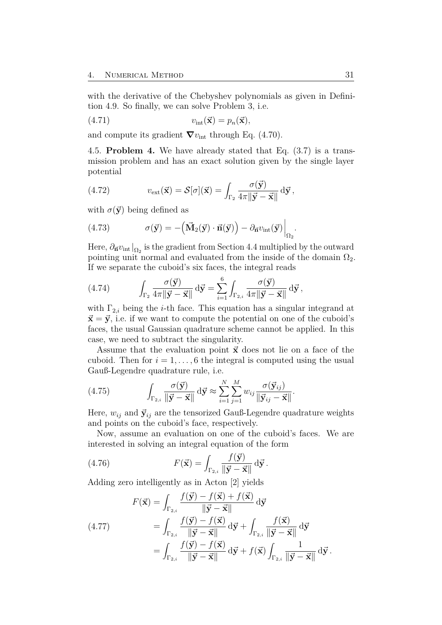<span id="page-36-2"></span>with the derivative of the Chebyshev polynomials as given in Definition [4.9.](#page-27-1) So finally, we can solve [Problem 3,](#page-34-0) i.e.

$$
(4.71) \t vint(\vec{\mathbf{x}}) = p_n(\vec{\mathbf{x}}),
$$

and compute its gradient  $\nabla v_{\text{int}}$  through Eq. [\(4.70\)](#page-35-1).

<span id="page-36-0"></span>4.5. **Problem 4.** We have already stated that Eq. [\(3.7\)](#page-19-3) is a transmission problem and has an exact solution given by the single layer potential

(4.72) 
$$
v_{\text{ext}}(\vec{\mathbf{x}}) = \mathcal{S}[\sigma](\vec{\mathbf{x}}) = \int_{\Gamma_2} \frac{\sigma(\vec{\mathbf{y}})}{4\pi \|\vec{\mathbf{y}} - \vec{\mathbf{x}}\|} d\vec{\mathbf{y}},
$$

with  $\sigma(\vec{y})$  being defined as

(4.73) 
$$
\sigma(\vec{\mathbf{y}}) = -(\vec{\mathbf{M}}_2(\vec{\mathbf{y}}) \cdot \vec{\mathbf{n}}(\vec{\mathbf{y}})) - \partial_{\vec{\mathbf{n}}} v_{\text{int}}(\vec{\mathbf{y}})\Big|_{\Omega_2}.
$$

Here,  $\partial_{\vec{n}}v_{\text{int}}|_{\Omega_2}$  is the gradient from Section [4.4](#page-34-0) multiplied by the outward pointing unit normal and evaluated from the inside of the domain  $\Omega_2$ . If we separate the cuboid's six faces, the integral reads

(4.74) 
$$
\int_{\Gamma_2} \frac{\sigma(\vec{\mathbf{y}})}{4\pi \|\vec{\mathbf{y}} - \vec{\mathbf{x}}\|} d\vec{\mathbf{y}} = \sum_{i=1}^6 \int_{\Gamma_{2,i}} \frac{\sigma(\vec{\mathbf{y}})}{4\pi \|\vec{\mathbf{y}} - \vec{\mathbf{x}}\|} d\vec{\mathbf{y}},
$$

with  $\Gamma_{2,i}$  being the *i*-th face. This equation has a singular integrand at  $\vec{x} = \vec{y}$ , i.e. if we want to compute the potential on one of the cuboid's faces, the usual Gaussian quadrature scheme cannot be applied. In this case, we need to subtract the singularity.

Assume that the evaluation point  $\vec{x}$  does not lie on a face of the cuboid. Then for  $i = 1, \ldots, 6$  the integral is computed using the usual Gauß-Legendre quadrature rule, i.e.

(4.75) 
$$
\int_{\Gamma_{2,i}} \frac{\sigma(\vec{\mathbf{y}})}{\|\vec{\mathbf{y}} - \vec{\mathbf{x}}\|} d\vec{\mathbf{y}} \approx \sum_{i=1}^N \sum_{j=1}^M w_{ij} \frac{\sigma(\vec{\mathbf{y}}_{ij})}{\|\vec{\mathbf{y}}_{ij} - \vec{\mathbf{x}}\|}.
$$

Here,  $w_{ij}$  and  $\vec{y}_{ij}$  are the tensorized Gauß-Legendre quadrature weights and points on the cuboid's face, respectively.

Now, assume an evaluation on one of the cuboid's faces. We are interested in solving an integral equation of the form

(4.76) 
$$
F(\vec{\mathbf{x}}) = \int_{\Gamma_{2,i}} \frac{f(\vec{\mathbf{y}})}{\|\vec{\mathbf{y}} - \vec{\mathbf{x}}\|} d\vec{\mathbf{y}}.
$$

Adding zero intelligently as in Acton [\[2\]](#page-53-10) yields

<span id="page-36-1"></span>(4.77) 
$$
F(\vec{\mathbf{x}}) = \int_{\Gamma_{2,i}} \frac{f(\vec{\mathbf{y}}) - f(\vec{\mathbf{x}}) + f(\vec{\mathbf{x}})}{\|\vec{\mathbf{y}} - \vec{\mathbf{x}}\|} d\vec{\mathbf{y}}
$$

$$
= \int_{\Gamma_{2,i}} \frac{f(\vec{\mathbf{y}}) - f(\vec{\mathbf{x}})}{\|\vec{\mathbf{y}} - \vec{\mathbf{x}}\|} d\vec{\mathbf{y}} + \int_{\Gamma_{2,i}} \frac{f(\vec{\mathbf{x}})}{\|\vec{\mathbf{y}} - \vec{\mathbf{x}}\|} d\vec{\mathbf{y}}
$$

$$
= \int_{\Gamma_{2,i}} \frac{f(\vec{\mathbf{y}}) - f(\vec{\mathbf{x}})}{\|\vec{\mathbf{y}} - \vec{\mathbf{x}}\|} d\vec{\mathbf{y}} + f(\vec{\mathbf{x}}) \int_{\Gamma_{2,i}} \frac{1}{\|\vec{\mathbf{y}} - \vec{\mathbf{x}}\|} d\vec{\mathbf{y}}.
$$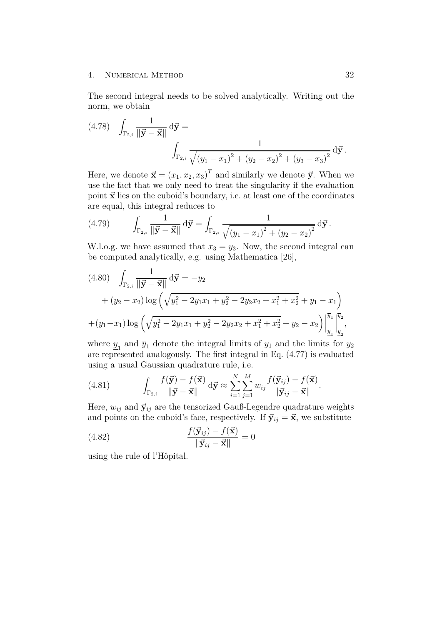<span id="page-37-0"></span>The second integral needs to be solved analytically. Writing out the norm, we obtain

(4.78) 
$$
\int_{\Gamma_{2,i}} \frac{1}{\|\vec{y} - \vec{x}\|} d\vec{y} = \int_{\Gamma_{2,i}} \frac{1}{\sqrt{(y_1 - x_1)^2 + (y_2 - x_2)^2 + (y_3 - x_3)^2}} d\vec{y}.
$$

Here, we denote  $\vec{x} = (x_1, x_2, x_3)^T$  and similarly we denote  $\vec{y}$ . When we use the fact that we only need to treat the singularity if the evaluation point  $\vec{x}$  lies on the cuboid's boundary, i.e. at least one of the coordinates are equal, this integral reduces to

(4.79) 
$$
\int_{\Gamma_{2,i}} \frac{1}{\|\vec{y} - \vec{x}\|} d\vec{y} = \int_{\Gamma_{2,i}} \frac{1}{\sqrt{(y_1 - x_1)^2 + (y_2 - x_2)^2}} d\vec{y}.
$$

W.l.o.g. we have assumed that  $x_3 = y_3$ . Now, the second integral can be computed analytically, e.g. using Mathematica [\[26\]](#page-55-6),

$$
(4.80) \quad \int_{\Gamma_{2,i}} \frac{1}{\|\vec{y} - \vec{x}\|} d\vec{y} = -y_2
$$
  
+  $(y_2 - x_2) \log \left( \sqrt{y_1^2 - 2y_1 x_1 + y_2^2 - 2y_2 x_2 + x_1^2 + x_2^2} + y_1 - x_1 \right)$   
+  $(y_1 - x_1) \log \left( \sqrt{y_1^2 - 2y_1 x_1 + y_2^2 - 2y_2 x_2 + x_1^2 + x_2^2} + y_2 - x_2 \right) \Big|_{\underline{y}_1}^{\overline{y}_1} \Big|_{\underline{y}_2}^{\overline{y}_2},$ 

where  $\underline{y}_1$  and  $\overline{y}_1$  denote the integral limits of  $y_1$  and the limits for  $y_2$ are represented analogously. The first integral in Eq. [\(4.77\)](#page-36-1) is evaluated using a usual Gaussian quadrature rule, i.e.

(4.81) 
$$
\int_{\Gamma_{2,i}} \frac{f(\vec{\mathbf{y}}) - f(\vec{\mathbf{x}})}{\|\vec{\mathbf{y}} - \vec{\mathbf{x}}\|} d\vec{\mathbf{y}} \approx \sum_{i=1}^N \sum_{j=1}^M w_{ij} \frac{f(\vec{\mathbf{y}}_{ij}) - f(\vec{\mathbf{x}})}{\|\vec{\mathbf{y}}_{ij} - \vec{\mathbf{x}}\|}.
$$

Here,  $w_{ij}$  and  $\vec{y}_{ij}$  are the tensorized Gauß-Legendre quadrature weights and points on the cuboid's face, respectively. If  $\vec{y}_{ij} = \vec{x}$ , we substitute

(4.82) 
$$
\frac{f(\vec{\mathbf{y}}_{ij}) - f(\vec{\mathbf{x}})}{\|\vec{\mathbf{y}}_{ij} - \vec{\mathbf{x}}\|} = 0
$$

using the rule of l'Hôpital.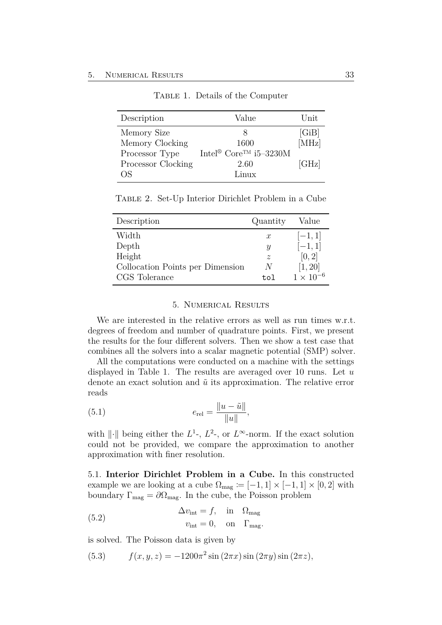<span id="page-38-2"></span>

| Description        | Value                                                         | Unit  |
|--------------------|---------------------------------------------------------------|-------|
| Memory Size        |                                                               | [GiB] |
| Memory Clocking    | 1600                                                          | [MHz] |
| Processor Type     | $\mbox{Intel}^{\circledast}$ Core<br>$\mbox{TM}$ i<br>5–3230M |       |
| Processor Clocking | 2.60                                                          | [GHz] |
| OS                 | Linux                                                         |       |

Table 1. Details of the Computer

<span id="page-38-3"></span>Table 2. Set-Up Interior Dirichlet Problem in a Cube

| Description                      | Quantity         | Value              |
|----------------------------------|------------------|--------------------|
| Width                            | $\boldsymbol{x}$ | $[-1, 1]$          |
| Depth                            | Y                | $[-1, 1]$          |
| Height                           | $\mathcal{Z}$    | [0, 2]             |
| Collocation Points per Dimension | N                | [1, 20]            |
| CGS Tolerance                    | t.o1             | $1 \times 10^{-6}$ |

#### 5. Numerical Results

<span id="page-38-0"></span>We are interested in the relative errors as well as run times w.r.t. degrees of freedom and number of quadrature points. First, we present the results for the four different solvers. Then we show a test case that combines all the solvers into a scalar magnetic potential (SMP) solver.

All the computations were conducted on a machine with the settings displayed in Table [1.](#page-38-2) The results are averaged over 10 runs. Let *u* denote an exact solution and  $\tilde{u}$  its approximation. The relative error reads

(5.1) 
$$
e_{\text{rel}} = \frac{\|u - \tilde{u}\|}{\|u\|},
$$

with  $\|\cdot\|$  being either the  $L^1$ -,  $L^2$ -, or  $L^{\infty}$ -norm. If the exact solution could not be provided, we compare the approximation to another approximation with finer resolution.

<span id="page-38-1"></span>5.1. **Interior Dirichlet Problem in a Cube.** In this constructed example we are looking at a cube  $\Omega_{\text{mag}} := [-1, 1] \times [-1, 1] \times [0, 2]$  with boundary  $\Gamma_{\text{mag}} = \partial \Omega_{\text{mag}}$ . In the cube, the Poisson problem

(5.2) 
$$
\Delta v_{\text{int}} = f, \text{ in } \Omega_{\text{mag}}
$$

$$
v_{\text{int}} = 0, \text{ on } \Gamma_{\text{mag}}.
$$

is solved. The Poisson data is given by

(5.3) 
$$
f(x, y, z) = -1200\pi^2 \sin(2\pi x) \sin(2\pi y) \sin(2\pi z),
$$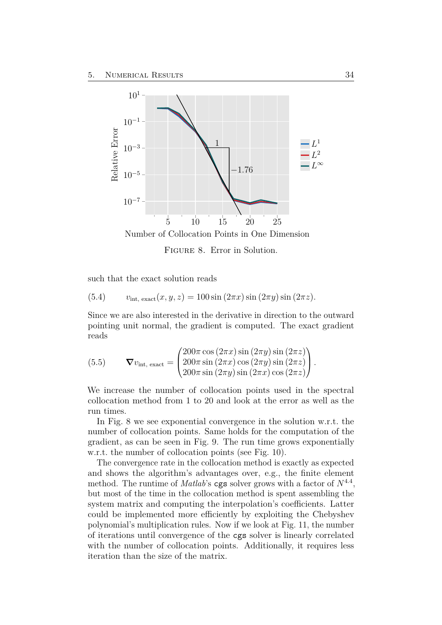<span id="page-39-0"></span>

such that the exact solution reads

(5.4) 
$$
v_{\text{int, exact}}(x, y, z) = 100 \sin (2\pi x) \sin (2\pi y) \sin (2\pi z).
$$

Since we are also interested in the derivative in direction to the outward pointing unit normal, the gradient is computed. The exact gradient reads

(5.5) 
$$
\nabla v_{\text{int, exact}} = \begin{pmatrix} 200\pi \cos(2\pi x) \sin(2\pi y) \sin(2\pi z) \\ 200\pi \sin(2\pi x) \cos(2\pi y) \sin(2\pi z) \\ 200\pi \sin(2\pi y) \sin(2\pi x) \cos(2\pi z) \end{pmatrix}.
$$

We increase the number of collocation points used in the spectral collocation method from 1 to 20 and look at the error as well as the run times.

In Fig. [8](#page-39-0) we see exponential convergence in the solution w.r.t. the number of collocation points. Same holds for the computation of the gradient, as can be seen in Fig. [9.](#page-40-0) The run time grows exponentially w.r.t. the number of collocation points (see Fig. [10\)](#page-40-1).

The convergence rate in the collocation method is exactly as expected and shows the algorithm's advantages over, e.g., the finite element method. The runtime of *Matlab*'s cgs solver grows with a factor of *N*<sup>4</sup>*.*<sup>4</sup> , but most of the time in the collocation method is spent assembling the system matrix and computing the interpolation's coefficients. Latter could be implemented more efficiently by exploiting the Chebyshev polynomial's multiplication rules. Now if we look at Fig. [11,](#page-41-1) the number of iterations until convergence of the cgs solver is linearly correlated with the number of collocation points. Additionally, it requires less iteration than the size of the matrix.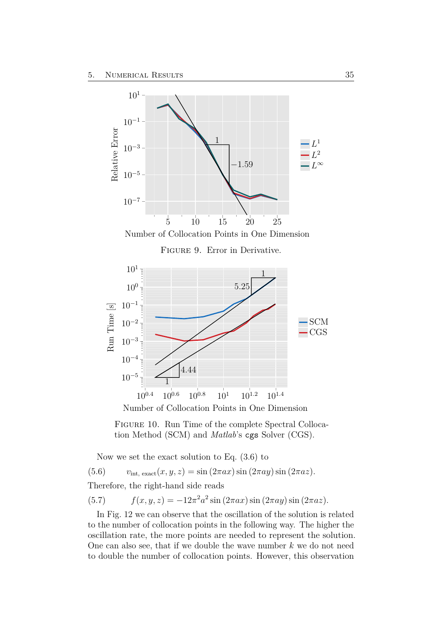<span id="page-40-0"></span>

<span id="page-40-1"></span>Number of Collocation Points in One Dimension

Now we set the exact solution to Eq. [\(3.6\)](#page-19-1) to

(5.6)  $v_{\text{int. exact}}(x, y, z) = \sin(2\pi ax) \sin(2\pi ay) \sin(2\pi az)$ .

Therefore, the right-hand side reads

(5.7)  $f(x, y, z) = -12\pi^2 a^2 \sin(2\pi ax) \sin(2\pi ay) \sin(2\pi az)$ .

In Fig. [12](#page-41-2) we can observe that the oscillation of the solution is related to the number of collocation points in the following way. The higher the oscillation rate, the more points are needed to represent the solution. One can also see, that if we double the wave number *k* we do not need to double the number of collocation points. However, this observation

Figure 10. Run Time of the complete Spectral Collocation Method (SCM) and *Matlab*'s cgs Solver (CGS).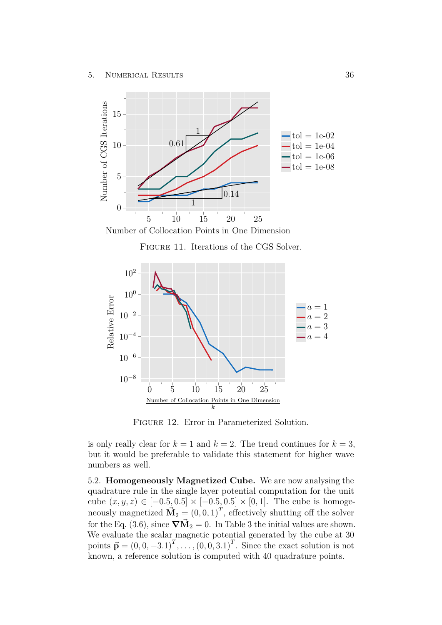<span id="page-41-1"></span>



Figure 11. Iterations of the CGS Solver.

<span id="page-41-2"></span>

Figure 12. Error in Parameterized Solution.

is only really clear for  $k = 1$  and  $k = 2$ . The trend continues for  $k = 3$ , but it would be preferable to validate this statement for higher wave numbers as well.

<span id="page-41-0"></span>5.2. **Homogeneously Magnetized Cube.** We are now analysing the quadrature rule in the single layer potential computation for the unit cube  $(x, y, z) \in [-0.5, 0.5] \times [-0.5, 0.5] \times [0, 1]$ . The cube is homogeneously magnetized  $\vec{M}_2 = (0, 0, 1)^T$ , effectively shutting off the solver for the Eq. [\(3.6\)](#page-19-1), since  $\nabla \vec{M}_2 = 0$ . In Table [3](#page-42-2) the initial values are shown. We evaluate the scalar magnetic potential generated by the cube at 30 points  $\vec{p} = (0, 0, -3.1)^T, \ldots, (0, 0, 3.1)^T$ . Since the exact solution is not known, a reference solution is computed with 40 quadrature points.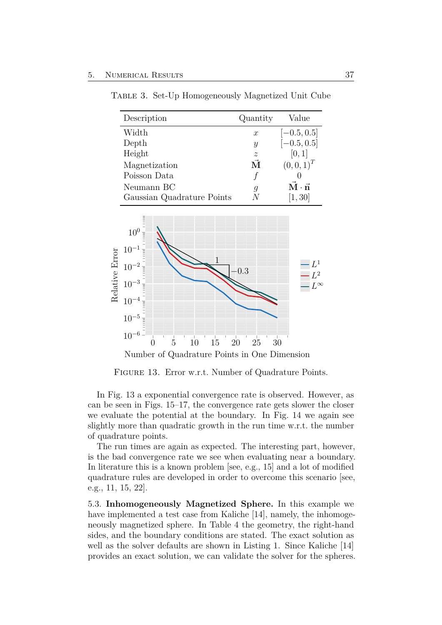| Description                | Quantity         | Value                                     |
|----------------------------|------------------|-------------------------------------------|
| Width                      | $\boldsymbol{x}$ | $[-0.5, 0.5]$                             |
| Depth                      | $\boldsymbol{y}$ | $[-0.5, 0.5]$                             |
| Height                     | $\boldsymbol{z}$ | [0, 1]                                    |
| Magnetization              | $\vec{M}$        | $(0,0,1)^T$                               |
| Poisson Data               |                  |                                           |
| Neumann BC                 | g                | $\vec{\mathbf{M}} \cdot \vec{\mathbf{n}}$ |
| Gaussian Quadrature Points |                  | [1, 30]                                   |

<span id="page-42-3"></span><span id="page-42-2"></span>Table 3. Set-Up Homogeneously Magnetized Unit Cube

<span id="page-42-1"></span>

Figure 13. Error w.r.t. Number of Quadrature Points.

In Fig. [13](#page-42-1) a exponential convergence rate is observed. However, as can be seen in Figs. [15](#page-43-1)[–17,](#page-44-1) the convergence rate gets slower the closer we evaluate the potential at the boundary. In Fig. [14](#page-43-0) we again see slightly more than quadratic growth in the run time w.r.t. the number of quadrature points.

The run times are again as expected. The interesting part, however, is the bad convergence rate we see when evaluating near a boundary. In literature this is a known problem [see, e.g., [15\]](#page-54-7) and a lot of modified quadrature rules are developed in order to overcome this scenario [see, e.g., [11,](#page-54-8) [15,](#page-54-7) [22\]](#page-55-7).

<span id="page-42-0"></span>5.3. **Inhomogeneously Magnetized Sphere.** In this example we have implemented a test case from Kaliche [\[14\]](#page-54-4), namely, the inhomogeneously magnetized sphere. In Table [4](#page-45-2) the geometry, the right-hand sides, and the boundary conditions are stated. The exact solution as well as the solver defaults are shown in Listing [1.](#page-60-1) Since Kaliche [\[14\]](#page-54-4) provides an exact solution, we can validate the solver for the spheres.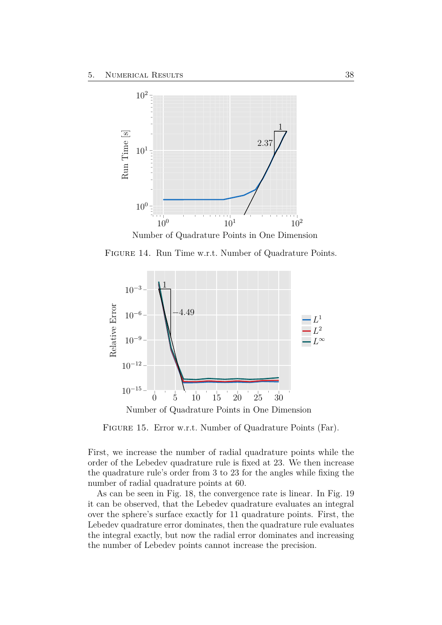<span id="page-43-0"></span>

Number of Quadrature Points in One Dimension

Figure 14. Run Time w.r.t. Number of Quadrature Points.

<span id="page-43-1"></span>

Figure 15. Error w.r.t. Number of Quadrature Points (Far).

First, we increase the number of radial quadrature points while the order of the Lebedev quadrature rule is fixed at 23. We then increase the quadrature rule's order from 3 to 23 for the angles while fixing the number of radial quadrature points at 60.

<span id="page-43-2"></span>As can be seen in Fig. [18,](#page-45-0) the convergence rate is linear. In Fig. [19](#page-45-1) it can be observed, that the Lebedev quadrature evaluates an integral over the sphere's surface exactly for 11 quadrature points. First, the Lebedev quadrature error dominates, then the quadrature rule evaluates the integral exactly, but now the radial error dominates and increasing the number of Lebedev points cannot increase the precision.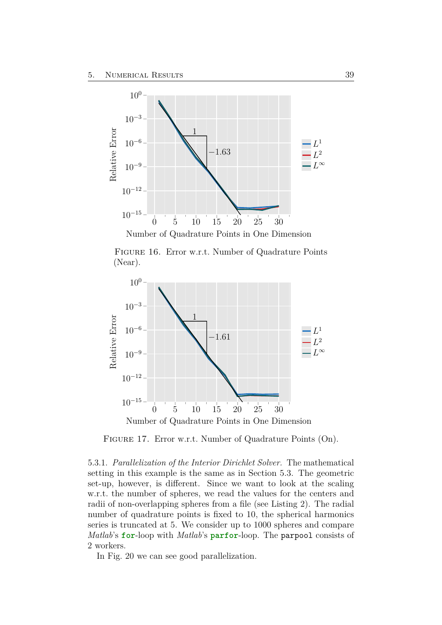<span id="page-44-0"></span>

Figure 16. Error w.r.t. Number of Quadrature Points (Near).

<span id="page-44-1"></span>

FIGURE 17. Error w.r.t. Number of Quadrature Points (On).

5.3.1. *Parallelization of the Interior Dirichlet Solver.* The mathematical setting in this example is the same as in Section [5.3.](#page-42-0) The geometric set-up, however, is different. Since we want to look at the scaling w.r.t. the number of spheres, we read the values for the centers and radii of non-overlapping spheres from a file (see Listing [2\)](#page-61-0). The radial number of quadrature points is fixed to 10, the spherical harmonics series is truncated at 5. We consider up to 1000 spheres and compare *Matlab*'s **for**-loop with *Matlab*'s **parfor**-loop. The parpool consists of 2 workers.

In Fig. [20](#page-46-1) we can see good parallelization.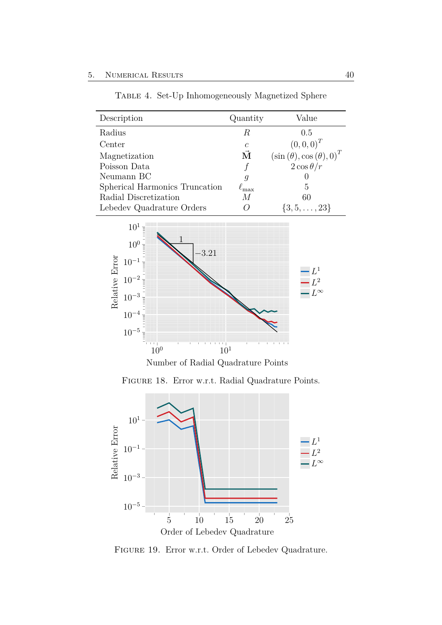<span id="page-45-2"></span>

| Description                    | Quantity           | Value                                                                |
|--------------------------------|--------------------|----------------------------------------------------------------------|
| Radius                         | R                  | 0.5                                                                  |
| Center                         | $\mathcal{C}$      | $(0,0,0)^T$                                                          |
| Magnetization                  | $\vec{\mathbf{M}}$ | $\left(\sin\left(\theta\right),\cos\left(\theta\right),0\right)^{T}$ |
| Poisson Data                   |                    | $2\cos\theta/r$                                                      |
| Neumann BC                     | g                  |                                                                      |
| Spherical Harmonics Truncation | $\ell_{\rm max}$   | 5                                                                    |
| Radial Discretization          | М                  | 60                                                                   |
| Lebedev Quadrature Orders      | ( )                | $\{3, 5, \ldots, 23\}$                                               |

Table 4. Set-Up Inhomogeneously Magnetized Sphere

<span id="page-45-0"></span>

Number of Radial Quadrature Points

Figure 18. Error w.r.t. Radial Quadrature Points.

<span id="page-45-1"></span>

Figure 19. Error w.r.t. Order of Lebedev Quadrature.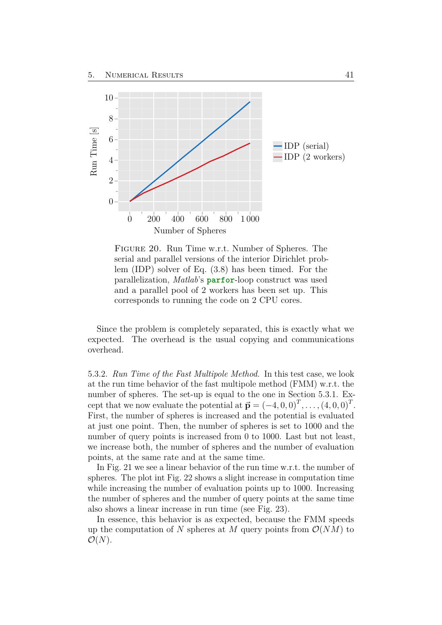<span id="page-46-1"></span>

Figure 20. Run Time w.r.t. Number of Spheres. The serial and parallel versions of the interior Dirichlet problem (IDP) solver of Eq. [\(3.8\)](#page-19-2) has been timed. For the parallelization, *Matlab*'s **parfor**-loop construct was used and a parallel pool of 2 workers has been set up. This corresponds to running the code on 2 CPU cores.

Since the problem is completely separated, this is exactly what we expected. The overhead is the usual copying and communications overhead.

5.3.2. *Run Time of the Fast Multipole Method.* In this test case, we look at the run time behavior of the fast multipole method (FMM) w.r.t. the number of spheres. The set-up is equal to the one in Section [5.3.1.](#page-43-2) Except that we now evaluate the potential at  $\vec{p} = (-4, 0, 0)^T, \dots, (4, 0, 0)^T$ . First, the number of spheres is increased and the potential is evaluated at just one point. Then, the number of spheres is set to 1000 and the number of query points is increased from 0 to 1000. Last but not least, we increase both, the number of spheres and the number of evaluation points, at the same rate and at the same time.

In Fig. [21](#page-47-0) we see a linear behavior of the run time w.r.t. the number of spheres. The plot int Fig. [22](#page-47-1) shows a slight increase in computation time while increasing the number of evaluation points up to 1000. Increasing the number of spheres and the number of query points at the same time also shows a linear increase in run time (see Fig. [23\)](#page-48-0).

<span id="page-46-0"></span>In essence, this behavior is as expected, because the FMM speeds up the computation of N spheres at M query points from  $\mathcal{O}(NM)$  to  $\mathcal{O}(N)$ .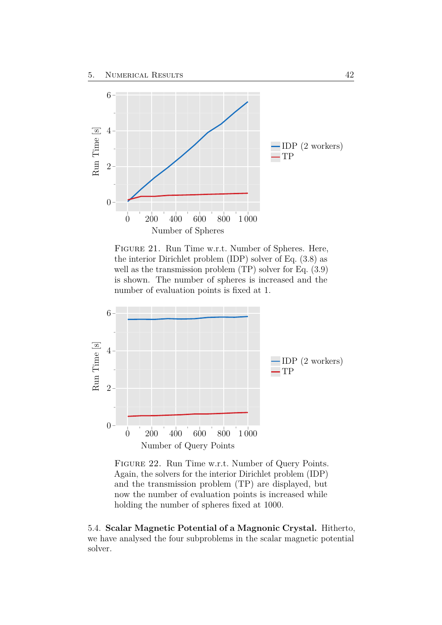<span id="page-47-0"></span>

Figure 21. Run Time w.r.t. Number of Spheres. Here, the interior Dirichlet problem (IDP) solver of Eq. [\(3.8\)](#page-19-2) as well as the transmission problem (TP) solver for Eq. [\(3.9\)](#page-20-1) is shown. The number of spheres is increased and the number of evaluation points is fixed at 1.

<span id="page-47-1"></span>

Figure 22. Run Time w.r.t. Number of Query Points. Again, the solvers for the interior Dirichlet problem (IDP) and the transmission problem (TP) are displayed, but now the number of evaluation points is increased while holding the number of spheres fixed at 1000.

5.4. **Scalar Magnetic Potential of a Magnonic Crystal.** Hitherto, we have analysed the four subproblems in the scalar magnetic potential solver.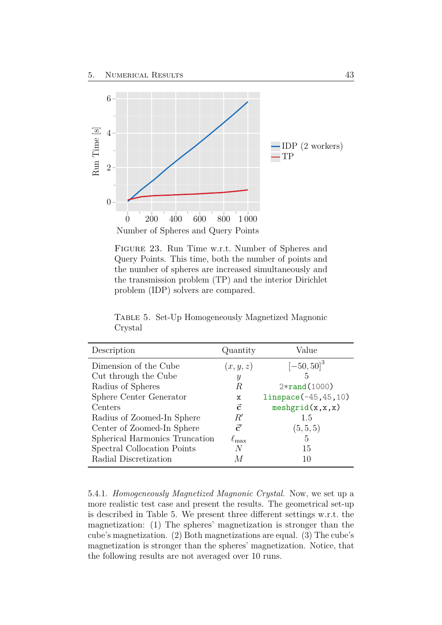<span id="page-48-0"></span>

Figure 23. Run Time w.r.t. Number of Spheres and Query Points. This time, both the number of points and the number of spheres are increased simultaneously and the transmission problem (TP) and the interior Dirichlet problem (IDP) solvers are compared.

| Description                    | Quantity         | Value                    |
|--------------------------------|------------------|--------------------------|
| Dimension of the Cube          | (x, y, z)        | $[-50, 50]$ <sup>3</sup> |
| Cut through the Cube           | $\boldsymbol{y}$ | 5                        |
| Radius of Spheres              | R                | $2*rand(1000)$           |
| Sphere Center Generator        | х                | $linspace(-45, 45, 10)$  |
| Centers                        | $\vec{c}$        | meshgrid(x, x, x)        |
| Radius of Zoomed-In Sphere     | $R^{\prime}$     | 1.5                      |
| Center of Zoomed-In Sphere     | $\vec{c}'$       | (5, 5, 5)                |
| Spherical Harmonics Truncation | $\ell_{\rm max}$ | 5                        |
| Spectral Collocation Points    | N                | 15                       |
| Radial Discretization          |                  | 10                       |

<span id="page-48-1"></span>Table 5. Set-Up Homogeneously Magnetized Magnonic Crystal

5.4.1. *Homogeneously Magnetized Magnonic Crystal.* Now, we set up a more realistic test case and present the results. The geometrical set-up is described in Table [5.](#page-48-1) We present three different settings w.r.t. the magnetization: (1) The spheres' magnetization is stronger than the cube's magnetization. (2) Both magnetizations are equal. (3) The cube's magnetization is stronger than the spheres' magnetization. Notice, that the following results are not averaged over 10 runs.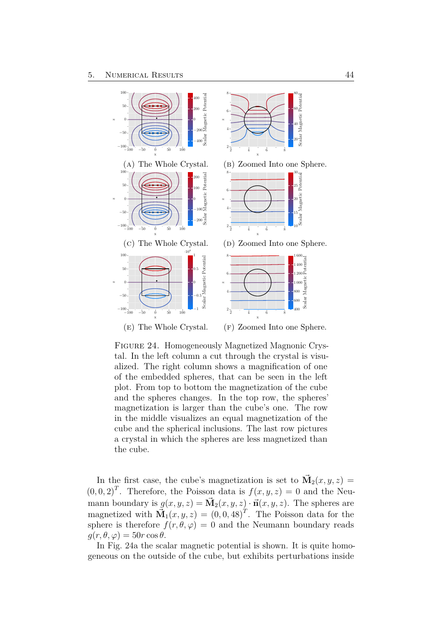<span id="page-49-0"></span>

Figure 24. Homogeneously Magnetized Magnonic Crystal. In the left column a cut through the crystal is visualized. The right column shows a magnification of one of the embedded spheres, that can be seen in the left plot. From top to bottom the magnetization of the cube and the spheres changes. In the top row, the spheres' magnetization is larger than the cube's one. The row in the middle visualizes an equal magnetization of the cube and the spherical inclusions. The last row pictures a crystal in which the spheres are less magnetized than the cube.

In the first case, the cube's magnetization is set to  $\vec{M}_2(x, y, z) =$  $(0,0,2)^T$ . Therefore, the Poisson data is  $f(x,y,z) = 0$  and the Neumann boundary is  $g(x, y, z) = \vec{M}_2(x, y, z) \cdot \vec{n}(x, y, z)$ . The spheres are magnetized with  $\vec{M}_1(x, y, z) = (0, 0, 48)^T$ . The Poisson data for the sphere is therefore  $f(r, \theta, \varphi) = 0$  and the Neumann boundary reads  $q(r, \theta, \varphi) = 50r \cos \theta$ .

In Fig. [24a](#page-49-0) the scalar magnetic potential is shown. It is quite homogeneous on the outside of the cube, but exhibits perturbations inside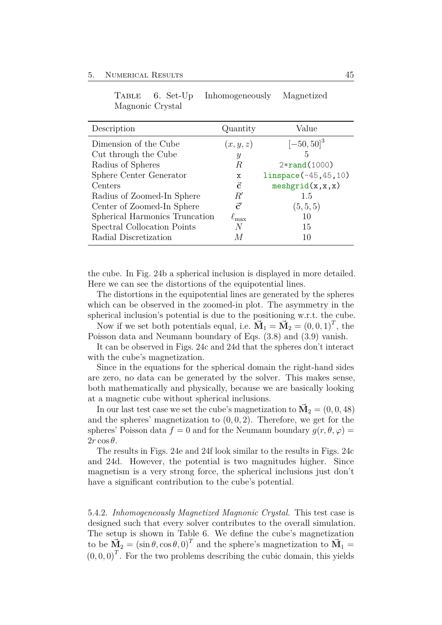| Description                    | Quantity         | Value                    |
|--------------------------------|------------------|--------------------------|
| Dimension of the Cube          | (x, y, z)        | $[-50, 50]$ <sup>3</sup> |
| Cut through the Cube           | Y                | 5                        |
| Radius of Spheres              | R                | $2*rand(1000)$           |
| Sphere Center Generator        | х                | $linspace(-45, 45, 10)$  |
| Centers                        | $\vec{c}$        | meshgrid(x, x, x)        |
| Radius of Zoomed-In Sphere     | $R^{\prime}$     | 1.5                      |
| Center of Zoomed-In Sphere     | $\vec{c}'$       | (5, 5, 5)                |
| Spherical Harmonics Truncation | $\ell_{\rm max}$ | 10                       |
| Spectral Collocation Points    | N                | 15                       |
| Radial Discretization          |                  | 10                       |
|                                |                  |                          |

<span id="page-50-0"></span>Table 6. Set-Up Inhomogeneously Magnetized Magnonic Crystal

the cube. In Fig. [24b](#page-49-0) a spherical inclusion is displayed in more detailed. Here we can see the distortions of the equipotential lines.

The distortions in the equipotential lines are generated by the spheres which can be observed in the zoomed-in plot. The asymmetry in the spherical inclusion's potential is due to the positioning w.r.t. the cube.

Now if we set both potentials equal, i.e.  $\vec{M}_1 = \vec{M}_2 = (0, 0, 1)^T$ , the Poisson data and Neumann boundary of Eqs. [\(3.8\)](#page-19-2) and [\(3.9\)](#page-20-1) vanish.

It can be observed in Figs. [24c](#page-49-0) and [24d](#page-49-0) that the spheres don't interact with the cube's magnetization.

Since in the equations for the spherical domain the right-hand sides are zero, no data can be generated by the solver. This makes sense, both mathematically and physically, because we are basically looking at a magnetic cube without spherical inclusions.

In our last test case we set the cube's magnetization to  $\vec{M}_2 = (0, 0, 48)$ and the spheres' magnetization to (0*,* 0*,* 2). Therefore, we get for the spheres' Poisson data  $f = 0$  and for the Neumann boundary  $g(r, \theta, \varphi)$ 2*r* cos *θ*.

The results in Figs. [24e](#page-49-0) and [24f](#page-49-0) look similar to the results in Figs. [24c](#page-49-0) and [24d.](#page-49-0) However, the potential is two magnitudes higher. Since magnetism is a very strong force, the spherical inclusions just don't have a significant contribution to the cube's potential.

5.4.2. *Inhomogeneously Magnetized Magnonic Crystal.* This test case is designed such that every solver contributes to the overall simulation. The setup is shown in Table [6.](#page-50-0) We define the cube's magnetization to be  $\vec{M}_2 = (\sin \theta, \cos \theta, 0)^T$  and the sphere's magnetization to  $\vec{M}_1 =$  $(0,0,0)^T$ . For the two problems describing the cubic domain, this yields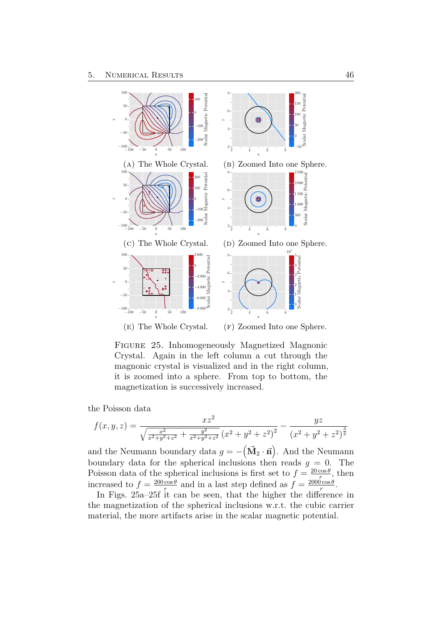<span id="page-51-0"></span>

Figure 25. Inhomogeneously Magnetized Magnonic Crystal. Again in the left column a cut through the magnonic crystal is visualized and in the right column, it is zoomed into a sphere. From top to bottom, the magnetization is successively increased.

the Poisson data

$$
f(x,y,z) = \frac{xz^2}{\sqrt{\frac{x^2}{x^2+y^2+z^2} + \frac{y^2}{x^2+y^2+z^2}} (x^2+y^2+z^2)^2} - \frac{yz}{(x^2+y^2+z^2)^{\frac{3}{2}}}
$$

and the Neumann boundary data  $g = -(\vec{M}_2 \cdot \vec{n})$ . And the Neumann boundary data for the spherical inclusions then reads  $g = 0$ . The Poisson data of the spherical inclusions is first set to  $f = \frac{20 \cos \theta}{r}$  $\frac{\cos \theta}{r}$ , then increased to  $f = \frac{200 \cos \theta}{r}$  $\frac{\cos \theta}{r}$  and in a last step defined as  $f = \frac{2000 \cos \theta}{r}$  $rac{\theta \cos \theta}{r}$ .

In Figs. [25a–25f](#page-51-0) it can be seen, that the higher the difference in the magnetization of the spherical inclusions w.r.t. the cubic carrier material, the more artifacts arise in the scalar magnetic potential.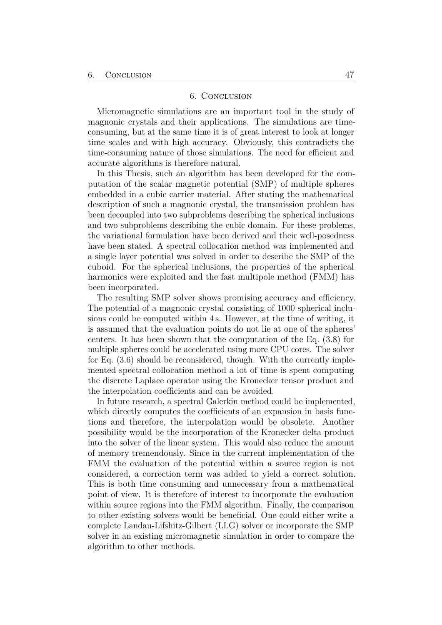#### 6. Conclusion

<span id="page-52-0"></span>Micromagnetic simulations are an important tool in the study of magnonic crystals and their applications. The simulations are timeconsuming, but at the same time it is of great interest to look at longer time scales and with high accuracy. Obviously, this contradicts the time-consuming nature of those simulations. The need for efficient and accurate algorithms is therefore natural.

In this Thesis, such an algorithm has been developed for the computation of the scalar magnetic potential (SMP) of multiple spheres embedded in a cubic carrier material. After stating the mathematical description of such a magnonic crystal, the transmission problem has been decoupled into two subproblems describing the spherical inclusions and two subproblems describing the cubic domain. For these problems, the variational formulation have been derived and their well-posedness have been stated. A spectral collocation method was implemented and a single layer potential was solved in order to describe the SMP of the cuboid. For the spherical inclusions, the properties of the spherical harmonics were exploited and the fast multipole method (FMM) has been incorporated.

The resulting SMP solver shows promising accuracy and efficiency. The potential of a magnonic crystal consisting of 1000 spherical inclusions could be computed within 4 s. However, at the time of writing, it is assumed that the evaluation points do not lie at one of the spheres' centers. It has been shown that the computation of the Eq. [\(3.8\)](#page-19-2) for multiple spheres could be accelerated using more CPU cores. The solver for Eq. [\(3.6\)](#page-19-1) should be reconsidered, though. With the currently implemented spectral collocation method a lot of time is spent computing the discrete Laplace operator using the Kronecker tensor product and the interpolation coefficients and can be avoided.

In future research, a spectral Galerkin method could be implemented, which directly computes the coefficients of an expansion in basis functions and therefore, the interpolation would be obsolete. Another possibility would be the incorporation of the Kronecker delta product into the solver of the linear system. This would also reduce the amount of memory tremendously. Since in the current implementation of the FMM the evaluation of the potential within a source region is not considered, a correction term was added to yield a correct solution. This is both time consuming and unnecessary from a mathematical point of view. It is therefore of interest to incorporate the evaluation within source regions into the FMM algorithm. Finally, the comparison to other existing solvers would be beneficial. One could either write a complete Landau-Lifshitz-Gilbert (LLG) solver or incorporate the SMP solver in an existing micromagnetic simulation in order to compare the algorithm to other methods.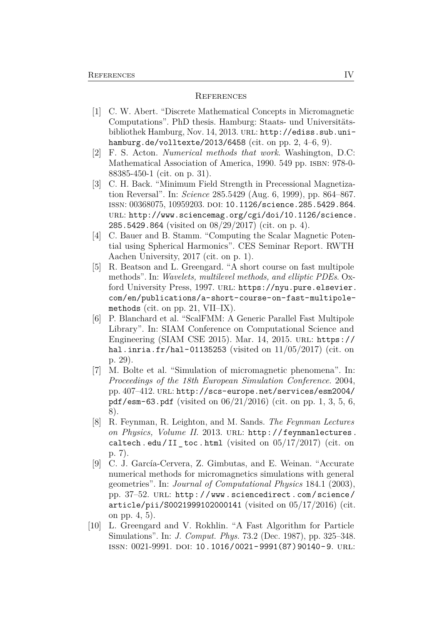#### <span id="page-53-0"></span>**REFERENCES**

- <span id="page-53-3"></span>[1] C. W. Abert. "Discrete Mathematical Concepts in Micromagnetic Computations". PhD thesis. Hamburg: Staats- und Universitätsbibliothek Hamburg, Nov. 14, 2013. URL: [http://ediss.sub.uni](http://ediss.sub.uni-hamburg.de/volltexte/2013/6458)[hamburg.de/volltexte/2013/6458](http://ediss.sub.uni-hamburg.de/volltexte/2013/6458) (cit. on pp. [2,](#page-7-3) [4–](#page-9-3)[6,](#page-11-1) [9\)](#page-14-1).
- <span id="page-53-10"></span>[2] F. S. Acton. *Numerical methods that work*. Washington, D.C: Mathematical Association of America, 1990. 549 pp. ISBN: 978-0-88385-450-1 (cit. on p. [31\)](#page-36-2).
- <span id="page-53-4"></span>[3] C. H. Back. "Minimum Field Strength in Precessional Magnetization Reversal". In: *Science* 285.5429 (Aug. 6, 1999), pp. 864–867. issn: 00368075, 10959203. doi: [10.1126/science.285.5429.864](https://doi.org/10.1126/science.285.5429.864). url: [http://www.sciencemag.org/cgi/doi/10.1126/science.](http://www.sciencemag.org/cgi/doi/10.1126/science.285.5429.864) [285.5429.864](http://www.sciencemag.org/cgi/doi/10.1126/science.285.5429.864) (visited on 08/29/2017) (cit. on p. [4\)](#page-9-3).
- <span id="page-53-2"></span>[4] C. Bauer and B. Stamm. "Computing the Scalar Magnetic Potential using Spherical Harmonics". CES Seminar Report. RWTH Aachen University, 2017 (cit. on p. [1\)](#page-6-1).
- <span id="page-53-7"></span>[5] R. Beatson and L. Greengard. "A short course on fast multipole methods". In: *Wavelets, multilevel methods, and elliptic PDEs*. Oxford University Press, 1997. URL: [https://nyu.pure.elsevier.](https://nyu.pure.elsevier.com/en/publications/a-short-course-on-fast-multipole-methods) [com/en/publications/a-short-course-on-fast-multipole](https://nyu.pure.elsevier.com/en/publications/a-short-course-on-fast-multipole-methods)[methods](https://nyu.pure.elsevier.com/en/publications/a-short-course-on-fast-multipole-methods) (cit. on pp. [21,](#page-26-2) [VII–](#page-56-1)[IX\)](#page-58-0).
- <span id="page-53-9"></span>[6] P. Blanchard et al. "ScalFMM: A Generic Parallel Fast Multipole Library". In: SIAM Conference on Computational Science and Engineering (SIAM CSE 2015). Mar. 14, 2015. URL: [https://](https://hal.inria.fr/hal-01135253) [hal.inria.fr/hal-01135253](https://hal.inria.fr/hal-01135253) (visited on  $11/05/2017$ ) (cit. on p. [29\)](#page-34-1).
- <span id="page-53-1"></span>[7] M. Bolte et al. "Simulation of micromagnetic phenomena". In: *Proceedings of the 18th European Simulation Conference*. 2004, pp. 407–412. url: [http://scs-europe.net/services/esm2004/](http://scs-europe.net/services/esm2004/pdf/esm-63.pdf) [pdf/esm-63.pdf](http://scs-europe.net/services/esm2004/pdf/esm-63.pdf) (visited on 06/21/2016) (cit. on pp. [1,](#page-6-1) [3,](#page-8-3) [5,](#page-10-4) [6,](#page-11-1) [8\)](#page-13-5).
- <span id="page-53-6"></span>[8] R. Feynman, R. Leighton, and M. Sands. *The Feynman Lectures* on Physics, Volume II. 2013. URL: [http://feynmanlectures.](http://feynmanlectures.caltech.edu/II_toc.html) caltech. edu/II toc. html (visited on  $05/17/2017$ ) (cit. on p. [7\)](#page-12-5).
- <span id="page-53-5"></span>[9] C. J. García-Cervera, Z. Gimbutas, and E. Weinan. "Accurate numerical methods for micromagnetics simulations with general geometries". In: *Journal of Computational Physics* 184.1 (2003), pp. 37-52. URL: http://www.sciencedirect.com/science/ [article/pii/S0021999102000141](http://www.sciencedirect.com/science/article/pii/S0021999102000141) (visited on 05/17/2016) (cit. on pp. [4,](#page-9-3) [5\)](#page-10-4).
- <span id="page-53-8"></span>[10] L. Greengard and V. Rokhlin. "A Fast Algorithm for Particle Simulations". In: *J. Comput. Phys.* 73.2 (Dec. 1987), pp. 325–348. issn: 0021-9991. doi: [10.1016/0021- 9991\(87\)90140- 9](https://doi.org/10.1016/0021-9991(87)90140-9). url: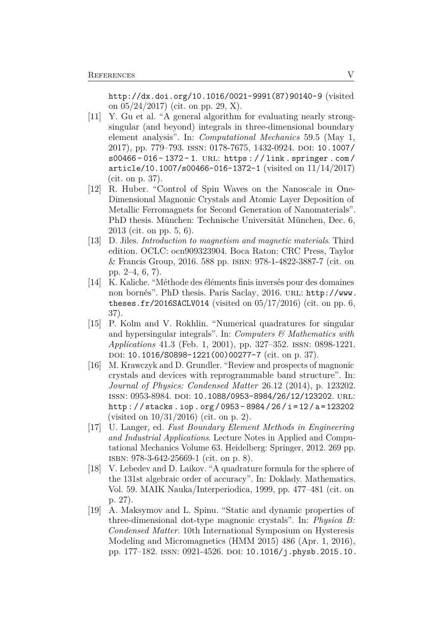[http://dx.doi.org/10.1016/0021-9991\(87\)90140-9](http://dx.doi.org/10.1016/0021-9991(87)90140-9) (visited on  $05/24/2017$  (cit. on pp. [29,](#page-34-1) [X\)](#page-59-0).

- <span id="page-54-8"></span>[11] Y. Gu et al. "A general algorithm for evaluating nearly strongsingular (and beyond) integrals in three-dimensional boundary element analysis". In: *Computational Mechanics* 59.5 (May 1, 2017), pp. 779–793. issn: 0178-7675, 1432-0924. doi: [10.1007/](https://doi.org/10.1007/s00466-016-1372-1) [s00466 - 016 - 1372 - 1](https://doi.org/10.1007/s00466-016-1372-1). url: [https : / / link . springer . com /](https://link.springer.com/article/10.1007/s00466-016-1372-1) [article/10.1007/s00466-016-1372-1](https://link.springer.com/article/10.1007/s00466-016-1372-1) (visited on 11/14/2017) (cit. on p. [37\)](#page-42-3).
- <span id="page-54-3"></span>[12] R. Huber. "Control of Spin Waves on the Nanoscale in One-Dimensional Magnonic Crystals and Atomic Layer Deposition of Metallic Ferromagnets for Second Generation of Nanomaterials". PhD thesis. München: Technische Universität München, Dec. 6, 2013 (cit. on pp. [5,](#page-10-4) [6\)](#page-11-1).
- <span id="page-54-2"></span>[13] D. Jiles. *Introduction to magnetism and magnetic materials*. Third edition. OCLC: ocn909323904. Boca Raton: CRC Press, Taylor & Francis Group, 2016. 588 pp. isbn: 978-1-4822-3887-7 (cit. on pp. [2](#page-7-3)[–4,](#page-9-3) [6,](#page-11-1) [7\)](#page-12-5).
- <span id="page-54-4"></span>[14] K. Kaliche. "Méthode des éléments finis inversés pour des domaines non bornés". PhD thesis. Paris Saclay, 2016. url: [http://www.](http://www.theses.fr/2016SACLV014) [theses.fr/2016SACLV014](http://www.theses.fr/2016SACLV014) (visited on  $05/17/2016$ ) (cit. on pp. [6,](#page-11-1) [37\)](#page-42-3).
- <span id="page-54-7"></span>[15] P. Kolm and V. Rokhlin. "Numerical quadratures for singular and hypersingular integrals". In: *Computers & Mathematics with Applications* 41.3 (Feb. 1, 2001), pp. 327–352. issn: 0898-1221. doi: [10.1016/S0898-1221\(00\)00277-7](https://doi.org/10.1016/S0898-1221(00)00277-7) (cit. on p. [37\)](#page-42-3).
- <span id="page-54-1"></span>[16] M. Krawczyk and D. Grundler. "Review and prospects of magnonic crystals and devices with reprogrammable band structure". In: *Journal of Physics: Condensed Matter* 26.12 (2014), p. 123202. issn: 0953-8984. doi: [10.1088/0953-8984/26/12/123202](https://doi.org/10.1088/0953-8984/26/12/123202). url: [http : / / stacks . iop . org / 0953 - 8984 / 26 / i = 12 / a = 123202](http://stacks.iop.org/0953-8984/26/i=12/a=123202) (visited on 10/31/2016) (cit. on p. [2\)](#page-7-3).
- <span id="page-54-5"></span>[17] U. Langer, ed. *Fast Boundary Element Methods in Engineering and Industrial Applications*. Lecture Notes in Applied and Computational Mechanics Volume 63. Heidelberg: Springer, 2012. 269 pp. isbn: 978-3-642-25669-1 (cit. on p. [8\)](#page-13-5).
- <span id="page-54-6"></span>[18] V. Lebedev and D. Laikov. "A quadrature formula for the sphere of the 131st algebraic order of accuracy". In: Doklady. Mathematics. Vol. 59. MAIK Nauka/Interperiodica, 1999, pp. 477–481 (cit. on p. [27\)](#page-32-3).
- <span id="page-54-0"></span>[19] A. Maksymov and L. Spinu. "Static and dynamic properties of three-dimensional dot-type magnonic crystals". In: *Physica B: Condensed Matter*. 10th International Symposium on Hysteresis Modeling and Micromagnetics (HMM 2015) 486 (Apr. 1, 2016), pp. 177–182. ISSN: 0921-4526. DOI: [10.1016/j.physb.2015.10.](https://doi.org/10.1016/j.physb.2015.10.032)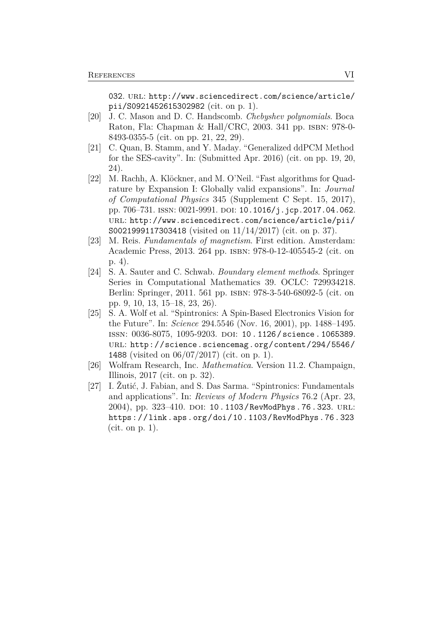[032](https://doi.org/10.1016/j.physb.2015.10.032). URL: [http://www.sciencedirect.com/science/article/](http://www.sciencedirect.com/science/article/pii/S0921452615302982) [pii/S0921452615302982](http://www.sciencedirect.com/science/article/pii/S0921452615302982) (cit. on p. [1\)](#page-6-1).

- <span id="page-55-5"></span>[20] J. C. Mason and D. C. Handscomb. *Chebyshev polynomials*. Boca Raton, Fla: Chapman & Hall/CRC, 2003. 341 pp. ISBN: 978-0-8493-0355-5 (cit. on pp. [21,](#page-26-2) [22,](#page-27-2) [29\)](#page-34-1).
- <span id="page-55-4"></span>[21] C. Quan, B. Stamm, and Y. Maday. "Generalized ddPCM Method for the SES-cavity". In: (Submitted Apr. 2016) (cit. on pp. [19,](#page-24-5) [20,](#page-25-2) [24\)](#page-29-4).
- <span id="page-55-7"></span>[22] M. Rachh, A. Klöckner, and M. O'Neil. "Fast algorithms for Quadrature by Expansion I: Globally valid expansions". In: *Journal of Computational Physics* 345 (Supplement C Sept. 15, 2017), pp. 706–731. ISSN: 0021-9991. DOI: [10.1016/j.jcp.2017.04.062](https://doi.org/10.1016/j.jcp.2017.04.062). url: [http://www.sciencedirect.com/science/article/pii/](http://www.sciencedirect.com/science/article/pii/S0021999117303418) [S0021999117303418](http://www.sciencedirect.com/science/article/pii/S0021999117303418) (visited on 11/14/2017) (cit. on p. [37\)](#page-42-3).
- <span id="page-55-2"></span>[23] M. Reis. *Fundamentals of magnetism*. First edition. Amsterdam: Academic Press, 2013. 264 pp. isbn: 978-0-12-405545-2 (cit. on p. [4\)](#page-9-3).
- <span id="page-55-3"></span>[24] S. A. Sauter and C. Schwab. *Boundary element methods*. Springer Series in Computational Mathematics 39. OCLC: 729934218. Berlin: Springer, 2011. 561 pp. isbn: 978-3-540-68092-5 (cit. on pp. [9,](#page-14-1) [10,](#page-15-1) [13,](#page-18-2) [15–](#page-20-2)[18,](#page-23-1) [23,](#page-28-1) [26\)](#page-31-2).
- <span id="page-55-0"></span>[25] S. A. Wolf et al. "Spintronics: A Spin-Based Electronics Vision for the Future". In: *Science* 294.5546 (Nov. 16, 2001), pp. 1488–1495. ISSN: 0036-8075, 1095-9203. DOI: 10.1126/science.1065389. url: [http://science.sciencemag.org/content/294/5546/](http://science.sciencemag.org/content/294/5546/1488) [1488](http://science.sciencemag.org/content/294/5546/1488) (visited on 06/07/2017) (cit. on p. [1\)](#page-6-1).
- <span id="page-55-6"></span>[26] Wolfram Research, Inc. *Mathematica*. Version 11.2. Champaign, Illinois, 2017 (cit. on p. [32\)](#page-37-0).
- <span id="page-55-1"></span>[27] I. Žutić, J. Fabian, and S. Das Sarma. "Spintronics: Fundamentals and applications". In: *Reviews of Modern Physics* 76.2 (Apr. 23, 2004), pp. 323-410. DOI: [10.1103/RevModPhys.76.323](https://doi.org/10.1103/RevModPhys.76.323). URL: <https://link.aps.org/doi/10.1103/RevModPhys.76.323> (cit. on p. [1\)](#page-6-1).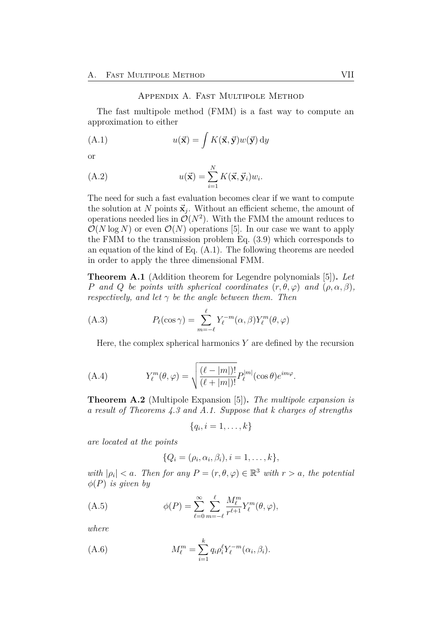#### <span id="page-56-2"></span>Appendix A. Fast Multipole Method

<span id="page-56-1"></span><span id="page-56-0"></span>The fast multipole method (FMM) is a fast way to compute an approximation to either

(A.1) 
$$
u(\vec{\mathbf{x}}) = \int K(\vec{\mathbf{x}}, \vec{\mathbf{y}}) w(\vec{\mathbf{y}}) dy
$$

or

(A.2) 
$$
u(\vec{\mathbf{x}}) = \sum_{i=1}^{N} K(\vec{\mathbf{x}}, \vec{\mathbf{y}}_i) w_i.
$$

The need for such a fast evaluation becomes clear if we want to compute the solution at N points  $\vec{x}_j$ . Without an efficient scheme, the amount of operations needed lies in  $\mathcal{O}(N^2)$ . With the FMM the amount reduces to  $\mathcal{O}(N \log N)$  or even  $\mathcal{O}(N)$  operations [\[5\]](#page-53-7). In our case we want to apply the FMM to the transmission problem Eq. [\(3.9\)](#page-20-1) which corresponds to an equation of the kind of Eq. [\(A.1\)](#page-56-2). The following theorems are needed in order to apply the three dimensional FMM.

<span id="page-56-3"></span>**Theorem A.1** (Addition theorem for Legendre polynomials [\[5\]](#page-53-7))**.** *Let P and Q be points with spherical coordinates*  $(r, \theta, \varphi)$  *and*  $(\rho, \alpha, \beta)$ *, respectively, and let*  $\gamma$  *be the angle between them. Then* 

(A.3) 
$$
P_{\ell}(\cos \gamma) = \sum_{m=-\ell}^{\ell} Y_{\ell}^{-m}(\alpha, \beta) Y_{\ell}^{m}(\theta, \varphi)
$$

Here, the complex spherical harmonics *Y* are defined by the recursion

(A.4) 
$$
Y_{\ell}^{m}(\theta,\varphi) = \sqrt{\frac{(\ell-|m|)!}{(\ell+|m|)!}} P_{\ell}^{|m|}(\cos\theta)e^{im\varphi}.
$$

<span id="page-56-4"></span>**Theorem A.2** (Multipole Expansion [\[5\]](#page-53-7))**.** *The multipole expansion is a result of Theorems [4.3](#page-26-0) and [A.1.](#page-56-3) Suppose that k charges of strengths*

$$
\{q_i, i=1,\ldots,k\}
$$

*are located at the points*

$$
\{Q_i = (\rho_i, \alpha_i, \beta_i), i = 1, \ldots, k\},\
$$

*with*  $|\rho_i| < a$ . Then for any  $P = (r, \theta, \varphi) \in \mathbb{R}^3$  *with*  $r > a$ , the potential *φ*(*P*) *is given by*

(A.5) 
$$
\phi(P) = \sum_{\ell=0}^{\infty} \sum_{m=-\ell}^{\ell} \frac{M_{\ell}^{m}}{r^{\ell+1}} Y_{\ell}^{m}(\theta, \varphi),
$$

*where*

(A.6) 
$$
M_{\ell}^{m} = \sum_{i=1}^{k} q_{i} \rho_{i}^{\ell} Y_{\ell}^{-m} (\alpha_{i}, \beta_{i}).
$$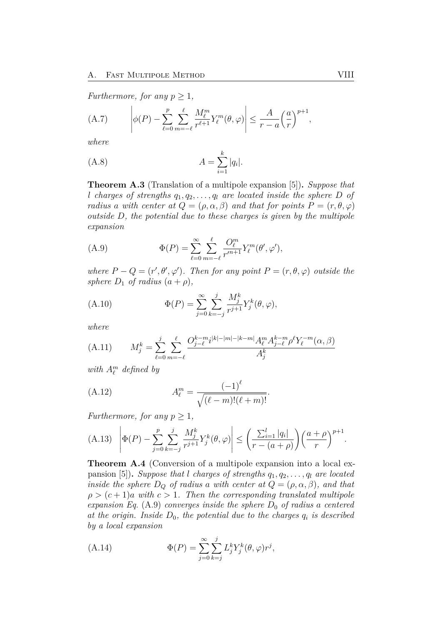*Furthermore, for any*  $p > 1$ *,* 

(A.7) 
$$
\left| \phi(P) - \sum_{\ell=0}^p \sum_{m=-\ell}^{\ell} \frac{M_{\ell}^m}{r^{\ell+1}} Y_{\ell}^m(\theta, \varphi) \right| \leq \frac{A}{r-a} \left(\frac{a}{r}\right)^{p+1},
$$

*where*

(A.8) 
$$
A = \sum_{i=1}^{k} |q_i|.
$$

<span id="page-57-2"></span>**Theorem A.3** (Translation of a multipole expansion [\[5\]](#page-53-7))**.** *Suppose that l charges of strengths q*1*, q*2*, . . . , q<sup>l</sup> are located inside the sphere D of radius a with center at*  $Q = (\rho, \alpha, \beta)$  *and that for points*  $P = (r, \theta, \varphi)$ *outside D, the potential due to these charges is given by the multipole expansion*

<span id="page-57-0"></span>(A.9) 
$$
\Phi(P) = \sum_{\ell=0}^{\infty} \sum_{m=-\ell}^{\ell} \frac{O_{\ell}^{m}}{r'^{n+1}} Y_{\ell}^{m}(\theta', \varphi'),
$$

*where*  $P - Q = (r', \theta', \varphi')$ *. Then for any point*  $P = (r, \theta, \varphi)$  *outside the sphere*  $D_1$  *of radius*  $(a + \rho)$ *,* 

(A.10) 
$$
\Phi(P) = \sum_{j=0}^{\infty} \sum_{k=-j}^{j} \frac{M_j^k}{r^{j+1}} Y_j^k(\theta, \varphi),
$$

*where*

(A.11) 
$$
M_j^k = \sum_{\ell=0}^j \sum_{m=-\ell}^{\ell} \frac{O_{j-\ell}^{k-m} i^{|k|-|m|-|k-m|} A_{\ell}^m A_{j-\ell}^{k-m} \rho^{\ell} Y_{\ell}^{-m}(\alpha, \beta)}{A_j^k}
$$

<span id="page-57-1"></span>*with*  $A_{\ell}^{m}$  *defined by* 

(A.12) 
$$
A_{\ell}^{m} = \frac{(-1)^{\ell}}{\sqrt{(\ell - m)!(\ell + m)!}}.
$$

*Furthermore, for any*  $p \geq 1$ *,* 

(A.13) 
$$
\left| \Phi(P) - \sum_{j=0}^{p} \sum_{k=-j}^{j} \frac{M_j^k}{r^{j+1}} Y_j^k(\theta, \varphi) \right| \le \left( \frac{\sum_{i=1}^{l} |q_i|}{r - (a + \rho)} \right) \left( \frac{a + \rho}{r} \right)^{p+1}.
$$

<span id="page-57-3"></span>**Theorem A.4** (Conversion of a multipole expansion into a local ex-pansion [\[5\]](#page-53-7)). *Suppose that l charges of strengths*  $q_1, q_2, \ldots, q_l$  *are located inside the sphere*  $D_Q$  *of radius a with center at*  $Q = (\rho, \alpha, \beta)$ *, and that*  $\rho > (c+1)a$  *with*  $c > 1$ *. Then the corresponding translated multipole expansion Eq.* [\(A.9\)](#page-57-0) *converges inside the sphere*  $D_0$  *of radius a centered* at the origin. Inside  $D_0$ , the potential due to the charges  $q_i$  is described *by a local expansion*

(A.14) 
$$
\Phi(P) = \sum_{j=0}^{\infty} \sum_{k=j}^{j} L_j^k Y_j^k(\theta, \varphi) r^j,
$$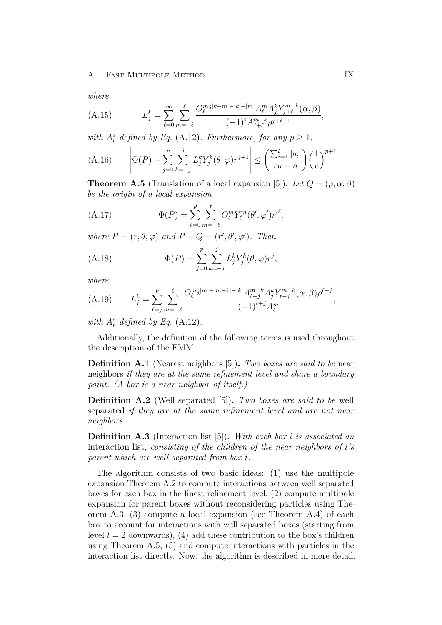<span id="page-58-0"></span>*where*

(A.15) 
$$
L_j^k = \sum_{\ell=0}^{\infty} \sum_{m=-\ell}^{\ell} \frac{O_{\ell}^{m} i^{|k-m|-|k|-|m|} A_{\ell}^m A_j^k Y_{j+\ell}^{m-k}(\alpha, \beta)}{(-1)^{\ell} A_{j+\ell}^{m-k} \rho^{j+\ell+1}}
$$

*with*  $A_r^s$  *defined by Eq.* [\(A.12\)](#page-57-1)*. Furthermore, for any*  $p \geq 1$ *,* 

(A.16) 
$$
\left| \Phi(P) - \sum_{j=0}^p \sum_{k=-j}^j L_j^k Y_j^k(\theta, \varphi) r^{j+1} \right| \le \left( \frac{\sum_{i=1}^l |q_i|}{ca - a} \right) \left( \frac{1}{c} \right)^{p+1}
$$

<span id="page-58-1"></span>**Theorem A.5** (Translation of a local expansion [\[5\]](#page-53-7)). Let  $Q = (\rho, \alpha, \beta)$ *be the origin of a local expansion*

(A.17) 
$$
\Phi(P) = \sum_{\ell=0}^{p} \sum_{m=-\ell}^{\ell} O_{\ell}^{m} Y_{\ell}^{m}(\theta', \varphi') r'^{\ell},
$$

*where*  $P = (r, \theta, \varphi)$  *and*  $P - Q = (r', \theta', \varphi')$ *. Then* 

(A.18) 
$$
\Phi(P) = \sum_{j=0}^{p} \sum_{k=-j}^{j} L_j^k Y_j^k(\theta, \varphi) r^j,
$$

*where*

(A.19) 
$$
L_j^k = \sum_{\ell=j}^p \sum_{m=-\ell}^{\ell} \frac{O_{\ell}^{m} i^{|m| - |m-k| - |k|} A_{\ell-j}^{m-k} A_j^k Y_{\ell-j}^{m-k} (\alpha, \beta) \rho^{\ell-j}}{(-1)^{\ell+j} A_{\ell}^m},
$$

with  $A_r^s$  defined by Eq.  $(A.12)$ *.* 

Additionally, the definition of the following terms is used throughout the description of the FMM.

**Definition A.1** (Nearest neighbors [\[5\]](#page-53-7))**.** *Two boxes are said to be* near neighbors *if they are at the same refinement level and share a boundary point. (A box is a near neighbor of itself.)*

**Definition A.2** (Well separated [\[5\]](#page-53-7))**.** *Two boxes are said to be* well separated *if they are at the same refinement level and are not near neighbors.*

**Definition A.3** (Interaction list [\[5\]](#page-53-7))**.** *With each box i is associated an* interaction list*, consisting of the children of the near neighbors of i's parent which are well separated from box i.*

The algorithm consists of two basic ideas: (1) use the multipole expansion Theorem [A.2](#page-56-4) to compute interactions between well separated boxes for each box in the finest refinement level, (2) compute multipole expansion for parent boxes without reconsidering particles using Theorem [A.3,](#page-57-2) (3) compute a local expansion (see Theorem [A.4\)](#page-57-3) of each box to account for interactions with well separated boxes (starting from level  $l = 2$  downwards), (4) add these contribution to the box's children using Theorem [A.5,](#page-58-1) (5) and compute interactions with particles in the interaction list directly. Now, the algorithm is described in more detail.

*,*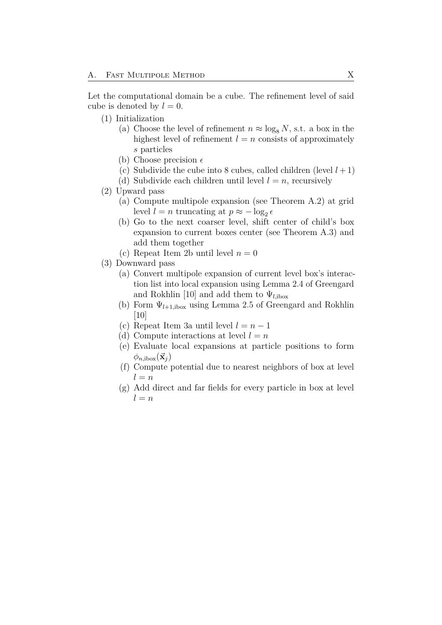<span id="page-59-0"></span>Let the computational domain be a cube. The refinement level of said cube is denoted by  $l = 0$ .

- (1) Initialization
	- (a) Choose the level of refinement  $n \approx \log_8 N$ , s.t. a box in the highest level of refinement  $l = n$  consists of approximately *s* particles
	- (b) Choose precision  $\epsilon$
	- (c) Subdivide the cube into 8 cubes, called children (level  $l+1$ )
	- (d) Subdivide each children until level  $l = n$ , recursively
- <span id="page-59-1"></span>(2) Upward pass
	- (a) Compute multipole expansion (see Theorem [A.2\)](#page-56-4) at grid level  $l = n$  truncating at  $p \approx -\log_2 e$
	- (b) Go to the next coarser level, shift center of child's box expansion to current boxes center (see Theorem [A.3\)](#page-57-2) and add them together
	- (c) Repeat Item [2b](#page-59-1) until level  $n = 0$
- <span id="page-59-2"></span>(3) Downward pass
	- (a) Convert multipole expansion of current level box's interaction list into local expansion using Lemma 2.4 of Greengard and Rokhlin [\[10\]](#page-53-8) and add them to  $\Psi_{l,ib\text{ox}}$
	- (b) Form  $\Psi_{l+1, \text{ibox}}$  using Lemma 2.5 of Greengard and Rokhlin [\[10\]](#page-53-8)
	- (c) Repeat Item [3a](#page-59-2) until level  $l = n 1$
	- (d) Compute interactions at level  $l = n$
	- (e) Evaluate local expansions at particle positions to form  $\phi_{n,\text{ibox}}(\vec{\mathbf{x}}_j)$
	- (f) Compute potential due to nearest neighbors of box at level  $l = n$
	- (g) Add direct and far fields for every particle in box at level  $l = n$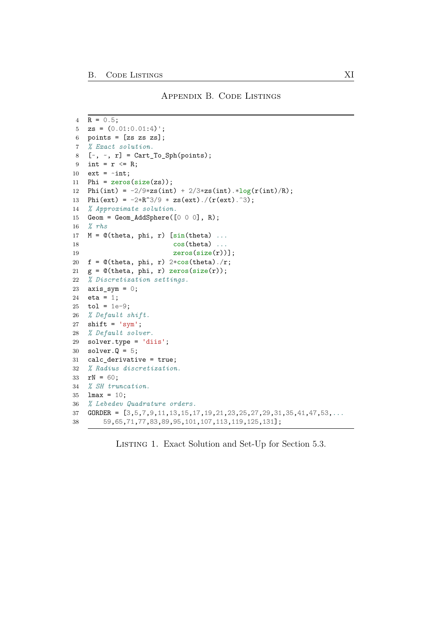```
4 R = 0.5;
5 \text{zs} = (0.01:0.01:4);
6 points = [zs\;zs\;zs];
7 % Exact solution.
8 [\sim, \sim, r] = Cart_To_Sph(points);
9 int = r \le R;
10 ext = \simint;
11 Phi = zeros(size(zs));12 Phi(int) = -2/9*zs(int) + 2/3*zs(int) .*log(r(int)/R);13 Phi(ext) = -2*R^3/9 * zs(ext)./(r(ext).<sup>3</sup>);
14 % Approximate solution.
15 Geom = Geom_AddSphere([0 0 0], R);
16 % rhs
17 M = @(theta, phi, r) [sin(theta) ...
18 cos(theta) ...
19 \text{zeros}(\text{size}(r))];
20 f = \mathcal{O}(\text{theta}, \text{phi}, r) 2*cos(theta)./r;
21 g = \mathcal{Q}(\text{theta}, \text{phi}, r) zeros(size(r));
22 % Discretization settings.
23 axis\_sym = 0;24 eta = 1;
25 tol = 1e-9;
26 % Default shift.
27 shift = 'sym';28 % Default solver.
29 solver.type = 'diis';
30 solver.Q = 5;
31 calc_derivative = true;
32 % Radius discretization.
33 rN = 60;
34 % SH truncation.
35 lmax = 10;
36 % Lebedev Quadrature orders.
37 GORDER = [3,5,7,9,11,13,15,17,19,21,23,25,27,29,31,35,41,47,53,...
38 59,65,71,77,83,89,95,101,107,113,119,125,131];
```
LISTING 1. Exact Solution and Set-Up for Section [5.3.](#page-42-0)